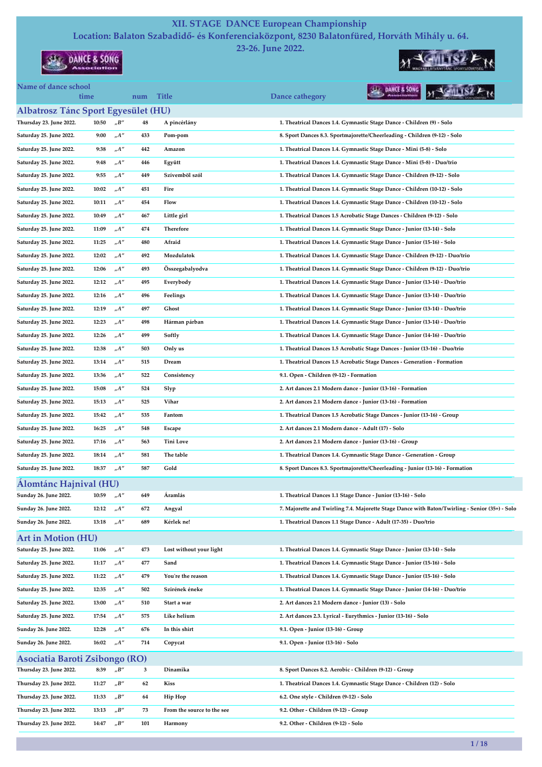## XII. STAGE DANCE European Championship

Location: Balaton Szabadidő- és Konferenciaközpont, 8230 Balatonfüred, Horváth Mihály u. 64. 23-26. June 2022.

time num Title Dance cathegory

**SEARCH & SONG** 



Name of dance school

 $M \leq 6$ MLISZ  $P_{R}$ SHE DANCE & SONG

| <b>Albatrosz Tánc Sport Egyesület (HU)</b>                |       |                                     |     |                            |                                                                                                |
|-----------------------------------------------------------|-------|-------------------------------------|-----|----------------------------|------------------------------------------------------------------------------------------------|
| Thursday 23. June 2022.                                   | 10:50 | $n^{\prime}B^{\prime\prime}$        | 48  | A pincérlány               | 1. Theatrical Dances 1.4. Gymnastic Stage Dance - Children (9) - Solo                          |
| Saturday 25. June 2022.                                   | 9:00  | $n^{A''}$                           | 433 | Pom-pom                    | 8. Sport Dances 8.3. Sportmajorette/Cheerleading - Children (9-12) - Solo                      |
| Saturday 25. June 2022.                                   | 9:38  | $n^{\prime\prime}$                  | 442 | Amazon                     | 1. Theatrical Dances 1.4. Gymnastic Stage Dance - Mini (5-8) - Solo                            |
| Saturday 25. June 2022.                                   | 9:48  | $n^{\prime\prime}$                  | 446 | Együtt                     | 1. Theatrical Dances 1.4. Gymnastic Stage Dance - Mini (5-8) - Duo/trio                        |
| Saturday 25. June 2022.                                   | 9:55  | "A"                                 | 449 | Szívemböl szól             | 1. Theatrical Dances 1.4. Gymnastic Stage Dance - Children (9-12) - Solo                       |
| Saturday 25. June 2022.                                   | 10:02 | $n^{\prime}A^{\prime\prime}$        | 451 | Fire                       | 1. Theatrical Dances 1.4. Gymnastic Stage Dance - Children (10-12) - Solo                      |
| Saturday 25. June 2022.                                   | 10:11 | "A"                                 | 454 | Flow                       | 1. Theatrical Dances 1.4. Gymnastic Stage Dance - Children (10-12) - Solo                      |
| Saturday 25. June 2022.                                   | 10:49 | $n^{A''}$                           | 467 | Little girl                | 1. Theatrical Dances 1.5 Acrobatic Stage Dances - Children (9-12) - Solo                       |
| Saturday 25. June 2022.                                   | 11:09 | $n^{\prime}A^{\prime\prime}$        | 474 | Therefore                  | 1. Theatrical Dances 1.4. Gymnastic Stage Dance - Junior (13-14) - Solo                        |
| Saturday 25. June 2022.                                   | 11:25 | $n^{A''}$                           | 480 | Afraid                     | 1. Theatrical Dances 1.4. Gymnastic Stage Dance - Junior (15-16) - Solo                        |
| Saturday 25. June 2022.                                   | 12:02 | "A"                                 | 492 | Mozdulatok                 | 1. Theatrical Dances 1.4. Gymnastic Stage Dance - Children (9-12) - Duo/trio                   |
| Saturday 25. June 2022.                                   | 12:06 | $_{\shortparallel}A^{\prime\prime}$ | 493 | Összegabalyodva            | 1. Theatrical Dances 1.4. Gymnastic Stage Dance - Children (9-12) - Duo/trio                   |
| Saturday 25. June 2022.                                   | 12:12 | $n^{\prime\prime}$                  | 495 | Everybody                  | 1. Theatrical Dances 1.4. Gymnastic Stage Dance - Junior (13-14) - Duo/trio                    |
| Saturday 25. June 2022.                                   | 12:16 | "A"                                 | 496 | Feelings                   | 1. Theatrical Dances 1.4. Gymnastic Stage Dance - Junior (13-14) - Duo/trio                    |
| Saturday 25. June 2022.                                   | 12:19 | $n^{A''}$                           | 497 | Ghost                      | 1. Theatrical Dances 1.4. Gymnastic Stage Dance - Junior (13-14) - Duo/trio                    |
| Saturday 25. June 2022.                                   | 12:23 | A''                                 | 498 | Hárman párban              | 1. Theatrical Dances 1.4. Gymnastic Stage Dance - Junior (13-14) - Duo/trio                    |
| Saturday 25. June 2022.                                   | 12:26 | $n^{\prime}A^{\prime\prime}$        | 499 | Softly                     | 1. Theatrical Dances 1.4. Gymnastic Stage Dance - Junior (14-16) - Duo/trio                    |
| Saturday 25. June 2022.                                   | 12:38 | $_nA''$                             | 503 | Only us                    | 1. Theatrical Dances 1.5 Acrobatic Stage Dances - Junior (13-16) - Duo/trio                    |
| Saturday 25. June 2022.                                   | 13:14 | $n^{\prime\prime}$                  | 515 | Dream                      | 1. Theatrical Dances 1.5 Acrobatic Stage Dances - Generation - Formation                       |
| Saturday 25. June 2022.                                   | 13:36 | A''                                 | 522 | Consistency                | 9.1. Open - Children (9-12) - Formation                                                        |
| Saturday 25. June 2022.                                   | 15:08 | A''                                 | 524 | Slyp                       | 2. Art dances 2.1 Modern dance - Junior (13-16) - Formation                                    |
| Saturday 25. June 2022.                                   | 15:13 | $n^{A''}$                           | 525 | Vihar                      | 2. Art dances 2.1 Modern dance - Junior (13-16) - Formation                                    |
| Saturday 25. June 2022.                                   | 15:42 | $n^{\prime\prime}$                  | 535 | Fantom                     | 1. Theatrical Dances 1.5 Acrobatic Stage Dances - Junior (13-16) - Group                       |
| Saturday 25. June 2022.                                   | 16:25 | $n^{A''}$                           | 548 | Escape                     | 2. Art dances 2.1 Modern dance - Adult (17) - Solo                                             |
| Saturday 25. June 2022.                                   | 17:16 | A''                                 | 563 | Tini Love                  | 2. Art dances 2.1 Modern dance - Junior (13-16) - Group                                        |
| Saturday 25. June 2022.                                   | 18:14 | $n^{\prime\prime}$                  | 581 | The table                  | 1. Theatrical Dances 1.4. Gymnastic Stage Dance - Generation - Group                           |
| Saturday 25. June 2022.                                   | 18:37 | $n^{A''}$                           | 587 | Gold                       | 8. Sport Dances 8.3. Sportmajorette/Cheerleading - Junior (13-16) - Formation                  |
| Alomtánc Hajnival (HU)                                    |       |                                     |     |                            |                                                                                                |
| Sunday 26. June 2022.                                     | 10:59 | "A"                                 | 649 | Áramlás                    | 1. Theatrical Dances 1.1 Stage Dance - Junior (13-16) - Solo                                   |
| Sunday 26. June 2022.                                     | 12:12 | ${}_nA^{\prime\prime}$              | 672 | Angyal                     | 7. Majorette and Twirling 7.4. Majorette Stage Dance with Baton/Twirling - Senior (35+) - Solo |
| Sunday 26. June 2022.                                     | 13:18 | $n^{A''}$                           | 689 | Kérlek ne!                 | 1. Theatrical Dances 1.1 Stage Dance - Adult (17-35) - Duo/trio                                |
|                                                           |       |                                     |     |                            |                                                                                                |
| <b>Art in Motion (HU)</b><br>Saturday 25. June 2022.      | 11:06 | $n^{A''}$                           | 473 | Lost without your light    | 1. Theatrical Dances 1.4. Gymnastic Stage Dance - Junior (13-14) - Solo                        |
| Saturday 25. June 2022.                                   | 11:17 | $_nA''$                             | 477 | Sand                       | 1. Theatrical Dances 1.4. Gymnastic Stage Dance - Junior (15-16) - Solo                        |
| Saturday 25. June 2022.                                   | 11:22 | $n^{\prime\prime}$                  | 479 | You're the reason          | 1. Theatrical Dances 1.4. Gymnastic Stage Dance - Junior (15-16) - Solo                        |
| Saturday 25. June 2022.                                   | 12:35 | $_nA''$                             | 502 | Szirének éneke             | 1. Theatrical Dances 1.4. Gymnastic Stage Dance - Junior (14-16) - Duo/trio                    |
| Saturday 25. June 2022.                                   | 13:00 | $n^{\prime\prime}$                  | 510 | Start a war                | 2. Art dances 2.1 Modern dance - Junior (13) - Solo                                            |
| Saturday 25. June 2022.                                   | 17:54 | $n^{\prime\prime}$                  | 575 | Like helium                | 2. Art dances 2.3. Lyrical - Eurythmics - Junior (13-16) - Solo                                |
| Sunday 26. June 2022.                                     | 12:28 | "A"                                 | 676 | In this shirt              | 9.1. Open - Junior (13-16) - Group                                                             |
| Sunday 26. June 2022.                                     | 16:02 | $n^{\prime}A^{\prime\prime}$        | 714 | Copycat                    | 9.1. Open - Junior (13-16) - Solo                                                              |
|                                                           |       |                                     |     |                            |                                                                                                |
| Asociatia Baroti Zsibongo (RO)<br>Thursday 23. June 2022. | 8:39  | "B"                                 | 3   | Dinamika                   | 8. Sport Dances 8.2. Aerobic - Children (9-12) - Group                                         |
| Thursday 23. June 2022.                                   | 11:27 | "B"                                 | 62  | Kiss                       | 1. Theatrical Dances 1.4. Gymnastic Stage Dance - Children (12) - Solo                         |
|                                                           | 11:33 |                                     |     |                            |                                                                                                |
| Thursday 23. June 2022.                                   |       | "B"                                 | 64  | Hip Hop                    | 6.2. One style - Children (9-12) - Solo                                                        |
| Thursday 23. June 2022.                                   | 13:13 | "B"                                 | 73  | From the source to the see | 9.2. Other - Children (9-12) - Group                                                           |
| Thursday 23. June 2022.                                   | 14:47 | $_{\prime\prime}B^{\prime\prime}$   | 101 | Harmony                    | 9.2. Other - Children (9-12) - Solo                                                            |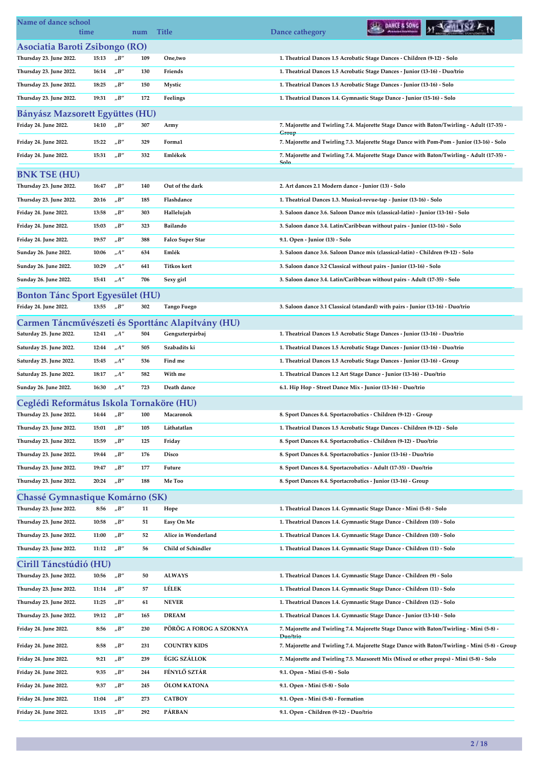| Name of dance school                              | time  |                                   | num | <b>Title</b>                                      | DANCE & SONG<br>Dance cathegory                                                                    |
|---------------------------------------------------|-------|-----------------------------------|-----|---------------------------------------------------|----------------------------------------------------------------------------------------------------|
| Asociatia Baroti Zsibongo (RO)                    |       |                                   |     |                                                   |                                                                                                    |
| Thursday 23. June 2022.                           | 15:13 | $n^{\prime}B^{\prime\prime}$      | 109 | One,two                                           | 1. Theatrical Dances 1.5 Acrobatic Stage Dances - Children (9-12) - Solo                           |
| Thursday 23. June 2022.                           | 16:14 | $n^{\prime}B^{\prime\prime}$      | 130 | Friends                                           | 1. Theatrical Dances 1.5 Acrobatic Stage Dances - Junior (13-16) - Duo/trio                        |
| Thursday 23. June 2022.                           | 18:25 | $n^{\prime}B^{\prime\prime}$      | 150 | Mystic                                            | 1. Theatrical Dances 1.5 Acrobatic Stage Dances - Junior (13-16) - Solo                            |
| Thursday 23. June 2022.                           | 19:31 | $n^{\prime}B^{\prime\prime}$      | 172 | Feelings                                          | 1. Theatrical Dances 1.4. Gymnastic Stage Dance - Junior (15-16) - Solo                            |
| Bányász Mazsorett Együttes (HU)                   |       |                                   |     |                                                   |                                                                                                    |
| Friday 24. June 2022.                             | 14:10 | $n^{\prime}B^{\prime\prime}$      | 307 | Army                                              | 7. Majorette and Twirling 7.4. Majorette Stage Dance with Baton/Twirling - Adult (17-35) -         |
| Friday 24. June 2022.                             | 15:22 | $n^{\prime}B^{\prime\prime}$      | 329 | Forma1                                            | Group<br>7. Majorette and Twirling 7.3. Majorette Stage Dance with Pom-Pom - Junior (13-16) - Solo |
| Friday 24. June 2022.                             | 15:31 | $n^{\prime}B^{\prime\prime}$      | 332 | Emlékek                                           | 7. Majorette and Twirling 7.4. Majorette Stage Dance with Baton/Twirling - Adult (17-35)           |
|                                                   |       |                                   |     |                                                   | Solo                                                                                               |
| <b>BNK TSE (HU)</b>                               |       |                                   |     |                                                   |                                                                                                    |
| Thursday 23. June 2022.                           | 16:47 | $n^{\prime}B^{\prime\prime}$      | 140 | Out of the dark                                   | 2. Art dances 2.1 Modern dance - Junior (13) - Solo                                                |
| Thursday 23. June 2022.                           | 20:16 | $n^{\prime}B^{\prime\prime}$      | 185 | Flashdance                                        | 1. Theatrical Dances 1.3. Musical-revue-tap - Junior (13-16) - Solo                                |
| Friday 24. June 2022.                             | 13:58 | $n^{\prime}B^{\prime\prime}$      | 303 | Hallelujah                                        | 3. Saloon dance 3.6. Saloon Dance mix (classical-latin) - Junior (13-16) - Solo                    |
| Friday 24. June 2022.                             | 15:03 | "B"                               | 323 | Bailando                                          | 3. Saloon dance 3.4. Latin/Caribbean without pairs - Junior (13-16) - Solo                         |
| Friday 24. June 2022.                             | 19:57 | $n^{\prime}B^{\prime\prime}$      | 388 | <b>Falco Super Star</b>                           | 9.1. Open - Junior (13) - Solo                                                                     |
| Sunday 26. June 2022.                             | 10:06 | $n^{A''}$                         | 634 | Emlék                                             | 3. Saloon dance 3.6. Saloon Dance mix (classical-latin) - Children (9-12) - Solo                   |
| Sunday 26. June 2022.                             | 10:29 | "A"                               | 641 | Titkos kert                                       | 3. Saloon dance 3.2 Classical without pairs - Junior (13-16) - Solo                                |
| Sunday 26. June 2022.                             | 15:41 | $n^{A''}$                         | 706 | Sexy girl                                         | 3. Saloon dance 3.4. Latin/Caribbean without pairs - Adult (17-35) - Solo                          |
| <b>Bonton Tánc Sport Egyesület (HU)</b>           |       |                                   |     |                                                   |                                                                                                    |
| Friday 24. June 2022.                             | 13:55 | $n^{\prime}B^{\prime\prime}$      | 302 | <b>Tango Fuego</b>                                | 3. Saloon dance 3.1 Classical (standard) with pairs - Junior (13-16) - Duo/trio                    |
|                                                   |       |                                   |     | Carmen Táncművészeti és Sporttánc Alapítvány (HU) |                                                                                                    |
| Saturday 25. June 2022.                           | 12:41 | $_nA''$                           | 504 | Gengszterpárbaj                                   | 1. Theatrical Dances 1.5 Acrobatic Stage Dances - Junior (13-16) - Duo/trio                        |
| Saturday 25. June 2022.                           | 12:44 | $n^{A''}$                         | 505 | Szabadíts ki                                      | 1. Theatrical Dances 1.5 Acrobatic Stage Dances - Junior (13-16) - Duo/trio                        |
| Saturday 25. June 2022.                           | 15:45 | $n^{A''}$                         | 536 | Find me                                           | 1. Theatrical Dances 1.5 Acrobatic Stage Dances - Junior (13-16) - Group                           |
| Saturday 25. June 2022.                           | 18:17 | "A"                               | 582 | With me                                           | 1. Theatrical Dances 1.2 Art Stage Dance - Junior (13-16) - Duo/trio                               |
| Sunday 26. June 2022.                             | 16:30 | $n^{A''}$                         | 723 | Death dance                                       | 6.1. Hip Hop - Street Dance Mix - Junior (13-16) - Duo/trio                                        |
| Ceglédi Református Iskola Tornaköre (HU)          |       |                                   |     |                                                   |                                                                                                    |
| Thursday 23. June 2022.                           | 14:44 | $n^{\prime}B^{\prime\prime}$      | 100 | Macaronok                                         | 8. Sport Dances 8.4. Sportacrobatics - Children (9-12) - Group                                     |
| Thursday 23. June 2022.                           | 15:01 | $n^{\prime}B^{\prime\prime}$      | 105 | Láthatatlan                                       | 1. Theatrical Dances 1.5 Acrobatic Stage Dances - Children (9-12) - Solo                           |
| Thursday 23. June 2022.                           | 15:59 | "B"                               | 125 | Friday                                            | 8. Sport Dances 8.4. Sportacrobatics - Children (9-12) - Duo/trio                                  |
| Thursday 23. June 2022.                           | 19:44 | "B"                               | 176 | Disco                                             | 8. Sport Dances 8.4. Sportacrobatics - Junior (13-16) - Duo/trio                                   |
| Thursday 23. June 2022.                           | 19:47 | "B"                               | 177 | Future                                            | 8. Sport Dances 8.4. Sportacrobatics - Adult (17-35) - Duo/trio                                    |
| Thursday 23. June 2022.                           | 20:24 | $n^{\prime}B^{\prime\prime}$      | 188 | Me Too                                            | 8. Sport Dances 8.4. Sportacrobatics - Junior (13-16) - Group                                      |
| Chassé Gymnastique Komárno (SK)                   |       |                                   |     |                                                   |                                                                                                    |
| Thursday 23. June 2022.                           | 8:56  | $n^{\prime}B^{\prime\prime}$      | 11  | Hope                                              | 1. Theatrical Dances 1.4. Gymnastic Stage Dance - Mini (5-8) - Solo                                |
| Thursday 23. June 2022.                           | 10:58 | $n^{\prime}B^{\prime\prime}$      | 51  | Easy On Me                                        | 1. Theatrical Dances 1.4. Gymnastic Stage Dance - Children (10) - Solo                             |
| Thursday 23. June 2022.                           | 11:00 | $n^{\prime}B^{\prime\prime}$      | 52  | Alice in Wonderland                               | 1. Theatrical Dances 1.4. Gymnastic Stage Dance - Children (10) - Solo                             |
| Thursday 23. June 2022.                           | 11:12 | $n^{\prime}B^{\prime\prime}$      | 56  | Child of Schindler                                | 1. Theatrical Dances 1.4. Gymnastic Stage Dance - Children (11) - Solo                             |
|                                                   |       |                                   |     |                                                   |                                                                                                    |
| Cirill Táncstúdió (HU)<br>Thursday 23. June 2022. | 10:56 | $_{\prime\prime}B^{\prime\prime}$ | 50  | <b>ALWAYS</b>                                     | 1. Theatrical Dances 1.4. Gymnastic Stage Dance - Children (9) - Solo                              |
| Thursday 23. June 2022.                           | 11:14 | $n^{\prime}B^{\prime\prime}$      | 57  | LÉLEK                                             | 1. Theatrical Dances 1.4. Gymnastic Stage Dance - Children (11) - Solo                             |
| Thursday 23. June 2022.                           | 11:25 | $n^{\prime}B^{\prime\prime}$      | 61  | <b>NEVER</b>                                      | 1. Theatrical Dances 1.4. Gymnastic Stage Dance - Children (12) - Solo                             |
| Thursday 23. June 2022.                           | 19:12 | "B"                               | 165 | <b>DREAM</b>                                      | 1. Theatrical Dances 1.4. Gymnastic Stage Dance - Junior (13-14) - Solo                            |
| Friday 24. June 2022.                             | 8:56  | $n^{\prime}B^{\prime\prime}$      | 230 | PÖRÖG A FOROG A SZOKNYA                           | 7. Majorette and Twirling 7.4. Majorette Stage Dance with Baton/Twirling - Mini (5-8) -            |
|                                                   |       |                                   |     |                                                   | Duo/trio                                                                                           |
| Friday 24. June 2022.                             | 8:58  | $n^{\prime}B^{\prime\prime}$      | 231 | <b>COUNTRY KIDS</b>                               | 7. Majorette and Twirling 7.4. Majorette Stage Dance with Baton/Twirling - Mini (5-8) - Group      |
| Friday 24. June 2022.                             | 9:21  | $n^{\prime}B^{\prime\prime}$      | 239 | ÉGIG SZÁLLOK                                      | 7. Majorette and Twirling 7.5. Mazsorett Mix (Mixed or other props) - Mini (5-8) - Solo            |
| Friday 24. June 2022.                             | 9:35  | $n^{\prime}B^{\prime\prime}$      | 244 | FÉNYLŐ SZTÁR                                      | 9.1. Open - Mini (5-8) - Solo                                                                      |
| Friday 24. June 2022.                             | 9:37  | $n^{\prime}B^{\prime\prime}$      | 245 | ÓLOM KATONA                                       | 9.1. Open - Mini (5-8) - Solo                                                                      |
| Friday 24. June 2022.                             | 11:04 | $n^{\prime}B^{\prime\prime}$      | 273 | <b>CATBOY</b>                                     | 9.1. Open - Mini (5-8) - Formation                                                                 |
| Friday 24. June 2022.                             | 13:15 | $n^{\prime}B^{\prime\prime}$      | 292 | PÁRBAN                                            | 9.1. Open - Children (9-12) - Duo/trio                                                             |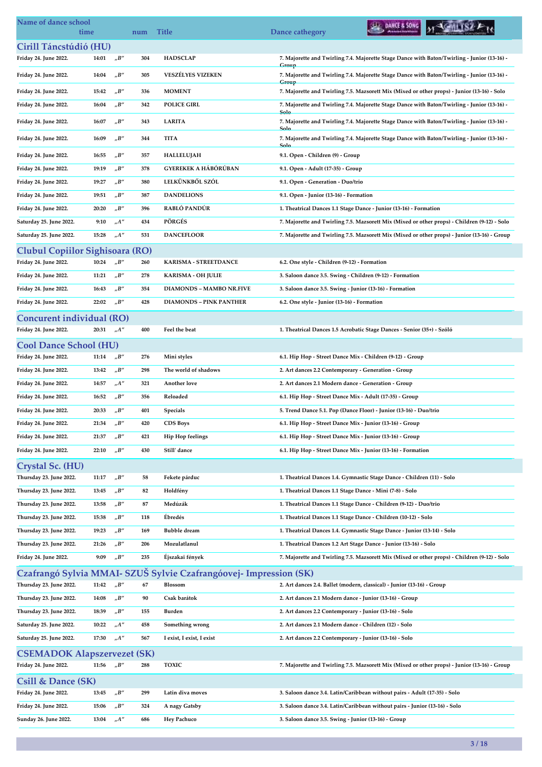| Name of dance school                               | time  |                              | num        | <b>Title</b>                                                                         | DAHCE & SONG<br>Dance cathegory                                                                                 |
|----------------------------------------------------|-------|------------------------------|------------|--------------------------------------------------------------------------------------|-----------------------------------------------------------------------------------------------------------------|
| Cirill Táncstúdió (HU)                             |       |                              |            |                                                                                      |                                                                                                                 |
| Friday 24. June 2022.                              | 14:01 | $n^{\prime}B^{\prime\prime}$ | 304        | <b>HADSCLAP</b>                                                                      | 7. Majorette and Twirling 7.4. Majorette Stage Dance with Baton/Twirling - Junior (13-16) -                     |
| Friday 24. June 2022.                              | 14:04 | "B"                          | 305        | <b>VESZÉLYES VIZEKEN</b>                                                             | Group<br>7. Majorette and Twirling 7.4. Majorette Stage Dance with Baton/Twirling - Junior (13-16) -<br>Group   |
| Friday 24. June 2022.                              | 15:42 | $n^{\prime}B^{\prime\prime}$ | 336        | <b>MOMENT</b>                                                                        | 7. Majorette and Twirling 7.5. Mazsorett Mix (Mixed or other props) - Junior (13-16) - Solo                     |
| Friday 24. June 2022.                              | 16:04 | "B"                          | 342        | <b>POLICE GIRL</b>                                                                   | 7. Majorette and Twirling 7.4. Majorette Stage Dance with Baton/Twirling - Junior (13-16) -                     |
| Friday 24. June 2022.                              | 16:07 | $n^{\prime}B^{\prime\prime}$ | 343        | <b>LARITA</b>                                                                        | Solo<br>7. Majorette and Twirling 7.4. Majorette Stage Dance with Baton/Twirling - Junior (13-16) -             |
| Friday 24. June 2022.                              | 16:09 | "B"                          | 344        | <b>TITA</b>                                                                          | Solo<br>7. Majorette and Twirling 7.4. Majorette Stage Dance with Baton/Twirling - Junior (13-16) -             |
| Friday 24. June 2022.                              | 16:55 | "B"                          | 357        | HALLELUJAH                                                                           | Solo<br>9.1. Open - Children (9) - Group                                                                        |
| Friday 24. June 2022.                              | 19:19 | "B"                          | 378        | <b>GYEREKEK A HÁBÓRÚBAN</b>                                                          | 9.1. Open - Adult (17-35) - Group                                                                               |
| Friday 24. June 2022.                              | 19:27 | "B"                          | 380        | LELKÜNKBŐL SZÓL                                                                      | 9.1. Open - Generation - Duo/trio                                                                               |
| Friday 24. June 2022.                              | 19:51 | "B"                          | 387        | <b>DANDELIONS</b>                                                                    | 9.1. Open - Junior (13-16) - Formation                                                                          |
| Friday 24. June 2022.                              | 20:20 | "B"                          | 396        | RABLÓ PANDÚR                                                                         | 1. Theatrical Dances 1.1 Stage Dance - Junior (13-16) - Formation                                               |
| Saturday 25. June 2022.                            | 9:10  | $n^{A''}$                    | 434        | PÖRGÉS                                                                               | 7. Majorette and Twirling 7.5. Mazsorett Mix (Mixed or other props) - Children (9-12) - Solo                    |
| Saturday 25. June 2022.                            | 15:28 | $n^{A''}$                    | 531        | <b>DANCEFLOOR</b>                                                                    | 7. Majorette and Twirling 7.5. Mazsorett Mix (Mixed or other props) - Junior (13-16) - Group                    |
|                                                    |       |                              |            |                                                                                      |                                                                                                                 |
| Clubul Copiilor Sighisoara (RO)                    |       |                              |            |                                                                                      |                                                                                                                 |
| Friday 24. June 2022.                              | 10:24 | $n^{\prime}B^{\prime\prime}$ | 260        | KARISMA - STREETDANCE                                                                | 6.2. One style - Children (9-12) - Formation                                                                    |
| Friday 24. June 2022.                              | 11:21 | "B"                          | 278        | <b>KARISMA - OH JULIE</b>                                                            | 3. Saloon dance 3.5. Swing - Children (9-12) - Formation                                                        |
| Friday 24. June 2022.                              | 16:43 | $n^{\prime}B^{\prime\prime}$ | 354        | <b>DIAMONDS - MAMBO NR.FIVE</b>                                                      | 3. Saloon dance 3.5. Swing - Junior (13-16) - Formation                                                         |
| Friday 24. June 2022.                              | 22:02 | $n^{\prime}B^{\prime\prime}$ | 428        | <b>DIAMONDS - PINK PANTHER</b>                                                       | 6.2. One style - Junior (13-16) - Formation                                                                     |
| Concurent individual (RO)                          |       |                              |            |                                                                                      |                                                                                                                 |
| Friday 24. June 2022.                              | 20:31 | $n^{\prime\prime}$           | 400        | Feel the beat                                                                        | 1. Theatrical Dances 1.5 Acrobatic Stage Dances - Senior (35+) - Szóló                                          |
| <b>Cool Dance School (HU)</b>                      |       |                              |            |                                                                                      |                                                                                                                 |
| Friday 24. June 2022.                              | 11:14 | $n^{\prime}B^{\prime\prime}$ | 276        | Mini styles                                                                          | 6.1. Hip Hop - Street Dance Mix - Children (9-12) - Group                                                       |
| Friday 24. June 2022.                              | 13:42 | $n^{\prime}B^{\prime\prime}$ | 298        | The world of shadows                                                                 | 2. Art dances 2.2 Contemporary - Generation - Group                                                             |
| Friday 24. June 2022.                              | 14:57 | $n^{\prime\prime}$           | 321        | Another love                                                                         | 2. Art dances 2.1 Modern dance - Generation - Group                                                             |
| Friday 24. June 2022.                              | 16:52 | "B"                          | 356        | Reloaded                                                                             | 6.1. Hip Hop - Street Dance Mix - Adult (17-35) - Group                                                         |
| Friday 24. June 2022.                              | 20:33 | $n^{\prime}B^{\prime\prime}$ | 401        | <b>Specials</b>                                                                      | 5. Trend Dance 5.1. Pop (Dance Floor) - Junior (13-16) - Duo/trio                                               |
| Friday 24. June 2022.                              | 21:34 | "B"                          | 420        | <b>CDS Boys</b>                                                                      | 6.1. Hip Hop - Street Dance Mix - Junior (13-16) - Group                                                        |
| Friday 24. June 2022.                              | 21:37 | $n^{\prime}B^{\prime\prime}$ | 421        | <b>Hip Hop feelings</b>                                                              | 6.1. Hip Hop - Street Dance Mix - Junior (13-16) - Group                                                        |
| Friday 24. June 2022.                              | 22:10 | "B"                          | 430        | Still' dance                                                                         | 6.1. Hip Hop - Street Dance Mix - Junior (13-16) - Formation                                                    |
|                                                    |       |                              |            |                                                                                      |                                                                                                                 |
| Crystal Sc. (HU)<br>Thursday 23. June 2022.        | 11:17 | "B"                          | 58         | Fekete párduc                                                                        | 1. Theatrical Dances 1.4. Gymnastic Stage Dance - Children (11) - Solo                                          |
| Thursday 23. June 2022.                            | 13:45 | "B"                          | 82         | Holdfény                                                                             | 1. Theatrical Dances 1.1 Stage Dance - Mini (7-8) - Solo                                                        |
| Thursday 23. June 2022.                            |       | "B"                          | 87         | Medúzák                                                                              | 1. Theatrical Dances 1.1 Stage Dance - Children (9-12) - Duo/trio                                               |
|                                                    | 13:58 |                              |            |                                                                                      |                                                                                                                 |
| Thursday 23. June 2022.                            | 15:38 | "B"                          | 118        | <b>Ébredés</b>                                                                       | 1. Theatrical Dances 1.1 Stage Dance - Children (10-12) - Solo                                                  |
| Thursday 23. June 2022.                            | 19:23 | "B"                          | 169        | <b>Bubble</b> dream                                                                  | 1. Theatrical Dances 1.4. Gymnastic Stage Dance - Junior (13-14) - Solo                                         |
| Thursday 23. June 2022.                            | 21:26 | "B"                          | 206        | Mozulatlanul                                                                         | 1. Theatrical Dances 1.2 Art Stage Dance - Junior (13-16) - Solo                                                |
| Friday 24. June 2022.                              | 9:09  | $n^{\prime}B^{\prime\prime}$ | 235        | Éjszakai fények<br>Czafrangó Sylvia MMAI- SZUŠ Sylvie Czafrangóovej- Impression (SK) | 7. Majorette and Twirling 7.5. Mazsorett Mix (Mixed or other props) - Children (9-12) - Solo                    |
| Thursday 23. June 2022.                            | 11:42 | $n^{\prime}B^{\prime\prime}$ | 67         | <b>Blossom</b>                                                                       | 2. Art dances 2.4. Ballet (modern, classical) - Junior (13-16) - Group                                          |
| Thursday 23. June 2022.                            | 14:08 | "B"                          | 90         | Csak barátok                                                                         | 2. Art dances 2.1 Modern dance - Junior (13-16) - Group                                                         |
|                                                    | 18:39 | "B"                          |            |                                                                                      |                                                                                                                 |
| Thursday 23. June 2022.<br>Saturday 25. June 2022. | 10:22 | $n^{\prime\prime}$           | 155<br>458 | Burden<br>Something wrong                                                            | 2. Art dances 2.2 Contemporary - Junior (13-16) - Solo<br>2. Art dances 2.1 Modern dance - Children (12) - Solo |
| Saturday 25. June 2022.                            | 17:30 | $n^{A''}$                    | 567        | I exist, I exist, I exist                                                            | 2. Art dances 2.2 Contemporary - Junior (13-16) - Solo                                                          |
| <b>CSEMADOK Alapszervezet (SK)</b>                 |       |                              |            |                                                                                      |                                                                                                                 |
| Friday 24. June 2022.                              | 11:56 | $n^{\prime}B^{\prime\prime}$ | 288        | <b>TOXIC</b>                                                                         | 7. Majorette and Twirling 7.5. Mazsorett Mix (Mixed or other props) - Junior (13-16) - Group                    |
| Csill & Dance (SK)                                 |       |                              |            |                                                                                      |                                                                                                                 |
| Friday 24. June 2022.                              | 13:45 | "B"                          | 299        | Latin diva moves                                                                     | 3. Saloon dance 3.4. Latin/Caribbean without pairs - Adult (17-35) - Solo                                       |
| Friday 24. June 2022.                              | 15:06 | "B"                          | 324        | A nagy Gatsby                                                                        | 3. Saloon dance 3.4. Latin/Caribbean without pairs - Junior (13-16) - Solo                                      |
| Sunday 26. June 2022.                              | 13:04 | "A"                          | 686        | <b>Hey Pachuco</b>                                                                   | 3. Saloon dance 3.5. Swing - Junior (13-16) - Group                                                             |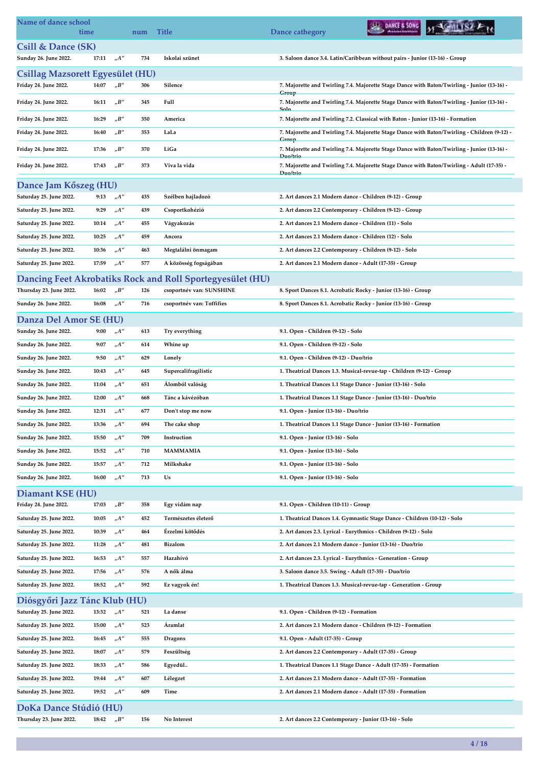| Name of dance school                    | time  |                                   | num | <b>Title</b>                                                                          | DANCE & SONG<br>Dance cathegory                                                                                     |  |
|-----------------------------------------|-------|-----------------------------------|-----|---------------------------------------------------------------------------------------|---------------------------------------------------------------------------------------------------------------------|--|
| Csill & Dance (SK)                      |       |                                   |     |                                                                                       |                                                                                                                     |  |
| Sunday 26. June 2022.                   | 17:11 | $n^{A''}$                         | 734 | Iskolai szünet                                                                        | 3. Saloon dance 3.4. Latin/Caribbean without pairs - Junior (13-16) - Group                                         |  |
| <b>Csillag Mazsorett Egyesület (HU)</b> |       |                                   |     |                                                                                       |                                                                                                                     |  |
| Friday 24. June 2022.                   | 14:07 | $n^{\prime}B^{\prime\prime}$      | 306 | Silence                                                                               | 7. Majorette and Twirling 7.4. Majorette Stage Dance with Baton/Twirling - Junior (13-16) -                         |  |
| Friday 24. June 2022.                   | 16:11 | $n^{\prime}B^{\prime\prime}$      | 345 | Full                                                                                  | <b>Group</b><br>7. Majorette and Twirling 7.4. Majorette Stage Dance with Baton/Twirling - Junior (13-16) -<br>Solo |  |
| Friday 24. June 2022.                   | 16:29 | $n^{\prime}B^{\prime\prime}$      | 350 | America                                                                               | 7. Majorette and Twirling 7.2. Classical with Baton - Junior (13-16) - Formation                                    |  |
| Friday 24. June 2022.                   | 16:40 | $n^{\prime}B^{\prime\prime}$      | 353 | LaLa                                                                                  | 7. Majorette and Twirling 7.4. Majorette Stage Dance with Baton/Twirling - Children (9-12) -                        |  |
| Friday 24. June 2022.                   | 17:36 | $n^{\prime}B^{\prime\prime}$      | 370 | LiGa                                                                                  | Group<br>7. Majorette and Twirling 7.4. Majorette Stage Dance with Baton/Twirling - Junior (13-16) -<br>Duo/trio    |  |
| Friday 24. June 2022.                   | 17:43 | $n^{\prime}B^{\prime\prime}$      | 373 | Viva la vida                                                                          | 7. Majorette and Twirling 7.4. Majorette Stage Dance with Baton/Twirling - Adult (17-35) -<br>Duo/trio              |  |
| Dance Jam Kőszeg (HU)                   |       |                                   |     |                                                                                       |                                                                                                                     |  |
| Saturday 25. June 2022.                 | 9:13  | H''                               | 435 | Szélben hajladozó                                                                     | 2. Art dances 2.1 Modern dance - Children (9-12) - Group                                                            |  |
| Saturday 25. June 2022.                 | 9:29  | $n^{\prime}A^{\prime\prime}$      | 439 | Csoportkohézió                                                                        | 2. Art dances 2.2 Contemporary - Children (9-12) - Group                                                            |  |
| Saturday 25. June 2022.                 | 10:14 | $n^{A''}$                         | 455 | Vágyakozás                                                                            | 2. Art dances 2.1 Modern dance - Children (11) - Solo                                                               |  |
| Saturday 25. June 2022.                 | 10:25 | $n^{\prime}A^{\prime\prime}$      | 459 | Ancora                                                                                | 2. Art dances 2.1 Modern dance - Children (12) - Solo                                                               |  |
| Saturday 25. June 2022.                 | 10:36 | $n^{A''}$                         | 463 | Megtalálni önmagam                                                                    | 2. Art dances 2.2 Contemporary - Children (9-12) - Solo                                                             |  |
| Saturday 25. June 2022.                 | 17:59 | $n^{A''}$                         | 577 | A közösség fogságában                                                                 | 2. Art dances 2.1 Modern dance - Adult (17-35) - Group                                                              |  |
|                                         |       |                                   |     |                                                                                       |                                                                                                                     |  |
| Thursday 23. June 2022.                 | 16:02 | $n^{\prime}B^{\prime\prime}$      | 126 | Dancing Feet Akrobatiks Rock and Roll Sportegyesület (HU)<br>csoportnév van: SUNSHINE | 8. Sport Dances 8.1. Acrobatic Rocky - Junior (13-16) - Group                                                       |  |
| Sunday 26. June 2022.                   | 16:08 | $h^{\prime\prime}$                | 716 | csoportnév van: Toffifies                                                             | 8. Sport Dances 8.1. Acrobatic Rocky - Junior (13-16) - Group                                                       |  |
|                                         |       |                                   |     |                                                                                       |                                                                                                                     |  |
| Danza Del Amor SE (HU)                  |       |                                   |     |                                                                                       |                                                                                                                     |  |
| Sunday 26. June 2022.                   | 9:00  | $n^{A''}$                         | 613 | Try everything                                                                        | 9.1. Open - Children (9-12) - Solo                                                                                  |  |
| Sunday 26. June 2022.                   | 9:07  | $n^{A''}$                         | 614 | Whine up                                                                              | 9.1. Open - Children (9-12) - Solo                                                                                  |  |
| Sunday 26. June 2022.                   | 9:50  | $n^{A''}$                         | 629 | Lonely                                                                                | 9.1. Open - Children (9-12) - Duo/trio                                                                              |  |
| Sunday 26. June 2022.                   | 10:43 | $n^{A''}$                         | 645 | Supercalifragilistic                                                                  | 1. Theatrical Dances 1.3. Musical-revue-tap - Children (9-12) - Group                                               |  |
| Sunday 26. June 2022.                   | 11:04 | $n^{A''}$                         | 651 | Alomból valóság                                                                       | 1. Theatrical Dances 1.1 Stage Dance - Junior (13-16) - Solo                                                        |  |
| Sunday 26. June 2022.                   | 12:00 | $n^{A''}$                         | 668 | Tánc a kávézóban                                                                      | 1. Theatrical Dances 1.1 Stage Dance - Junior (13-16) - Duo/trio                                                    |  |
| Sunday 26. June 2022.                   | 12:31 | $n^{A''}$                         | 677 | Don't stop me now                                                                     | 9.1. Open - Junior (13-16) - Duo/trio                                                                               |  |
| Sunday 26. June 2022.                   | 13:36 | $n^{\prime}A$                     | 694 | The cake shop                                                                         | 1. Theatrical Dances 1.1 Stage Dance - Junior (13-16) - Formation                                                   |  |
| Sunday 26. June 2022.                   | 15:50 | $n^{A''}$                         | 709 | Instruction                                                                           | 9.1. Open - Junior (13-16) - Solo                                                                                   |  |
| Sunday 26. June 2022.                   | 15:52 | $n^{A''}$                         | 710 | <b>MAMMAMIA</b>                                                                       | 9.1. Open - Junior (13-16) - Solo                                                                                   |  |
| Sunday 26. June 2022.                   | 15:57 | $n^{\prime}A^{\prime\prime}$      | 712 | Milkshake                                                                             | 9.1. Open - Junior (13-16) - Solo                                                                                   |  |
| Sunday 26. June 2022.                   | 16:00 | $n^{\prime}A^{\prime\prime}$      | 713 | Us                                                                                    | 9.1. Open - Junior (13-16) - Solo                                                                                   |  |
| Diamant KSE (HU)                        |       |                                   |     |                                                                                       |                                                                                                                     |  |
| Friday 24. June 2022.                   | 17:03 | $n^{\prime}B^{\prime\prime}$      | 358 | Egy vidám nap                                                                         | 9.1. Open - Children (10-11) - Group                                                                                |  |
| Saturday 25. June 2022.                 | 10:05 | $n^{A''}$                         | 452 | Természetes életerő                                                                   | 1. Theatrical Dances 1.4. Gymnastic Stage Dance - Children (10-12) - Solo                                           |  |
| Saturday 25. June 2022.                 | 10:39 | $n^{\prime}A^{\prime\prime}$      | 464 | Érzelmi kötődés                                                                       | 2. Art dances 2.3. Lyrical - Eurythmics - Children (9-12) - Solo                                                    |  |
| Saturday 25. June 2022.                 | 11:28 | $n^{\prime}A^{\prime\prime}$      | 481 | <b>Bizalom</b>                                                                        | 2. Art dances 2.1 Modern dance - Junior (13-16) - Duo/trio                                                          |  |
| Saturday 25. June 2022.                 | 16:53 | $_nA''$                           | 557 | Hazahívó                                                                              | 2. Art dances 2.3. Lyrical - Eurythmics - Generation - Group                                                        |  |
| Saturday 25. June 2022.                 | 17:56 | $n^{\prime}A^{\prime\prime}$      | 576 | A nők álma                                                                            | 3. Saloon dance 3.5. Swing - Adult (17-35) - Duo/trio                                                               |  |
| Saturday 25. June 2022.                 | 18:52 | $n^{A''}$                         | 592 | Ez vagyok én!                                                                         | 1. Theatrical Dances 1.3. Musical-revue-tap - Generation - Group                                                    |  |
| Diósgyőri Jazz Tánc Klub (HU)           |       |                                   |     |                                                                                       |                                                                                                                     |  |
| Saturday 25. June 2022.                 | 13:32 | $n^{A''}$                         | 521 | La danse                                                                              | 9.1. Open - Children (9-12) - Formation                                                                             |  |
| Saturday 25. June 2022.                 | 15:00 | $n^{A''}$                         | 523 | Aramlat                                                                               | 2. Art dances 2.1 Modern dance - Children (9-12) - Formation                                                        |  |
| Saturday 25. June 2022.                 | 16:45 | ${}_nA^{\prime\prime}$            | 555 | <b>Dragons</b>                                                                        | 9.1. Open - Adult (17-35) - Group                                                                                   |  |
| Saturday 25. June 2022.                 | 18:07 | $n^{A''}$                         | 579 | Feszültség                                                                            | 2. Art dances 2.2 Contemporary - Adult (17-35) - Group                                                              |  |
| Saturday 25. June 2022.                 | 18:33 | $n^{A''}$                         | 586 | Egyedül                                                                               | 1. Theatrical Dances 1.1 Stage Dance - Adult (17-35) - Formation                                                    |  |
| Saturday 25. June 2022.                 | 19:44 | $n^{\prime}A^{\prime\prime}$      | 607 | Lélegzet                                                                              | 2. Art dances 2.1 Modern dance - Adult (17-35) - Formation                                                          |  |
| Saturday 25. June 2022.                 | 19:52 | $h^{\prime\prime}$                | 609 | Time                                                                                  | 2. Art dances 2.1 Modern dance - Adult (17-35) - Formation                                                          |  |
| DoKa Dance Stúdió (HU)                  |       |                                   |     |                                                                                       |                                                                                                                     |  |
| Thursday 23. June 2022.                 | 18:42 | $_{\prime\prime}B^{\prime\prime}$ | 156 | No Interest                                                                           | 2. Art dances 2.2 Contemporary - Junior (13-16) - Solo                                                              |  |
|                                         |       |                                   |     |                                                                                       |                                                                                                                     |  |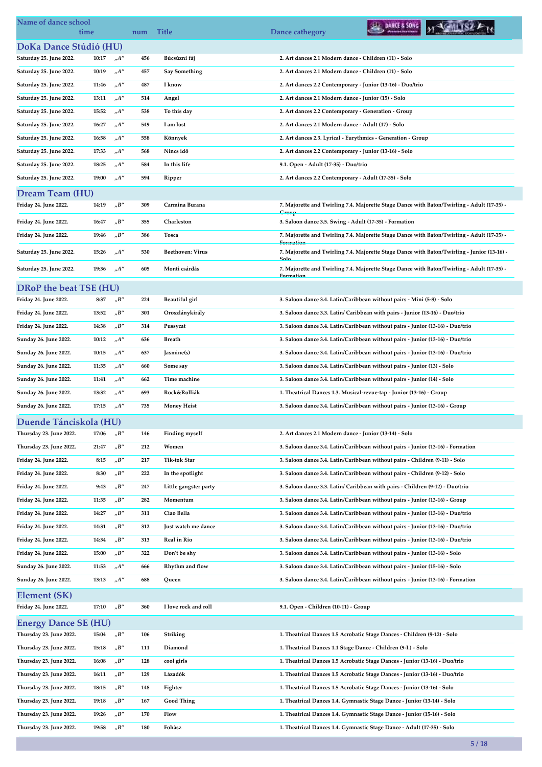| Name of dance school        | time  |                                   | num | <b>Title</b>            | DANCE & SONG<br>Dance cathegory                                                                         |
|-----------------------------|-------|-----------------------------------|-----|-------------------------|---------------------------------------------------------------------------------------------------------|
| DoKa Dance Stúdió (HU)      |       |                                   |     |                         |                                                                                                         |
| Saturday 25. June 2022.     | 10:17 | $n^{A}$                           | 456 | Búcsúzni fáj            | 2. Art dances 2.1 Modern dance - Children (11) - Solo                                                   |
| Saturday 25. June 2022.     | 10:19 | $n^{A''}$                         | 457 | <b>Say Something</b>    | 2. Art dances 2.1 Modern dance - Children (11) - Solo                                                   |
| Saturday 25. June 2022.     | 11:46 | $n^{A''}$                         | 487 | I know                  | 2. Art dances 2.2 Contemporary - Junior (13-16) - Duo/trio                                              |
| Saturday 25. June 2022.     | 13:11 | $_nA''$                           | 514 | Angel                   | 2. Art dances 2.1 Modern dance - Junior (15) - Solo                                                     |
| Saturday 25. June 2022.     | 15:52 | $n^{A''}$                         | 538 | To this day             | 2. Art dances 2.2 Contemporary - Generation - Group                                                     |
| Saturday 25. June 2022.     | 16:27 | $n^{A''}$                         | 549 | I am lost               | 2. Art dances 2.1 Modern dance - Adult (17) - Solo                                                      |
| Saturday 25. June 2022.     | 16:58 | $n^{A''}$                         | 558 | Könnyek                 | 2. Art dances 2.3. Lyrical - Eurythmics - Generation - Group                                            |
| Saturday 25. June 2022.     | 17:33 | A''                               | 568 | Nincs idő               | 2. Art dances 2.2 Contemporary - Junior (13-16) - Solo                                                  |
| Saturday 25. June 2022.     | 18:25 | $n^{A''}$                         | 584 | In this life            | 9.1. Open - Adult (17-35) - Duo/trio                                                                    |
| Saturday 25. June 2022.     | 19:00 | $n^{\prime}$                      | 594 | Ripper                  | 2. Art dances 2.2 Contemporary - Adult (17-35) - Solo                                                   |
| <b>Dream Team (HU)</b>      |       |                                   |     |                         |                                                                                                         |
| Friday 24. June 2022.       | 14:19 | "B"                               | 309 | Carmina Burana          | 7. Majorette and Twirling 7.4. Majorette Stage Dance with Baton/Twirling - Adult (17-35) -              |
| Friday 24. June 2022.       | 16:47 | "B"                               | 355 | Charleston              | Group<br>3. Saloon dance 3.5. Swing - Adult (17-35) - Formation                                         |
| Friday 24. June 2022.       | 19:46 | "B"                               | 386 | Tosca                   | 7. Majorette and Twirling 7.4. Majorette Stage Dance with Baton/Twirling - Adult (17-35) -              |
|                             |       |                                   |     |                         | Formation                                                                                               |
| Saturday 25. June 2022.     | 15:26 | $n^{A''}$                         | 530 | <b>Beethoven: Virus</b> | 7. Majorette and Twirling 7.4. Majorette Stage Dance with Baton/Twirling - Junior (13-16) -             |
| Saturday 25. June 2022.     | 19:36 | $n^{A''}$                         | 605 | Monti csárdás           | 7. Majorette and Twirling 7.4. Majorette Stage Dance with Baton/Twirling - Adult (17-35) -<br>Formation |
| DRoP the beat TSE (HU)      |       |                                   |     |                         |                                                                                                         |
| Friday 24. June 2022.       | 8:37  | "B"                               | 224 | Beautiful girl          | 3. Saloon dance 3.4. Latin/Caribbean without pairs - Mini (5-8) - Solo                                  |
| Friday 24. June 2022.       | 13:52 | $n^{\prime}B^{\prime\prime}$      | 301 | Oroszlánykirály         | 3. Saloon dance 3.3. Latin/ Caribbean with pairs - Junior (13-16) - Duo/trio                            |
| Friday 24. June 2022.       | 14:38 | $n^{\prime}B^{\prime\prime}$      | 314 | Pussycat                | 3. Saloon dance 3.4. Latin/Caribbean without pairs - Junior (13-16) - Duo/trio                          |
| Sunday 26. June 2022.       | 10:12 | $n^{\prime\prime}$                | 636 | <b>Breath</b>           | 3. Saloon dance 3.4. Latin/Caribbean without pairs - Junior (13-16) - Duo/trio                          |
| Sunday 26. June 2022.       | 10:15 | $n^{A''}$                         | 637 | Jasmine(s)              | 3. Saloon dance 3.4. Latin/Caribbean without pairs - Junior (13-16) - Duo/trio                          |
| Sunday 26. June 2022.       | 11:35 | $n^{A''}$                         | 660 | Some say                | 3. Saloon dance 3.4. Latin/Caribbean without pairs - Junior (13) - Solo                                 |
| Sunday 26. June 2022.       | 11:41 | "A"                               | 662 | Time machine            | 3. Saloon dance 3.4. Latin/Caribbean without pairs - Junior (14) - Solo                                 |
| Sunday 26. June 2022.       | 13:32 | $n^{A''}$                         | 693 | Rock&Rolliák            | 1. Theatrical Dances 1.3. Musical-revue-tap - Junior (13-16) - Group                                    |
| Sunday 26. June 2022.       | 17:15 | $n^{A''}$                         | 735 | <b>Money Heist</b>      | 3. Saloon dance 3.4. Latin/Caribbean without pairs - Junior (13-16) - Group                             |
| Duende Tánciskola (HU)      |       |                                   |     |                         |                                                                                                         |
| Thursday 23. June 2022.     | 17:06 | "B"                               | 146 | <b>Finding myself</b>   | 2. Art dances 2.1 Modern dance - Junior (13-14) - Solo                                                  |
| Thursday 23. June 2022.     | 21:47 | "B"                               | 212 | Women                   | 3. Saloon dance 3.4. Latin/Caribbean without pairs - Junior (13-16) - Formation                         |
| Friday 24. June 2022.       | 8:15  | "B"                               | 217 | Tik-tok Star            | 3. Saloon dance 3.4. Latin/Caribbean without pairs - Children (9-11) - Solo                             |
| Friday 24. June 2022.       | 8:30  | $n^{\prime}B^{\prime\prime}$      | 222 | In the spotlight        | 3. Saloon dance 3.4. Latin/Caribbean without pairs - Children (9-12) - Solo                             |
| Friday 24. June 2022.       | 9:43  | $n^{\prime}B^{\prime\prime}$      | 247 | Little gangster party   | 3. Saloon dance 3.3. Latin/ Caribbean with pairs - Children (9-12) - Duo/trio                           |
| Friday 24. June 2022.       | 11:35 | "B"                               | 282 | Momentum                | 3. Saloon dance 3.4. Latin/Caribbean without pairs - Junior (13-16) - Group                             |
| Friday 24. June 2022.       | 14:27 | "B"                               | 311 | Ciao Bella              | 3. Saloon dance 3.4. Latin/Caribbean without pairs - Junior (13-16) - Duo/trio                          |
| Friday 24. June 2022.       | 14:31 | "B"                               | 312 | Just watch me dance     | 3. Saloon dance 3.4. Latin/Caribbean without pairs - Junior (13-16) - Duo/trio                          |
| Friday 24. June 2022.       | 14:34 | $n^{\prime}B^{\prime\prime}$      | 313 | Real in Rio             | 3. Saloon dance 3.4. Latin/Caribbean without pairs - Junior (13-16) - Duo/trio                          |
| Friday 24. June 2022.       | 15:00 | "B"                               | 322 | Don't be shy            | 3. Saloon dance 3.4. Latin/Caribbean without pairs - Junior (13-16) - Solo                              |
| Sunday 26. June 2022.       | 11:53 | A''                               | 666 | Rhythm and flow         | 3. Saloon dance 3.4. Latin/Caribbean without pairs - Junior (15-16) - Solo                              |
| Sunday 26. June 2022.       | 13:13 | $n^{A''}$                         | 688 | Queen                   | 3. Saloon dance 3.4. Latin/Caribbean without pairs - Junior (13-16) - Formation                         |
| Element (SK)                |       |                                   |     |                         |                                                                                                         |
| Friday 24. June 2022.       | 17:10 | $_{\prime\prime}B^{\prime\prime}$ | 360 | I love rock and roll    | 9.1. Open - Children (10-11) - Group                                                                    |
| <b>Energy Dance SE (HU)</b> |       |                                   |     |                         |                                                                                                         |
| Thursday 23. June 2022.     | 15:04 | "B"                               | 106 | Striking                | 1. Theatrical Dances 1.5 Acrobatic Stage Dances - Children (9-12) - Solo                                |
| Thursday 23. June 2022.     | 15:18 | "B"                               | 111 | Diamond                 | 1. Theatrical Dances 1.1 Stage Dance - Children (9-I.) - Solo                                           |
| Thursday 23. June 2022.     | 16:08 | "B"                               | 128 | cool girls              | 1. Theatrical Dances 1.5 Acrobatic Stage Dances - Junior (13-16) - Duo/trio                             |
| Thursday 23. June 2022.     | 16:11 | "B"                               | 129 | Lázadók                 | 1. Theatrical Dances 1.5 Acrobatic Stage Dances - Junior (13-16) - Duo/trio                             |
| Thursday 23. June 2022.     | 18:15 | "B"                               | 148 | Fighter                 | 1. Theatrical Dances 1.5 Acrobatic Stage Dances - Junior (13-16) - Solo                                 |
| Thursday 23. June 2022.     | 19:18 | "B"                               | 167 | <b>Good Thing</b>       | 1. Theatrical Dances 1.4. Gymnastic Stage Dance - Junior (13-14) - Solo                                 |
| Thursday 23. June 2022.     | 19:26 | "B"                               | 170 | Flow                    | 1. Theatrical Dances 1.4. Gymnastic Stage Dance - Junior (15-16) - Solo                                 |
| Thursday 23. June 2022.     | 19:58 | "B"                               | 180 | Fohàsz                  | 1. Theatrical Dances 1.4. Gymnastic Stage Dance - Adult (17-35) - Solo                                  |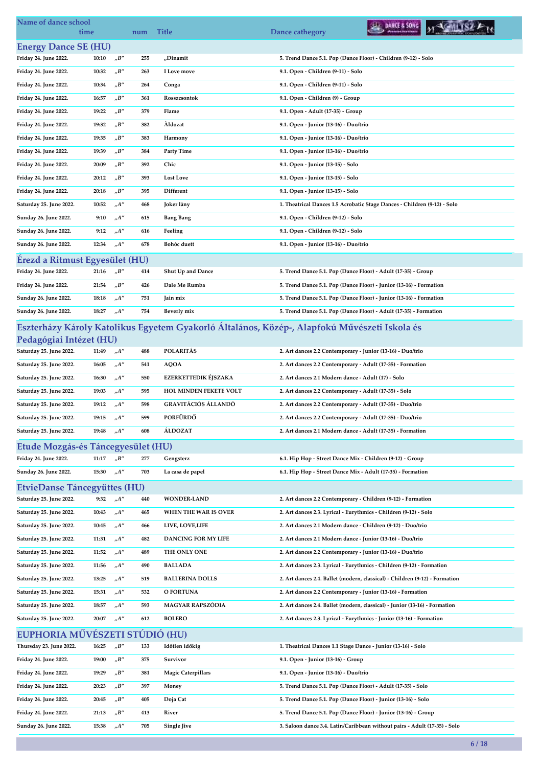| Name of dance school                |       |                                   |     |                                        | DANCE & SONG                                                                                 |
|-------------------------------------|-------|-----------------------------------|-----|----------------------------------------|----------------------------------------------------------------------------------------------|
| time                                |       |                                   | num | <b>Title</b>                           | Dance cathegory                                                                              |
| <b>Energy Dance SE (HU)</b>         |       |                                   |     |                                        |                                                                                              |
| Friday 24. June 2022.               | 10:10 | "B"                               | 255 | "Dinamit                               | 5. Trend Dance 5.1. Pop (Dance Floor) - Children (9-12) - Solo                               |
| Friday 24. June 2022.               | 10:32 | $n^{\prime}B^{\prime\prime}$      | 263 | I Love move                            | 9.1. Open - Children (9-11) - Solo                                                           |
| Friday 24. June 2022.               | 10:34 | "B"                               | 264 | Conga                                  | 9.1. Open - Children (9-11) - Solo                                                           |
| Friday 24. June 2022.               | 16:57 | "B"                               | 361 | Rosszcsontok                           | 9.1. Open - Children (9) - Group                                                             |
| Friday 24. June 2022.               | 19:22 | "B"                               | 379 | Flame                                  | 9.1. Open - Adult (17-35) - Group                                                            |
| Friday 24. June 2022.               | 19:32 | $n^{\prime}B^{\prime\prime}$      | 382 | Aldozat                                | 9.1. Open - Junior (13-16) - Duo/trio                                                        |
| Friday 24. June 2022.               | 19:35 | $n^{\prime}B^{\prime\prime}$      | 383 | Harmony                                | 9.1. Open - Junior (13-16) - Duo/trio                                                        |
| Friday 24. June 2022.               | 19:39 | "B"                               | 384 | <b>Party Time</b>                      | 9.1. Open - Junior (13-16) - Duo/trio                                                        |
| Friday 24. June 2022.               | 20:09 | "B"                               | 392 | Chic                                   | 9.1. Open - Junior (13-15) - Solo                                                            |
| Friday 24. June 2022.               | 20:12 | $_{\prime\prime}B^{\prime\prime}$ | 393 | <b>Lost Love</b>                       | 9.1. Open - Junior (13-15) - Solo                                                            |
| Friday 24. June 2022.               | 20:18 | "B"                               | 395 | Different                              | 9.1. Open - Junior (13-15) - Solo                                                            |
| Saturday 25. June 2022.             | 10:52 | "A"                               | 468 | Joker làny                             | 1. Theatrical Dances 1.5 Acrobatic Stage Dances - Children (9-12) - Solo                     |
| Sunday 26. June 2022.               | 9:10  | $_nA''$                           | 615 | <b>Bang Bang</b>                       | 9.1. Open - Children (9-12) - Solo                                                           |
| Sunday 26. June 2022.               | 9:12  | $n^{\prime\prime}$                | 616 | Feeling                                | 9.1. Open - Children (9-12) - Solo                                                           |
| Sunday 26. June 2022.               | 12:34 | A''                               | 678 | <b>Bohóc</b> duett                     | 9.1. Open - Junior (13-16) - Duo/trio                                                        |
| Erezd a Ritmust Egyesület (HU)      |       |                                   |     |                                        |                                                                                              |
| Friday 24. June 2022.               | 21:16 | "B"                               | 414 | Shut Up and Dance                      | 5. Trend Dance 5.1. Pop (Dance Floor) - Adult (17-35) - Group                                |
| Friday 24. June 2022.               | 21:54 | $n^{\prime}B^{\prime\prime}$      | 426 | Dale Me Rumba                          | 5. Trend Dance 5.1. Pop (Dance Floor) - Junior (13-16) - Formation                           |
| Sunday 26. June 2022.               | 18:18 | "A"                               | 751 | Jain mix                               | 5. Trend Dance 5.1. Pop (Dance Floor) - Junior (13-16) - Formation                           |
| Sunday 26. June 2022.               | 18:27 | $n^{\prime}A^{\prime\prime}$      | 754 | Beverly mix                            | 5. Trend Dance 5.1. Pop (Dance Floor) - Adult (17-35) - Formation                            |
|                                     |       |                                   |     |                                        | Eszterházy Károly Katolikus Egyetem Gyakorló Általános, Közép-, Alapfokú Művészeti Iskola és |
| Pedagógiai Intézet (HU)             |       |                                   |     |                                        |                                                                                              |
| Saturday 25. June 2022.             | 11:49 | $n^{\prime\prime}$                | 488 | <b>POLARITÁS</b>                       | 2. Art dances 2.2 Contemporary - Junior (13-16) - Duo/trio                                   |
| Saturday 25. June 2022.             | 16:05 | "A"                               | 541 | <b>AQOA</b>                            | 2. Art dances 2.2 Contemporary - Adult (17-35) - Formation                                   |
| Saturday 25. June 2022.             | 16:30 | $n^{\prime\prime}$                | 550 | <b>EZERKETTEDIK ÉJSZAKA</b>            | 2. Art dances 2.1 Modern dance - Adult (17) - Solo                                           |
| Saturday 25. June 2022.             | 19:03 | "A"                               | 595 | HOL MINDEN FEKETE VOLT                 | 2. Art dances 2.2 Contemporary - Adult (17-35) - Solo                                        |
| Saturday 25. June 2022.             | 19:12 | A''                               | 598 | <b>GRAVITÁCIÓS ÁLLANDÓ</b><br>PORFÜRDŐ | 2. Art dances 2.2 Contemporary - Adult (17-35) - Duo/trio                                    |
| Saturday 25. June 2022.             | 19:15 | $n^{\prime\prime}$                | 599 |                                        | 2. Art dances 2.2 Contemporary - Adult (17-35) - Duo/trio                                    |
| Saturday 25. June 2022.             | 19:48 | $n^{\prime\prime}$                | 608 | <b>ALDOZAT</b>                         | 2. Art dances 2.1 Modern dance - Adult (17-35) - Formation                                   |
| Etude Mozgás-és Táncegyesület (HU)  |       |                                   |     |                                        |                                                                                              |
| Friday 24. June 2022.               | 11:17 | $n^{\prime}B^{\prime\prime}$      | 277 | Gengsterz                              | 6.1. Hip Hop - Street Dance Mix - Children (9-12) - Group                                    |
| Sunday 26. June 2022.               | 15:30 | $_nA''$                           | 703 | La casa de papel                       | 6.1. Hip Hop - Street Dance Mix - Adult (17-35) - Formation                                  |
| <b>EtvieDanse Táncegyüttes (HU)</b> |       |                                   |     |                                        |                                                                                              |
| Saturday 25. June 2022.             | 9:32  | "A"                               | 440 | <b>WONDER-LAND</b>                     | 2. Art dances 2.2 Contemporary - Children (9-12) - Formation                                 |
| Saturday 25. June 2022.             | 10:43 | $n^{\prime\prime}$                | 465 | WHEN THE WAR IS OVER                   | 2. Art dances 2.3. Lyrical - Eurythmics - Children (9-12) - Solo                             |
| Saturday 25. June 2022.             | 10:45 | $n^{\prime\prime}$                | 466 | LIVE, LOVE,LIFE                        | 2. Art dances 2.1 Modern dance - Children (9-12) - Duo/trio                                  |
| Saturday 25. June 2022.             | 11:31 | $n^{\prime\prime}$                | 482 | DANCING FOR MY LIFE                    | 2. Art dances 2.1 Modern dance - Junior (13-16) - Duo/trio                                   |
| Saturday 25. June 2022.             | 11:52 | $n^{\prime\prime}$                | 489 | THE ONLY ONE                           | 2. Art dances 2.2 Contemporary - Junior (13-16) - Duo/trio                                   |
| Saturday 25. June 2022.             | 11:56 | $n^{\prime\prime}$                | 490 | <b>BALLADA</b>                         | 2. Art dances 2.3. Lyrical - Eurythmics - Children (9-12) - Formation                        |
| Saturday 25. June 2022.             | 13:25 | $n^{\prime}A^{\prime\prime}$      | 519 | <b>BALLERINA DOLLS</b>                 | 2. Art dances 2.4. Ballet (modern, classical) - Children (9-12) - Formation                  |
| Saturday 25. June 2022.             | 15:31 | $n^{\prime\prime}$                | 532 | O FORTUNA                              | 2. Art dances 2.2 Contemporary - Junior (13-16) - Formation                                  |
| Saturday 25. June 2022.             | 18:57 | A''                               | 593 | MAGYAR RAPSZÓDIA                       | 2. Art dances 2.4. Ballet (modern, classical) - Junior (13-16) - Formation                   |
| Saturday 25. June 2022.             | 20:07 | $n^{\prime}A^{\prime\prime}$      | 612 | <b>BOLERO</b>                          | 2. Art dances 2.3. Lyrical - Eurythmics - Junior (13-16) - Formation                         |
| EUPHORIA MŰVÉSZETI STÚDIÓ (HU)      |       |                                   |     |                                        |                                                                                              |
| Thursday 23. June 2022.             | 16:25 | "B"                               | 133 | Időtlen időkig                         | 1. Theatrical Dances 1.1 Stage Dance - Junior (13-16) - Solo                                 |
| Friday 24. June 2022.               | 19:00 | $n^{\prime}B^{\prime\prime}$      | 375 | Survivor                               | 9.1. Open - Junior (13-16) - Group                                                           |
| Friday 24. June 2022.               | 19:29 | $n^{\prime}B^{\prime\prime}$      | 381 | <b>Magic Caterpillars</b>              | 9.1. Open - Junior (13-16) - Duo/trio                                                        |
| Friday 24. June 2022.               | 20:23 | "B"                               | 397 | Money                                  | 5. Trend Dance 5.1. Pop (Dance Floor) - Adult (17-35) - Solo                                 |
| Friday 24. June 2022.               | 20:45 | $n^{\prime}B^{\prime\prime}$      | 405 | Doja Cat                               | 5. Trend Dance 5.1. Pop (Dance Floor) - Junior (13-16) - Solo                                |
| Friday 24. June 2022.               | 21:13 | $n^{\prime}B^{\prime\prime}$      | 413 | River                                  | 5. Trend Dance 5.1. Pop (Dance Floor) - Junior (13-16) - Group                               |
| Sunday 26. June 2022.               | 15:38 | $_nA''$                           | 705 | <b>Single Jive</b>                     | 3. Saloon dance 3.4. Latin/Caribbean without pairs - Adult (17-35) - Solo                    |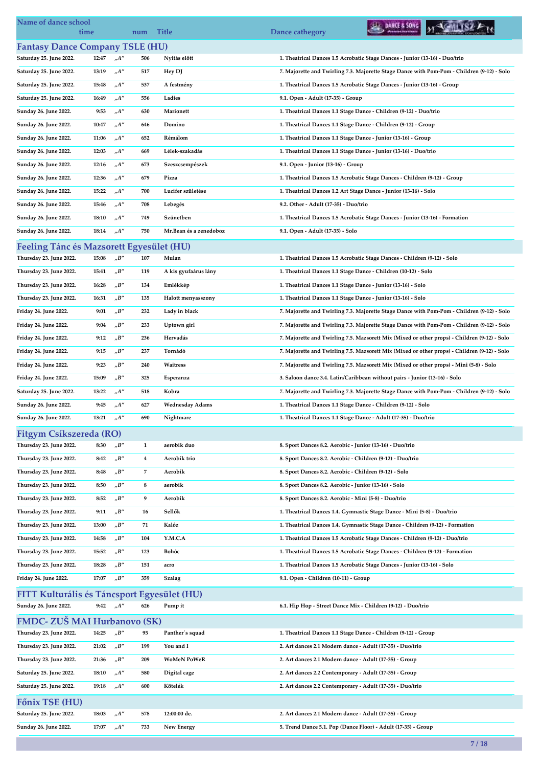| Name of dance school<br>time                   |       |                                   | num                     | <b>Title</b>                 | DANCE & SONG<br>Dance cathegory                                                              |
|------------------------------------------------|-------|-----------------------------------|-------------------------|------------------------------|----------------------------------------------------------------------------------------------|
| <b>Fantasy Dance Company TSLE (HU)</b>         |       |                                   |                         |                              |                                                                                              |
| Saturday 25. June 2022.                        | 12:47 | $n^{\prime\prime}$                | 506                     | Nyitás előtt                 | 1. Theatrical Dances 1.5 Acrobatic Stage Dances - Junior (13-16) - Duo/trio                  |
| Saturday 25. June 2022.                        | 13:19 | $_{\shortmid n}A^{\prime\prime}$  | 517                     | Hey DJ                       | 7. Majorette and Twirling 7.3. Majorette Stage Dance with Pom-Pom - Children (9-12) - Solo   |
| Saturday 25. June 2022.                        | 15:48 | $_nA''$                           | 537                     | A festmény                   | 1. Theatrical Dances 1.5 Acrobatic Stage Dances - Junior (13-16) - Group                     |
| Saturday 25. June 2022.                        | 16:49 | $n^{\prime\prime}$                | 556                     | Ladies                       | 9.1. Open - Adult (17-35) - Group                                                            |
| Sunday 26. June 2022.                          | 9:53  | "A"                               | 630                     | Marionett                    | 1. Theatrical Dances 1.1 Stage Dance - Children (9-12) - Duo/trio                            |
| Sunday 26. June 2022.                          | 10:47 | $n^{\prime\prime}$                | 646                     | Domino                       | 1. Theatrical Dances 1.1 Stage Dance - Children (9-12) - Group                               |
| Sunday 26. June 2022.                          | 11:06 | $n^{\prime\prime}$                | 652                     | Rémálom                      | 1. Theatrical Dances 1.1 Stage Dance - Junior (13-16) - Group                                |
| Sunday 26. June 2022.                          | 12:03 | $n^{A''}$                         | 669                     | Lélek-szakadás               | 1. Theatrical Dances 1.1 Stage Dance - Junior (13-16) - Duo/trio                             |
| Sunday 26. June 2022.                          | 12:16 | "A"                               | 673                     | Szeszcsempészek              | 9.1. Open - Junior (13-16) - Group                                                           |
| Sunday 26. June 2022.                          | 12:36 | "A"                               | 679                     | Pizza                        | 1. Theatrical Dances 1.5 Acrobatic Stage Dances - Children (9-12) - Group                    |
| Sunday 26. June 2022.                          | 15:22 | $_{\shortmid n}A^{\prime\prime}$  | 700                     | Lucifer születése            | 1. Theatrical Dances 1.2 Art Stage Dance - Junior (13-16) - Solo                             |
| Sunday 26. June 2022.                          | 15:46 | $n^{\prime\prime}$                | 708                     | Lebegés                      | 9.2. Other - Adult (17-35) - Duo/trio                                                        |
| Sunday 26. June 2022.                          | 18:10 | $n^{A''}$                         | 749                     | Szünetben                    | 1. Theatrical Dances 1.5 Acrobatic Stage Dances - Junior (13-16) - Formation                 |
| Sunday 26. June 2022.                          | 18:14 | "A"                               | 750                     | Mr.Bean és a zenedoboz       | 9.1. Open - Adult (17-35) - Solo                                                             |
| Feeling Tánc és Mazsorett Egyesület (HU)       |       |                                   |                         |                              |                                                                                              |
| Thursday 23. June 2022.                        | 15:08 | "B"                               | 107                     | Mulan                        | 1. Theatrical Dances 1.5 Acrobatic Stage Dances - Children (9-12) - Solo                     |
| Thursday 23. June 2022.                        | 15:41 | "B"                               | 119                     | A kis gyufaárus lány         | 1. Theatrical Dances 1.1 Stage Dance - Children (10-12) - Solo                               |
| Thursday 23. June 2022.                        | 16:28 | "B"                               | 134                     | Emlékkép                     | 1. Theatrical Dances 1.1 Stage Dance - Junior (13-16) - Solo                                 |
| Thursday 23. June 2022.                        | 16:31 | "B"                               | 135                     | Halott menyasszony           | 1. Theatrical Dances 1.1 Stage Dance - Junior (13-16) - Solo                                 |
| Friday 24. June 2022.                          | 9:01  | "B"                               | 232                     | Lady in black                | 7. Majorette and Twirling 7.3. Majorette Stage Dance with Pom-Pom - Children (9-12) - Solo   |
| Friday 24. June 2022.                          | 9:04  | "B"                               | 233                     | Uptown girl                  | 7. Majorette and Twirling 7.3. Majorette Stage Dance with Pom-Pom - Children (9-12) - Solo   |
| Friday 24. June 2022.                          | 9:12  | $n^{\prime}B^{\prime\prime}$      | 236                     | Hervadás                     | 7. Majorette and Twirling 7.5. Mazsorett Mix (Mixed or other props) - Children (9-12) - Solo |
| Friday 24. June 2022.                          | 9:15  | "B"                               | 237                     | Tornádó                      | 7. Majorette and Twirling 7.5. Mazsorett Mix (Mixed or other props) - Children (9-12) - Solo |
| Friday 24. June 2022.                          | 9:23  | $n^{\prime}B^{\prime\prime}$      | 240                     | Waitress                     | 7. Majorette and Twirling 7.5. Mazsorett Mix (Mixed or other props) - Mini (5-8) - Solo      |
| Friday 24. June 2022.                          | 15:09 | "B"                               | 325                     | Esperanza                    | 3. Saloon dance 3.4. Latin/Caribbean without pairs - Junior (13-16) - Solo                   |
| Saturday 25. June 2022.                        | 13:22 | "A"                               | 518                     | Kobra                        | 7. Majorette and Twirling 7.3. Majorette Stage Dance with Pom-Pom - Children (9-12) - Solo   |
|                                                | 9:45  | "A"                               | 627                     |                              | 1. Theatrical Dances 1.1 Stage Dance - Children (9-12) - Solo                                |
| Sunday 26. June 2022.<br>Sunday 26. June 2022. | 13:21 | $n^{\prime\prime}$                | 690                     | Wednesday Adams<br>Nightmare | 1. Theatrical Dances 1.1 Stage Dance - Adult (17-35) - Duo/trio                              |
|                                                |       |                                   |                         |                              |                                                                                              |
| Fitgym Csíkszereda (RO)                        |       |                                   |                         |                              |                                                                                              |
| Thursday 23. June 2022.                        | 8:30  | "B"                               | 1                       | aerobik duo                  | 8. Sport Dances 8.2. Aerobic - Junior (13-16) - Duo/trio                                     |
| Thursday 23. June 2022.                        | 8:42  | $n^{\prime}B^{\prime\prime}$      | $\overline{\mathbf{4}}$ | Aerobik trio                 | 8. Sport Dances 8.2. Aerobic - Children (9-12) - Duo/trio                                    |
| Thursday 23. June 2022.                        | 8:48  | $n^{\prime}B^{\prime\prime}$      | 7                       | Aerobik                      | 8. Sport Dances 8.2. Aerobic - Children (9-12) - Solo                                        |
| Thursday 23. June 2022.                        | 8:50  | $n^{\prime}B^{\prime\prime}$      | 8                       | aerobik                      | 8. Sport Dances 8.2. Aerobic - Junior (13-16) - Solo                                         |
| Thursday 23. June 2022.                        | 8:52  | $n^{\prime}B^{\prime\prime}$      | 9                       | Aerobik                      | 8. Sport Dances 8.2. Aerobic - Mini (5-8) - Duo/trio                                         |
| Thursday 23. June 2022.                        | 9:11  | $n^{\prime}B^{\prime\prime}$      | 16                      | Sellők                       | 1. Theatrical Dances 1.4. Gymnastic Stage Dance - Mini (5-8) - Duo/trio                      |
| Thursday 23. June 2022.                        | 13:00 | $n^{\prime}B^{\prime\prime}$      | 71                      | Kalóz                        | 1. Theatrical Dances 1.4. Gymnastic Stage Dance - Children (9-12) - Formation                |
| Thursday 23. June 2022.                        | 14:58 | $n^{\prime}B^{\prime\prime}$      | 104                     | Y.M.C.A                      | 1. Theatrical Dances 1.5 Acrobatic Stage Dances - Children (9-12) - Duo/trio                 |
| Thursday 23. June 2022.                        | 15:52 | $_{\prime\prime}B^{\prime\prime}$ | 123                     | Bohóc                        | 1. Theatrical Dances 1.5 Acrobatic Stage Dances - Children (9-12) - Formation                |
| Thursday 23. June 2022.                        | 18:28 | $n^{\prime}B^{\prime\prime}$      | 151                     | acro                         | 1. Theatrical Dances 1.5 Acrobatic Stage Dances - Junior (13-16) - Solo                      |
| Friday 24. June 2022.                          | 17:07 | $n^{\prime}B^{\prime\prime}$      | 359                     | Szalag                       | 9.1. Open - Children (10-11) - Group                                                         |
| FITT Kulturális és Táncsport Egyesület (HU)    |       |                                   |                         |                              |                                                                                              |
| Sunday 26. June 2022.                          | 9:42  | H''                               | 626                     | Pump it                      | 6.1. Hip Hop - Street Dance Mix - Children (9-12) - Duo/trio                                 |
| FMDC- ZUŠ MAI Hurbanovo (SK)                   |       |                                   |                         |                              |                                                                                              |
| Thursday 23. June 2022.                        | 14:25 | "B"                               | 95                      | Panther's squad              | 1. Theatrical Dances 1.1 Stage Dance - Children (9-12) - Group                               |
| Thursday 23. June 2022.                        | 21:02 | $n^{\prime}B^{\prime\prime}$      | 199                     | You and I                    | 2. Art dances 2.1 Modern dance - Adult (17-35) - Duo/trio                                    |
| Thursday 23. June 2022.                        | 21:36 | $n^{\prime}B^{\prime\prime}$      | 209                     | <b>WoMeN PoWeR</b>           | 2. Art dances 2.1 Modern dance - Adult (17-35) - Group                                       |
| Saturday 25. June 2022.                        | 18:10 | $n^{\prime\prime}$                | 580                     | Digital cage                 | 2. Art dances 2.2 Contemporary - Adult (17-35) - Group                                       |
| Saturday 25. June 2022.                        | 19:18 | $n^{\prime}A^{\prime\prime}$      | 600                     | Kötelék                      | 2. Art dances 2.2 Contemporary - Adult (17-35) - Duo/trio                                    |
| Főnix TSE (HU)                                 |       |                                   |                         |                              |                                                                                              |
| Saturday 25. June 2022.                        | 18:03 | $n^{\prime\prime}$                | 578                     | 12:00:00 de.                 | 2. Art dances 2.1 Modern dance - Adult (17-35) - Group                                       |
| Sunday 26. June 2022.                          | 17:07 | $_{\shortmid n}A^{\prime\prime}$  | 733                     | New Energy                   | 5. Trend Dance 5.1. Pop (Dance Floor) - Adult (17-35) - Group                                |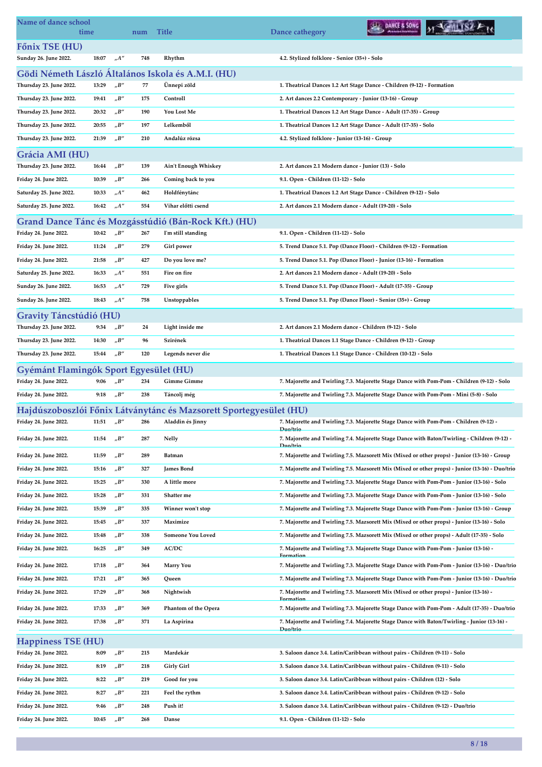| Name of dance school                   | time  |                                   | num | <b>Title</b>                                                       | Dance cathegory                                                                                         | DANCE & SONG |                                                                                                 |
|----------------------------------------|-------|-----------------------------------|-----|--------------------------------------------------------------------|---------------------------------------------------------------------------------------------------------|--------------|-------------------------------------------------------------------------------------------------|
| Főnix TSE (HU)                         |       |                                   |     |                                                                    |                                                                                                         |              |                                                                                                 |
| Sunday 26. June 2022.                  | 18:07 | $n^{\prime\prime}$                | 748 | Rhythm                                                             | 4.2. Stylized folklore - Senior (35+) - Solo                                                            |              |                                                                                                 |
|                                        |       |                                   |     | Gödi Németh László Általános Iskola és A.M.I. (HU)                 |                                                                                                         |              |                                                                                                 |
| Thursday 23. June 2022.                | 13:29 | $n^{\prime}B^{\prime\prime}$      | 77  | Unnepi zöld                                                        | 1. Theatrical Dances 1.2 Art Stage Dance - Children (9-12) - Formation                                  |              |                                                                                                 |
| Thursday 23. June 2022.                | 19:41 | $_{\prime\prime}B^{\prime\prime}$ | 175 | Controll                                                           | 2. Art dances 2.2 Contemporary - Junior (13-16) - Group                                                 |              |                                                                                                 |
| Thursday 23. June 2022.                | 20:32 | "B"                               | 190 | You Lost Me                                                        | 1. Theatrical Dances 1.2 Art Stage Dance - Adult (17-35) - Group                                        |              |                                                                                                 |
| Thursday 23. June 2022.                | 20:55 | $n^{\prime}B^{\prime\prime}$      | 197 | Lelkemből                                                          | 1. Theatrical Dances 1.2 Art Stage Dance - Adult (17-35) - Solo                                         |              |                                                                                                 |
| Thursday 23. June 2022.                | 21:39 | $n^{\prime}B^{\prime\prime}$      | 210 | Andalúz rózsa                                                      | 4.2. Stylized folklore - Junior (13-16) - Group                                                         |              |                                                                                                 |
| Grácia AMI (HU)                        |       |                                   |     |                                                                    |                                                                                                         |              |                                                                                                 |
| Thursday 23. June 2022.                | 16:44 | $n^{\prime}B^{\prime\prime}$      | 139 | Ain't Enough Whiskey                                               | 2. Art dances 2.1 Modern dance - Junior (13) - Solo                                                     |              |                                                                                                 |
| Friday 24. June 2022.                  | 10:39 | $_{\prime\prime}B^{\prime\prime}$ | 266 | Coming back to you                                                 | 9.1. Open - Children (11-12) - Solo                                                                     |              |                                                                                                 |
| Saturday 25. June 2022.                | 10:33 | $n^{\prime\prime}$                | 462 | Holdfénytánc                                                       | 1. Theatrical Dances 1.2 Art Stage Dance - Children (9-12) - Solo                                       |              |                                                                                                 |
| Saturday 25. June 2022.                | 16:42 | $n^{A''}$                         | 554 | Vihar előtti csend                                                 | 2. Art dances 2.1 Modern dance - Adult (19-20) - Solo                                                   |              |                                                                                                 |
|                                        |       |                                   |     |                                                                    |                                                                                                         |              |                                                                                                 |
|                                        |       |                                   |     | Grand Dance Tánc és Mozgásstúdió (Bán-Rock Kft.) (HU)              |                                                                                                         |              |                                                                                                 |
| Friday 24. June 2022.                  | 10:42 | $_{\prime\prime}B^{\prime\prime}$ | 267 | I'm still standing                                                 | 9.1. Open - Children (11-12) - Solo                                                                     |              |                                                                                                 |
| Friday 24. June 2022.                  | 11:24 | $_{\prime\prime}B^{\prime\prime}$ | 279 | <b>Girl</b> power                                                  | 5. Trend Dance 5.1. Pop (Dance Floor) - Children (9-12) - Formation                                     |              |                                                                                                 |
| Friday 24. June 2022.                  | 21:58 | $_{\prime\prime}B^{\prime\prime}$ | 427 | Do you love me?                                                    | 5. Trend Dance 5.1. Pop (Dance Floor) - Junior (13-16) - Formation                                      |              |                                                                                                 |
| Saturday 25. June 2022.                | 16:33 | $n^{A''}$                         | 551 | Fire on fire                                                       | 2. Art dances 2.1 Modern dance - Adult (19-20) - Solo                                                   |              |                                                                                                 |
| Sunday 26. June 2022.                  | 16:53 | "A"                               | 729 | Five girls                                                         | 5. Trend Dance 5.1. Pop (Dance Floor) - Adult (17-35) - Group                                           |              |                                                                                                 |
| Sunday 26. June 2022.                  | 18:43 | $n^{\prime}A^{\prime\prime}$      | 758 | Unstoppables                                                       | 5. Trend Dance 5.1. Pop (Dance Floor) - Senior (35+) - Group                                            |              |                                                                                                 |
| Gravity Táncstúdió (HU)                |       |                                   |     |                                                                    |                                                                                                         |              |                                                                                                 |
| Thursday 23. June 2022.                | 9:34  | $_{\prime\prime}$ B"              | 24  | Light inside me                                                    | 2. Art dances 2.1 Modern dance - Children (9-12) - Solo                                                 |              |                                                                                                 |
| Thursday 23. June 2022.                | 14:30 | $n^{\prime}B^{\prime\prime}$      | 96  | Szirének                                                           | 1. Theatrical Dances 1.1 Stage Dance - Children (9-12) - Group                                          |              |                                                                                                 |
| Thursday 23. June 2022.                | 15:44 | $n^{\prime}B^{\prime\prime}$      | 120 | Legends never die                                                  | 1. Theatrical Dances 1.1 Stage Dance - Children (10-12) - Solo                                          |              |                                                                                                 |
| Gyémánt Flamingók Sport Egyesület (HU) |       |                                   |     |                                                                    |                                                                                                         |              |                                                                                                 |
| Friday 24. June 2022.                  | 9:06  | $n^{\prime}B^{\prime\prime}$      | 234 | <b>Gimme Gimme</b>                                                 |                                                                                                         |              | 7. Majorette and Twirling 7.3. Majorette Stage Dance with Pom-Pom - Children (9-12) - Solo      |
| Friday 24. June 2022.                  | 9:18  | $_{\prime\prime}B^{\prime\prime}$ | 238 | Táncolj még                                                        | 7. Majorette and Twirling 7.3. Majorette Stage Dance with Pom-Pom - Mini (5-8) - Solo                   |              |                                                                                                 |
|                                        |       |                                   |     | Hajdúszoboszlói Főnix Látványtánc és Mazsorett Sportegyesület (HU) |                                                                                                         |              |                                                                                                 |
| Friday 24. June 2022.                  | 11:51 | "B"                               | 286 | Aladdin és Jinny                                                   | 7. Majorette and Twirling 7.3. Majorette Stage Dance with Pom-Pom - Children (9-12) -                   |              |                                                                                                 |
| Friday 24. June 2022.                  | 11:54 | "B"                               | 287 | Nelly                                                              | Duo/trio                                                                                                |              | 7. Majorette and Twirling 7.4. Majorette Stage Dance with Baton/Twirling - Children (9-12) -    |
|                                        |       |                                   |     |                                                                    | Duo/trio                                                                                                |              |                                                                                                 |
| Friday 24. June 2022.                  | 11:59 | $_{\prime\prime}B^{\prime\prime}$ | 289 | Batman                                                             |                                                                                                         |              | 7. Majorette and Twirling 7.5. Mazsorett Mix (Mixed or other props) - Junior (13-16) - Group    |
| Friday 24. June 2022.                  | 15:16 | $n^{\prime}B^{\prime\prime}$      | 327 | <b>James Bond</b>                                                  |                                                                                                         |              | 7. Majorette and Twirling 7.5. Mazsorett Mix (Mixed or other props) - Junior (13-16) - Duo/trio |
| Friday 24. June 2022.                  | 15:25 | "B"                               | 330 | A little more                                                      | 7. Majorette and Twirling 7.3. Majorette Stage Dance with Pom-Pom - Junior (13-16) - Solo               |              |                                                                                                 |
| Friday 24. June 2022.                  | 15:28 | "B"                               | 331 | Shatter me                                                         | 7. Majorette and Twirling 7.3. Majorette Stage Dance with Pom-Pom - Junior (13-16) - Solo               |              |                                                                                                 |
| Friday 24. June 2022.                  | 15:39 | $_{\prime\prime}B^{\prime\prime}$ | 335 | Winner won't stop                                                  |                                                                                                         |              | 7. Majorette and Twirling 7.3. Majorette Stage Dance with Pom-Pom - Junior (13-16) - Group      |
| Friday 24. June 2022.                  | 15:45 | "B"                               | 337 | Maximize                                                           | 7. Majorette and Twirling 7.5. Mazsorett Mix (Mixed or other props) - Junior (13-16) - Solo             |              |                                                                                                 |
| Friday 24. June 2022.                  | 15:48 | "B"                               | 338 | Someone You Loved                                                  | 7. Majorette and Twirling 7.5. Mazsorett Mix (Mixed or other props) - Adult (17-35) - Solo              |              |                                                                                                 |
| Friday 24. June 2022.                  | 16:25 | $_{\prime\prime}B^{\prime\prime}$ | 349 | AC/DC                                                              | 7. Majorette and Twirling 7.3. Majorette Stage Dance with Pom-Pom - Junior (13-16) -<br>Formation       |              |                                                                                                 |
| Friday 24. June 2022.                  | 17:18 | "B"                               | 364 | <b>Marry You</b>                                                   |                                                                                                         |              | 7. Majorette and Twirling 7.3. Majorette Stage Dance with Pom-Pom - Junior (13-16) - Duo/trio   |
| Friday 24. June 2022.                  | 17:21 | $_{\prime\prime}B^{\prime\prime}$ | 365 | Queen                                                              |                                                                                                         |              | 7. Majorette and Twirling 7.3. Majorette Stage Dance with Pom-Pom - Junior (13-16) - Duo/trio   |
| Friday 24. June 2022.                  | 17:29 | $_{\prime\prime}B^{\prime\prime}$ | 368 | Nightwish                                                          | 7. Majorette and Twirling 7.5. Mazsorett Mix (Mixed or other props) - Junior (13-16) -                  |              |                                                                                                 |
|                                        |       |                                   |     |                                                                    | Formation                                                                                               |              |                                                                                                 |
| Friday 24. June 2022.                  | 17:33 | "B"                               | 369 | <b>Phantom of the Opera</b>                                        |                                                                                                         |              | 7. Majorette and Twirling 7.3. Majorette Stage Dance with Pom-Pom - Adult (17-35) - Duo/trio    |
| Friday 24. June 2022.                  | 17:38 | $n^{\prime}B^{\prime\prime}$      | 371 | La Aspirina                                                        | 7. Majorette and Twirling 7.4. Majorette Stage Dance with Baton/Twirling - Junior (13-16) -<br>Duo/trio |              |                                                                                                 |
| <b>Happiness TSE (HU)</b>              |       |                                   |     |                                                                    |                                                                                                         |              |                                                                                                 |
| Friday 24. June 2022.                  | 8:09  | "B"                               | 215 | Mardekár                                                           | 3. Saloon dance 3.4. Latin/Caribbean without pairs - Children (9-11) - Solo                             |              |                                                                                                 |
| Friday 24. June 2022.                  | 8:19  | $n^{\prime}B^{\prime\prime}$      | 218 | <b>Girly Girl</b>                                                  | 3. Saloon dance 3.4. Latin/Caribbean without pairs - Children (9-11) - Solo                             |              |                                                                                                 |
| Friday 24. June 2022.                  | 8:22  | $_{\prime\prime}B^{\prime\prime}$ | 219 | Good for you                                                       | 3. Saloon dance 3.4. Latin/Caribbean without pairs - Children (12) - Solo                               |              |                                                                                                 |
| Friday 24. June 2022.                  | 8:27  | $n^{\prime}B^{\prime\prime}$      | 221 | Feel the rythm                                                     | 3. Saloon dance 3.4. Latin/Caribbean without pairs - Children (9-12) - Solo                             |              |                                                                                                 |
| Friday 24. June 2022.                  | 9:46  | "B"                               | 248 | Push it!                                                           | 3. Saloon dance 3.4. Latin/Caribbean without pairs - Children (9-12) - Duo/trio                         |              |                                                                                                 |
| Friday 24. June 2022.                  | 10:45 | $n^{\prime}B^{\prime\prime}$      | 268 | Danse                                                              | 9.1. Open - Children (11-12) - Solo                                                                     |              |                                                                                                 |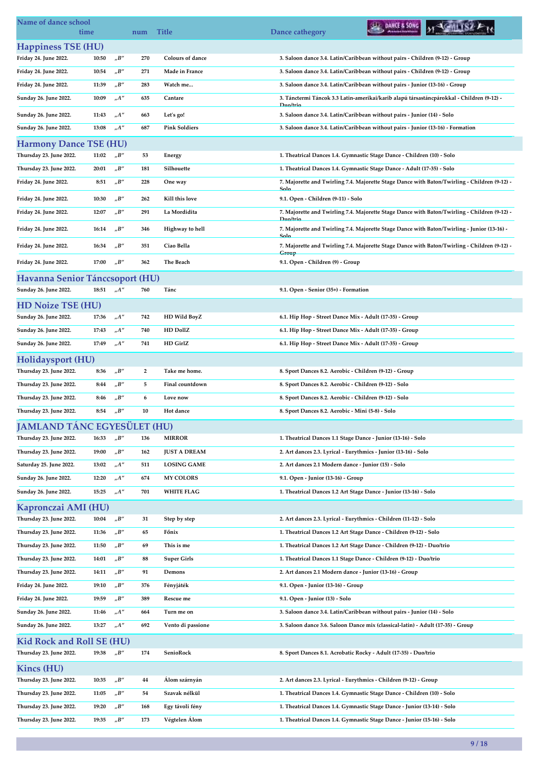| Name of dance school<br>time       |       |                                   | num            | <b>Title</b>            | DANCE & SONG<br>Dance cathegory                                                                       |
|------------------------------------|-------|-----------------------------------|----------------|-------------------------|-------------------------------------------------------------------------------------------------------|
| <b>Happiness TSE (HU)</b>          |       |                                   |                |                         |                                                                                                       |
| Friday 24. June 2022.              | 10:50 | $n^{\prime}B^{\prime\prime}$      | 270            | <b>Colours of dance</b> | 3. Saloon dance 3.4. Latin/Caribbean without pairs - Children (9-12) - Group                          |
| Friday 24. June 2022.              | 10:54 | $n^{\prime}B^{\prime\prime}$      | 271            | Made in France          | 3. Saloon dance 3.4. Latin/Caribbean without pairs - Children (9-12) - Group                          |
| Friday 24. June 2022.              | 11:39 | $n^{\prime}B^{\prime\prime}$      | 283            | Watch me                | 3. Saloon dance 3.4. Latin/Caribbean without pairs - Junior (13-16) - Group                           |
| Sunday 26. June 2022.              | 10:09 | A''                               | 635            | Cantare                 | 3. Tánctermi Táncok 3.3 Latin-amerikai/karib alapú társastáncpárokkal - Children (9-12) -             |
| Sunday 26. June 2022.              | 11:43 | $n^{A''}$                         | 663            | Let's go!               | Duo/trio<br>3. Saloon dance 3.4. Latin/Caribbean without pairs - Junior (14) - Solo                   |
| Sunday 26. June 2022.              | 13:08 | $_nA''$                           | 687            | <b>Pink Soldiers</b>    | 3. Saloon dance 3.4. Latin/Caribbean without pairs - Junior (13-16) - Formation                       |
| <b>Harmony Dance TSE (HU)</b>      |       |                                   |                |                         |                                                                                                       |
| Thursday 23. June 2022.            | 11:02 | $n^{\prime}B^{\prime\prime}$      | 53             | Energy                  | 1. Theatrical Dances 1.4. Gymnastic Stage Dance - Children (10) - Solo                                |
| Thursday 23. June 2022.            | 20:01 | $n^{\prime}B^{\prime\prime}$      | 181            | Silhouette              | 1. Theatrical Dances 1.4. Gymnastic Stage Dance - Adult (17-35) - Solo                                |
| Friday 24. June 2022.              | 8:51  | $n^{\prime}B^{\prime\prime}$      | 228            | One way                 | 7. Majorette and Twirling 7.4. Majorette Stage Dance with Baton/Twirling - Children (9-12) -          |
| Friday 24. June 2022.              | 10:30 | $n^{\prime}B^{\prime\prime}$      | 262            | Kill this love          | Solo<br>9.1. Open - Children (9-11) - Solo                                                            |
| Friday 24. June 2022.              | 12:07 | $n^{\prime}B^{\prime\prime}$      | 291            | La Mordidita            | 7. Majorette and Twirling 7.4. Majorette Stage Dance with Baton/Twirling - Children (9-12) -          |
|                                    |       |                                   |                |                         | Duo/trio                                                                                              |
| Friday 24. June 2022.              | 16:14 | $n^{\prime}B^{\prime\prime}$      | 346            | Highway to hell         | 7. Majorette and Twirling 7.4. Majorette Stage Dance with Baton/Twirling - Junior (13-16) -<br>Solo   |
| Friday 24. June 2022.              | 16:34 | $n^{\prime}B^{\prime\prime}$      | 351            | Ciao Bella              | 7. Majorette and Twirling 7.4. Majorette Stage Dance with Baton/Twirling - Children (9-12) -<br>Group |
| Friday 24. June 2022.              | 17:00 | $n^{\prime}B^{\prime\prime}$      | 362            | The Beach               | 9.1. Open - Children (9) - Group                                                                      |
| Havanna Senior Tánccsoport (HU)    |       |                                   |                |                         |                                                                                                       |
| Sunday 26. June 2022.              | 18:51 | $n^{A''}$                         | 760            | Tánc                    | 9.1. Open - Senior (35+) - Formation                                                                  |
| <b>HD Noize TSE (HU)</b>           |       |                                   |                |                         |                                                                                                       |
| Sunday 26. June 2022.              | 17:36 | $n^{A''}$                         | 742            | HD Wild BoyZ            | 6.1. Hip Hop - Street Dance Mix - Adult (17-35) - Group                                               |
| Sunday 26. June 2022.              | 17:43 | $n^{\prime\prime}$                | 740            | HD DollZ                | 6.1. Hip Hop - Street Dance Mix - Adult (17-35) - Group                                               |
| Sunday 26. June 2022.              | 17:49 | $n^{\prime}A^{\prime\prime}$      | 741            | HD GirlZ                | 6.1. Hip Hop - Street Dance Mix - Adult (17-35) - Group                                               |
| Holidaysport (HU)                  |       |                                   |                |                         |                                                                                                       |
| Thursday 23. June 2022.            | 8:36  | $n^{\prime}B^{\prime\prime}$      | $\overline{2}$ | Take me home.           | 8. Sport Dances 8.2. Aerobic - Children (9-12) - Group                                                |
| Thursday 23. June 2022.            | 8:44  | $n^{\prime}B^{\prime\prime}$      | 5              | Final countdown         | 8. Sport Dances 8.2. Aerobic - Children (9-12) - Solo                                                 |
| Thursday 23. June 2022.            | 8:46  | $n^{\prime}B^{\prime\prime}$      | 6              | Love now                | 8. Sport Dances 8.2. Aerobic - Children (9-12) - Solo                                                 |
| Thursday 23. June 2022.            | 8:54  | $n^{\prime}B^{\prime\prime}$      | 10             | Hot dance               | 8. Sport Dances 8.2. Aerobic - Mini (5-8) - Solo                                                      |
| <b>JAMLAND TÁNC EGYESÜLET (HU)</b> |       |                                   |                |                         |                                                                                                       |
| Thursday 23. June 2022.            | 16:33 | "B"                               | 136            | <b>MIRROR</b>           | 1. Theatrical Dances 1.1 Stage Dance - Junior (13-16) - Solo                                          |
| Thursday 23. June 2022.            | 19:00 | "B"                               | 162            | <b>JUST A DREAM</b>     | 2. Art dances 2.3. Lyrical - Eurythmics - Junior (13-16) - Solo                                       |
| Saturday 25. June 2022.            | 13:02 | $n^{\prime}A^{\prime\prime}$      | 511            | <b>LOSING GAME</b>      | 2. Art dances 2.1 Modern dance - Junior (15) - Solo                                                   |
| Sunday 26. June 2022.              | 12:20 | $n^{\prime\prime}$                | 674            | <b>MY COLORS</b>        | 9.1. Open - Junior (13-16) - Group                                                                    |
| Sunday 26. June 2022.              | 15:25 | ${}_nA^{\prime\prime}$            | 701            | <b>WHITE FLAG</b>       | 1. Theatrical Dances 1.2 Art Stage Dance - Junior (13-16) - Solo                                      |
| Kapronczai AMI (HU)                |       |                                   |                |                         |                                                                                                       |
| Thursday 23. June 2022.            | 10:04 | $n^{\prime}B^{\prime\prime}$      | 31             | Step by step            | 2. Art dances 2.3. Lyrical - Eurythmics - Children (11-12) - Solo                                     |
| Thursday 23. June 2022.            | 11:36 | $n^{\prime}B^{\prime\prime}$      | 65             | Főnix                   | 1. Theatrical Dances 1.2 Art Stage Dance - Children (9-12) - Solo                                     |
| Thursday 23. June 2022.            | 11:50 | "B"                               | 69             | This is me              | 1. Theatrical Dances 1.2 Art Stage Dance - Children (9-12) - Duo/trio                                 |
| Thursday 23. June 2022.            | 14:01 | "B"                               | 88             | <b>Super Girls</b>      | 1. Theatrical Dances 1.1 Stage Dance - Children (9-12) - Duo/trio                                     |
| Thursday 23. June 2022.            | 14:11 | $n^{\prime}B^{\prime\prime}$      | 91             | Demons                  | 2. Art dances 2.1 Modern dance - Junior (13-16) - Group                                               |
| Friday 24. June 2022.              | 19:10 | $_{\prime\prime}B^{\prime\prime}$ | 376            | Fényjáték               | 9.1. Open - Junior (13-16) - Group                                                                    |
| Friday 24. June 2022.              | 19:59 | $n^{\prime}B^{\prime\prime}$      | 389            | Rescue me               | 9.1. Open - Junior (13) - Solo                                                                        |
| Sunday 26. June 2022.              | 11:46 | $n^{\prime}A^{\prime\prime}$      | 664            | Turn me on              | 3. Saloon dance 3.4. Latin/Caribbean without pairs - Junior (14) - Solo                               |
| Sunday 26. June 2022.              | 13:27 | $n^{\prime\prime}$                | 692            | Vento di passione       | 3. Saloon dance 3.6. Saloon Dance mix (classical-latin) - Adult (17-35) - Group                       |
| <b>Kid Rock and Roll SE (HU)</b>   |       |                                   |                |                         |                                                                                                       |
| Thursday 23. June 2022.            | 19:38 | $n^{\prime}B^{\prime\prime}$      | 174            | SenioRock               | 8. Sport Dances 8.1. Acrobatic Rocky - Adult (17-35) - Duo/trio                                       |
| Kincs (HU)                         |       |                                   |                |                         |                                                                                                       |
| Thursday 23. June 2022.            | 10:35 | "B"                               | 44             | Álom szárnyán           | 2. Art dances 2.3. Lyrical - Eurythmics - Children (9-12) - Group                                     |
| Thursday 23. June 2022.            | 11:05 | $n^{\prime}B^{\prime\prime}$      | 54             | Szavak nélkül           | 1. Theatrical Dances 1.4. Gymnastic Stage Dance - Children (10) - Solo                                |
| Thursday 23. June 2022.            | 19:20 | $n^{\prime}B^{\prime\prime}$      | 168            | Egy távoli fény         | 1. Theatrical Dances 1.4. Gymnastic Stage Dance - Junior (13-14) - Solo                               |
| Thursday 23. June 2022.            | 19:35 | $n^{\prime}B^{\prime\prime}$      | 173            | Végtelen Álom           | 1. Theatrical Dances 1.4. Gymnastic Stage Dance - Junior (15-16) - Solo                               |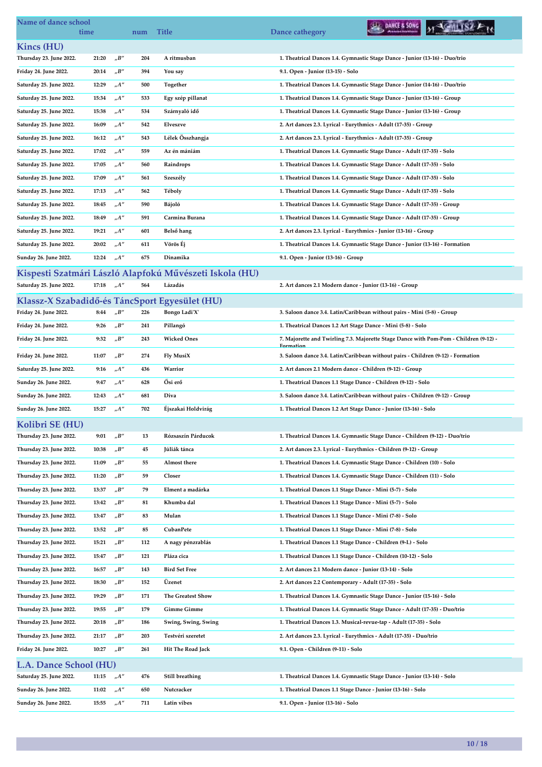| Name of dance school                           | time  |                              | num | <b>Title</b>                                            | DANCE & SONG<br>Dance cathegory                                                                    |
|------------------------------------------------|-------|------------------------------|-----|---------------------------------------------------------|----------------------------------------------------------------------------------------------------|
| Kincs (HU)                                     |       |                              |     |                                                         |                                                                                                    |
| Thursday 23. June 2022.                        | 21:20 | $n^{\prime}B^{\prime\prime}$ | 204 | A ritmusban                                             | 1. Theatrical Dances 1.4. Gymnastic Stage Dance - Junior (13-16) - Duo/trio                        |
| Friday 24. June 2022.                          | 20:14 | $n^{\prime}B^{\prime\prime}$ | 394 | You say                                                 | 9.1. Open - Junior (13-15) - Solo                                                                  |
| Saturday 25. June 2022.                        | 12:29 | "A"                          | 500 | Together                                                | 1. Theatrical Dances 1.4. Gymnastic Stage Dance - Junior (14-16) - Duo/trio                        |
| Saturday 25. June 2022.                        | 15:34 | $_nA''$                      | 533 | Egy szép pillanat                                       | 1. Theatrical Dances 1.4. Gymnastic Stage Dance - Junior (13-16) - Group                           |
| Saturday 25. June 2022.                        | 15:38 | A''                          | 534 | Szárnyaló idő                                           | 1. Theatrical Dances 1.4. Gymnastic Stage Dance - Junior (13-16) - Group                           |
| Saturday 25. June 2022.                        | 16:09 | $n^{\prime\prime}$           | 542 | Elveszve                                                | 2. Art dances 2.3. Lyrical - Eurythmics - Adult (17-35) - Group                                    |
| Saturday 25. June 2022.                        | 16:12 | "A"                          | 543 | Lélek Összhangja                                        | 2. Art dances 2.3. Lyrical - Eurythmics - Adult (17-35) - Group                                    |
| Saturday 25. June 2022.                        | 17:02 | "A"                          | 559 | Az én mániám                                            | 1. Theatrical Dances 1.4. Gymnastic Stage Dance - Adult (17-35) - Solo                             |
| Saturday 25. June 2022.                        | 17:05 | $_nA''$                      | 560 | Raindrops                                               | 1. Theatrical Dances 1.4. Gymnastic Stage Dance - Adult (17-35) - Solo                             |
| Saturday 25. June 2022.                        | 17:09 | "A"                          | 561 | Szeszély                                                | 1. Theatrical Dances 1.4. Gymnastic Stage Dance - Adult (17-35) - Solo                             |
| Saturday 25. June 2022.                        | 17:13 | $n^{A''}$                    | 562 | Téboly                                                  | 1. Theatrical Dances 1.4. Gymnastic Stage Dance - Adult (17-35) - Solo                             |
| Saturday 25. June 2022.                        | 18:45 | "A"                          | 590 | Bájoló                                                  | 1. Theatrical Dances 1.4. Gymnastic Stage Dance - Adult (17-35) - Group                            |
| Saturday 25. June 2022.                        | 18:49 | A''                          | 591 | Carmina Burana                                          | 1. Theatrical Dances 1.4. Gymnastic Stage Dance - Adult (17-35) - Group                            |
| Saturday 25. June 2022.                        | 19:21 | "A"                          | 601 | Belső hang                                              | 2. Art dances 2.3. Lyrical - Eurythmics - Junior (13-16) - Group                                   |
| Saturday 25. June 2022.                        | 20:02 | "A"                          | 611 | Vörös Ej                                                | 1. Theatrical Dances 1.4. Gymnastic Stage Dance - Junior (13-16) - Formation                       |
| Sunday 26. June 2022.                          | 12:24 | $n^{A''}$                    | 675 | Dinamika                                                | 9.1. Open - Junior (13-16) - Group                                                                 |
|                                                |       |                              |     |                                                         |                                                                                                    |
|                                                |       |                              |     | Kispesti Szatmári László Alapfokú Művészeti Iskola (HU) |                                                                                                    |
| Saturday 25. June 2022.                        | 17:18 | $n^{A''}$                    | 564 | Lázadás                                                 | 2. Art dances 2.1 Modern dance - Junior (13-16) - Group                                            |
| Klassz-X Szabadidő-és TáncSport Egyesület (HU) |       |                              |     |                                                         |                                                                                                    |
| Friday 24. June 2022.                          | 8:44  | "B"                          | 226 | Bongo Ladi'X'                                           | 3. Saloon dance 3.4. Latin/Caribbean without pairs - Mini (5-8) - Group                            |
| Friday 24. June 2022.                          | 9:26  | $n^{\prime}B^{\prime\prime}$ | 241 | Pillangó                                                | 1. Theatrical Dances 1.2 Art Stage Dance - Mini (5-8) - Solo                                       |
| Friday 24. June 2022.                          | 9:32  | $n^{\prime}B^{\prime\prime}$ | 243 | <b>Wicked Ones</b>                                      | 7. Majorette and Twirling 7.3. Majorette Stage Dance with Pom-Pom - Children (9-12) -<br>Formation |
| Friday 24. June 2022.                          | 11:07 | "B"                          | 274 | Fly MusiX                                               | 3. Saloon dance 3.4. Latin/Caribbean without pairs - Children (9-12) - Formation                   |
| Saturday 25. June 2022.                        | 9:16  | A''                          | 436 | Warrior                                                 | 2. Art dances 2.1 Modern dance - Children (9-12) - Group                                           |
| Sunday 26. June 2022.                          | 9:47  | $n^{A''}$                    | 628 | Ősi erő                                                 | 1. Theatrical Dances 1.1 Stage Dance - Children (9-12) - Solo                                      |
| Sunday 26. June 2022.                          | 12:43 | "A"                          | 681 | Diva                                                    | 3. Saloon dance 3.4. Latin/Caribbean without pairs - Children (9-12) - Group                       |
| Sunday 26. June 2022.                          | 15:27 | $n^{\prime}A^{\prime\prime}$ | 702 | Éjszakai Holdvirág                                      | 1. Theatrical Dances 1.2 Art Stage Dance - Junior (13-16) - Solo                                   |
| Kolibri SE (HU)                                |       |                              |     |                                                         |                                                                                                    |
| Thursday 23. June 2022.                        | 9:01  | "B"                          | 13  | Rózsaszín Párducok                                      | 1. Theatrical Dances 1.4. Gymnastic Stage Dance - Children (9-12) - Duo/trio                       |
| Thursday 23. June 2022.                        | 10:38 | $n^{\prime}B^{\prime\prime}$ | 45  | Júliák tánca                                            | 2. Art dances 2.3. Lyrical - Eurythmics - Children (9-12) - Group                                  |
| Thursday 23. June 2022.                        | 11:09 | "B"                          | 55  | Almost there                                            | 1. Theatrical Dances 1.4. Gymnastic Stage Dance - Children (10) - Solo                             |
| Thursday 23. June 2022.                        | 11:20 | "B"                          | 59  | Closer                                                  | 1. Theatrical Dances 1.4. Gymnastic Stage Dance - Children (11) - Solo                             |
| Thursday 23. June 2022.                        | 13:37 | $n^{\prime}B^{\prime\prime}$ | 79  | Elment a madárka                                        | 1. Theatrical Dances 1.1 Stage Dance - Mini (5-7) - Solo                                           |
| Thursday 23. June 2022.                        | 13:42 | $n^{\prime}B^{\prime\prime}$ | 81  | Khumba dal                                              | 1. Theatrical Dances 1.1 Stage Dance - Mini (5-7) - Solo                                           |
| Thursday 23. June 2022.                        | 13:47 | $n^{\prime}B^{\prime\prime}$ | 83  | Mulan                                                   | 1. Theatrical Dances 1.1 Stage Dance - Mini (7-8) - Solo                                           |
| Thursday 23. June 2022.                        | 13:52 | $n^{\prime}B^{\prime\prime}$ | 85  | CubanPete                                               | 1. Theatrical Dances 1.1 Stage Dance - Mini (7-8) - Solo                                           |
| Thursday 23. June 2022.                        | 15:21 | "B"                          | 112 | A nagy pénzrablás                                       | 1. Theatrical Dances 1.1 Stage Dance - Children (9-I.) - Solo                                      |
| Thursday 23. June 2022.                        | 15:47 | $n^{\prime}B^{\prime\prime}$ | 121 | Pláza cica                                              | 1. Theatrical Dances 1.1 Stage Dance - Children (10-12) - Solo                                     |
|                                                |       |                              |     |                                                         |                                                                                                    |
| Thursday 23. June 2022.                        | 16:57 | "B"                          | 143 | <b>Bird Set Free</b><br>Üzenet                          | 2. Art dances 2.1 Modern dance - Junior (13-14) - Solo                                             |
| Thursday 23. June 2022.                        | 18:30 | "B"                          | 152 |                                                         | 2. Art dances 2.2 Contemporary - Adult (17-35) - Solo                                              |
| Thursday 23. June 2022.                        | 19:29 | $n^{\prime}B^{\prime\prime}$ | 171 | The Greatest Show                                       | 1. Theatrical Dances 1.4. Gymnastic Stage Dance - Junior (15-16) - Solo                            |
| Thursday 23. June 2022.                        | 19:55 | $n^{\prime}B^{\prime\prime}$ | 179 | <b>Gimme Gimme</b>                                      | 1. Theatrical Dances 1.4. Gymnastic Stage Dance - Adult (17-35) - Duo/trio                         |
| Thursday 23. June 2022.                        | 20:18 | $n^{\prime}B^{\prime\prime}$ | 186 | Swing, Swing, Swing                                     | 1. Theatrical Dances 1.3. Musical-revue-tap - Adult (17-35) - Solo                                 |
| Thursday 23. June 2022.                        | 21:17 | "B"                          | 203 | Testvéri szeretet                                       | 2. Art dances 2.3. Lyrical - Eurythmics - Adult (17-35) - Duo/trio                                 |
| Friday 24. June 2022.                          | 10:27 | $n^{\prime}B^{\prime\prime}$ | 261 | Hit The Road Jack                                       | 9.1. Open - Children (9-11) - Solo                                                                 |
| L.A. Dance School (HU)                         |       |                              |     |                                                         |                                                                                                    |
| Saturday 25. June 2022.                        | 11:15 | $n^{\prime}A^{\prime\prime}$ | 476 | Still breathing                                         | 1. Theatrical Dances 1.4. Gymnastic Stage Dance - Junior (13-14) - Solo                            |
| Sunday 26. June 2022.                          | 11:02 | $n^{\prime\prime}$           | 650 | Nutcracker                                              | 1. Theatrical Dances 1.1 Stage Dance - Junior (13-16) - Solo                                       |
| Sunday 26. June 2022.                          | 15:55 | $n^{\prime\prime}$           | 711 | Latin vibes                                             | 9.1. Open - Junior (13-16) - Solo                                                                  |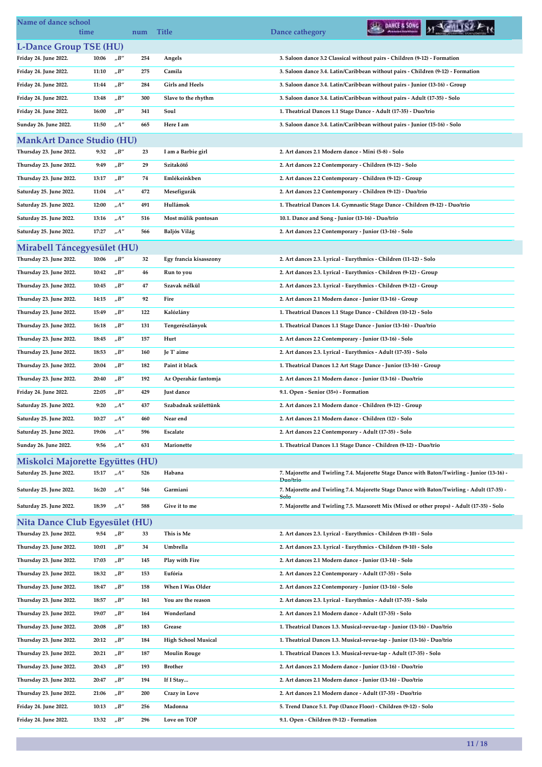| <b>L-Dance Group TSE (HU)</b><br>Friday 24. June 2022.<br>"B"<br>3. Saloon dance 3.2 Classical without pairs - Children (9-12) - Formation<br>10:06<br>254<br>Angels<br>$_{\prime\prime}B^{\prime\prime}$<br>Friday 24. June 2022.<br>Camila<br>3. Saloon dance 3.4. Latin/Caribbean without pairs - Children (9-12) - Formation<br>11:10<br>275<br>$_{\prime\prime}B^{\prime\prime}$<br><b>Girls and Heels</b><br>Friday 24. June 2022.<br>11:44<br>284<br>3. Saloon dance 3.4. Latin/Caribbean without pairs - Junior (13-16) - Group<br>Friday 24. June 2022.<br>$n^{\prime}B^{\prime\prime}$<br>Slave to the rhythm<br>13:48<br>300<br>3. Saloon dance 3.4. Latin/Caribbean without pairs - Adult (17-35) - Solo<br>Friday 24. June 2022.<br>"B"<br>16:00<br>341<br>Soul<br>1. Theatrical Dances 1.1 Stage Dance - Adult (17-35) - Duo/trio<br>$n^{A''}$<br>Sunday 26. June 2022.<br>11:50<br>Here I am<br>665<br>3. Saloon dance 3.4. Latin/Caribbean without pairs - Junior (15-16) - Solo<br><b>MankArt Dance Studio (HU)</b><br>Thursday 23. June 2022.<br>$nB''$<br>9:32<br>I am a Barbie girl<br>2. Art dances 2.1 Modern dance - Mini (5-8) - Solo<br>23<br>Thursday 23. June 2022.<br>9:49<br>"B"<br>Szitakötő<br>2. Art dances 2.2 Contemporary - Children (9-12) - Solo<br>29<br>Thursday 23. June 2022.<br>13:17<br>"B"<br>Emlékeinkben<br>2. Art dances 2.2 Contemporary - Children (9-12) - Group<br>74<br>Saturday 25. June 2022.<br>$n^{A''}$<br>Mesefigurák<br>2. Art dances 2.2 Contemporary - Children (9-12) - Duo/trio<br>11:04<br>472<br>$n^{\prime\prime}$<br>Hullámok<br>12:00<br>Saturday 25. June 2022.<br>491<br>1. Theatrical Dances 1.4. Gymnastic Stage Dance - Children (9-12) - Duo/trio<br>Saturday 25. June 2022.<br>13:16<br>$_nA''$<br>Most múlik pontosan<br>10.1. Dance and Song - Junior (13-16) - Duo/trio<br>516<br>$n^{\prime\prime}$<br>Saturday 25. June 2022.<br>17:27<br><b>Baljós Világ</b><br>2. Art dances 2.2 Contemporary - Junior (13-16) - Solo<br>566<br>Mirabell Táncegyesület (HU)<br>Thursday 23. June 2022.<br>10:06<br>"B"<br>32<br>Egy francia kisasszony<br>2. Art dances 2.3. Lyrical - Eurythmics - Children (11-12) - Solo<br>$n^{\prime}B^{\prime\prime}$<br>Thursday 23. June 2022.<br>2. Art dances 2.3. Lyrical - Eurythmics - Children (9-12) - Group<br>10:42<br>46<br>Run to you<br>Thursday 23. June 2022.<br>"B"<br>Szavak nélkül<br>2. Art dances 2.3. Lyrical - Eurythmics - Children (9-12) - Group<br>10:45<br>47<br>"B"<br>Thursday 23. June 2022.<br>92<br>14:15<br>Fire<br>2. Art dances 2.1 Modern dance - Junior (13-16) - Group<br>Thursday 23. June 2022.<br>15:49<br>"B"<br>Kalózlány<br>1. Theatrical Dances 1.1 Stage Dance - Children (10-12) - Solo<br>122<br>$_{\prime\prime}B^{\prime\prime}$<br>Thursday 23. June 2022.<br>16:18<br>131<br>Tengerészlányok<br>1. Theatrical Dances 1.1 Stage Dance - Junior (13-16) - Duo/trio<br>"B"<br>Thursday 23. June 2022.<br>18:45<br>157<br>Hurt<br>2. Art dances 2.2 Contemporary - Junior (13-16) - Solo<br>Thursday 23. June 2022.<br>"B"<br>Je T' aime<br>2. Art dances 2.3. Lyrical - Eurythmics - Adult (17-35) - Solo<br>18:53<br>160<br>Thursday 23. June 2022.<br>$n^{\prime}B^{\prime\prime}$<br>Paint it black<br>1. Theatrical Dances 1.2 Art Stage Dance - Junior (13-16) - Group<br>20:04<br>182<br>"B"<br>Az Operaház fantomja<br>Thursday 23. June 2022.<br>20:40<br>192<br>2. Art dances 2.1 Modern dance - Junior (13-16) - Duo/trio<br>"B"<br>Friday 24. June 2022.<br>22:05<br>429<br>Just dance<br>9.1. Open - Senior (35+) - Formation<br>9:20<br>"A"<br>437<br>Szabadnak születtünk<br>Saturday 25. June 2022.<br>2. Art dances 2.1 Modern dance - Children (9-12) - Group<br>10:27<br>"A"<br>460<br>Saturday 25. June 2022.<br>Near end<br>2. Art dances 2.1 Modern dance - Children (12) - Solo<br>Saturday 25. June 2022.<br>2. Art dances 2.2 Contemporary - Adult (17-35) - Solo<br>19:06<br>"A"<br>596<br>Escalate<br>A''<br>Sunday 26. June 2022.<br>9:56<br>1. Theatrical Dances 1.1 Stage Dance - Children (9-12) - Duo/trio<br>631<br>Marionette<br>Miskolci Majorette Együttes (HU)<br>Saturday 25. June 2022.<br>$n^{\prime\prime}$<br>Habana<br>7. Majorette and Twirling 7.4. Majorette Stage Dance with Baton/Twirling - Junior (13-16) -<br>15:17<br>526<br>Duo/trio<br>$_nA''$<br>Garmiani<br>7. Majorette and Twirling 7.4. Majorette Stage Dance with Baton/Twirling - Adult (17-35) -<br>Saturday 25. June 2022.<br>16:20<br>546<br>Solo<br>Saturday 25. June 2022.<br>$n^{\prime\prime}$<br>588<br>Give it to me<br>7. Majorette and Twirling 7.5. Mazsorett Mix (Mixed or other props) - Adult (17-35) - Solo<br>18:39<br><b>Nita Dance Club Egyesület (HU)</b><br>Thursday 23. June 2022.<br>$n^{\prime}B^{\prime\prime}$<br>9:54<br>33<br>This is Me<br>2. Art dances 2.3. Lyrical - Eurythmics - Children (9-10) - Solo<br>$_{\prime\prime}B^{\prime\prime}$<br>Thursday 23. June 2022.<br>Umbrella<br>10:01<br>34<br>2. Art dances 2.3. Lyrical - Eurythmics - Children (9-10) - Solo<br>$n^{\prime}B^{\prime\prime}$<br>Thursday 23. June 2022.<br>17:03<br>Play with Fire<br>145<br>2. Art dances 2.1 Modern dance - Junior (13-14) - Solo<br>Thursday 23. June 2022.<br>$n^{\prime}B^{\prime\prime}$<br>Eufória<br>2. Art dances 2.2 Contemporary - Adult (17-35) - Solo<br>18:32<br>153<br>When I Was Older<br>Thursday 23. June 2022.<br>"B"<br>2. Art dances 2.2 Contemporary - Junior (13-16) - Solo<br>18:47<br>158<br>$_{\prime\prime}B^{\prime\prime}$<br>Thursday 23. June 2022.<br>18:57<br>161<br>You are the reason<br>2. Art dances 2.3. Lyrical - Eurythmics - Adult (17-35) - Solo<br>"B"<br>Thursday 23. June 2022.<br>Wonderland<br>19:07<br>164<br>2. Art dances 2.1 Modern dance - Adult (17-35) - Solo<br>$n^{\prime}B^{\prime\prime}$<br>183<br>Thursday 23. June 2022.<br>20:08<br>Grease<br>1. Theatrical Dances 1.3. Musical-revue-tap - Junior (13-16) - Duo/trio<br>Thursday 23. June 2022.<br>"B"<br><b>High School Musical</b><br>1. Theatrical Dances 1.3. Musical-revue-tap - Junior (13-16) - Duo/trio<br>20:12<br>184<br>"B"<br>Thursday 23. June 2022.<br><b>Moulin Rouge</b><br>20:21<br>187<br>1. Theatrical Dances 1.3. Musical-revue-tap - Adult (17-35) - Solo<br>$_{\prime\prime}B^{\prime\prime}$<br>Thursday 23. June 2022.<br>193<br><b>Brother</b><br>20:43<br>2. Art dances 2.1 Modern dance - Junior (13-16) - Duo/trio<br>"B"<br>Thursday 23. June 2022.<br>20:47<br>194<br>If I Stay<br>2. Art dances 2.1 Modern dance - Junior (13-16) - Duo/trio<br>$n^{\prime}B^{\prime\prime}$<br>Crazy in Love<br>Thursday 23. June 2022.<br>21:06<br>200<br>2. Art dances 2.1 Modern dance - Adult (17-35) - Duo/trio<br>Friday 24. June 2022.<br>$n^{\prime}B^{\prime\prime}$<br>10:13<br>256<br>Madonna<br>5. Trend Dance 5.1. Pop (Dance Floor) - Children (9-12) - Solo | Name of dance school  | time  |     | num | <b>Title</b> | DANCE & SONG<br>Dance cathegory         |
|------------------------------------------------------------------------------------------------------------------------------------------------------------------------------------------------------------------------------------------------------------------------------------------------------------------------------------------------------------------------------------------------------------------------------------------------------------------------------------------------------------------------------------------------------------------------------------------------------------------------------------------------------------------------------------------------------------------------------------------------------------------------------------------------------------------------------------------------------------------------------------------------------------------------------------------------------------------------------------------------------------------------------------------------------------------------------------------------------------------------------------------------------------------------------------------------------------------------------------------------------------------------------------------------------------------------------------------------------------------------------------------------------------------------------------------------------------------------------------------------------------------------------------------------------------------------------------------------------------------------------------------------------------------------------------------------------------------------------------------------------------------------------------------------------------------------------------------------------------------------------------------------------------------------------------------------------------------------------------------------------------------------------------------------------------------------------------------------------------------------------------------------------------------------------------------------------------------------------------------------------------------------------------------------------------------------------------------------------------------------------------------------------------------------------------------------------------------------------------------------------------------------------------------------------------------------------------------------------------------------------------------------------------------------------------------------------------------------------------------------------------------------------------------------------------------------------------------------------------------------------------------------------------------------------------------------------------------------------------------------------------------------------------------------------------------------------------------------------------------------------------------------------------------------------------------------------------------------------------------------------------------------------------------------------------------------------------------------------------------------------------------------------------------------------------------------------------------------------------------------------------------------------------------------------------------------------------------------------------------------------------------------------------------------------------------------------------------------------------------------------------------------------------------------------------------------------------------------------------------------------------------------------------------------------------------------------------------------------------------------------------------------------------------------------------------------------------------------------------------------------------------------------------------------------------------------------------------------------------------------------------------------------------------------------------------------------------------------------------------------------------------------------------------------------------------------------------------------------------------------------------------------------------------------------------------------------------------------------------------------------------------------------------------------------------------------------------------------------------------------------------------------------------------------------------------------------------------------------------------------------------------------------------------------------------------------------------------------------------------------------------------------------------------------------------------------------------------------------------------------------------------------------------------------------------------------------------------------------------------------------------------------------------------------------------------------------------------------------------------------------------------------------------------------------------------------------------------------------------------------------------------------------------------------------------------------------------------------------------------------------------------------------------------------------------------------------------------------------------------------------------------------------------------------------------------------------------------------------------------------------------------------------------------------------------------------------------------------------------------------------------------------------------------------------------------------------------------------------------------------------------------------------------------------------------------------------------------------------------------------------------------------------------------------------------------------------------------------------------------------------------------------------------------------------------------------------------------------------------------------------------------------------------------------------------------------------------------------------------------------------------------------------------------------------------------------------------------------------------------------------------------------------------------------------------------------------------------------------------------------------------------------------------|-----------------------|-------|-----|-----|--------------|-----------------------------------------|
|                                                                                                                                                                                                                                                                                                                                                                                                                                                                                                                                                                                                                                                                                                                                                                                                                                                                                                                                                                                                                                                                                                                                                                                                                                                                                                                                                                                                                                                                                                                                                                                                                                                                                                                                                                                                                                                                                                                                                                                                                                                                                                                                                                                                                                                                                                                                                                                                                                                                                                                                                                                                                                                                                                                                                                                                                                                                                                                                                                                                                                                                                                                                                                                                                                                                                                                                                                                                                                                                                                                                                                                                                                                                                                                                                                                                                                                                                                                                                                                                                                                                                                                                                                                                                                                                                                                                                                                                                                                                                                                                                                                                                                                                                                                                                                                                                                                                                                                                                                                                                                                                                                                                                                                                                                                                                                                                                                                                                                                                                                                                                                                                                                                                                                                                                                                                                                                                                                                                                                                                                                                                                                                                                                                                                                                                                                                                                                                                                                                                                                                                                                                                                                                                                                                                                                                                                                                                                                            |                       |       |     |     |              |                                         |
|                                                                                                                                                                                                                                                                                                                                                                                                                                                                                                                                                                                                                                                                                                                                                                                                                                                                                                                                                                                                                                                                                                                                                                                                                                                                                                                                                                                                                                                                                                                                                                                                                                                                                                                                                                                                                                                                                                                                                                                                                                                                                                                                                                                                                                                                                                                                                                                                                                                                                                                                                                                                                                                                                                                                                                                                                                                                                                                                                                                                                                                                                                                                                                                                                                                                                                                                                                                                                                                                                                                                                                                                                                                                                                                                                                                                                                                                                                                                                                                                                                                                                                                                                                                                                                                                                                                                                                                                                                                                                                                                                                                                                                                                                                                                                                                                                                                                                                                                                                                                                                                                                                                                                                                                                                                                                                                                                                                                                                                                                                                                                                                                                                                                                                                                                                                                                                                                                                                                                                                                                                                                                                                                                                                                                                                                                                                                                                                                                                                                                                                                                                                                                                                                                                                                                                                                                                                                                                            |                       |       |     |     |              |                                         |
|                                                                                                                                                                                                                                                                                                                                                                                                                                                                                                                                                                                                                                                                                                                                                                                                                                                                                                                                                                                                                                                                                                                                                                                                                                                                                                                                                                                                                                                                                                                                                                                                                                                                                                                                                                                                                                                                                                                                                                                                                                                                                                                                                                                                                                                                                                                                                                                                                                                                                                                                                                                                                                                                                                                                                                                                                                                                                                                                                                                                                                                                                                                                                                                                                                                                                                                                                                                                                                                                                                                                                                                                                                                                                                                                                                                                                                                                                                                                                                                                                                                                                                                                                                                                                                                                                                                                                                                                                                                                                                                                                                                                                                                                                                                                                                                                                                                                                                                                                                                                                                                                                                                                                                                                                                                                                                                                                                                                                                                                                                                                                                                                                                                                                                                                                                                                                                                                                                                                                                                                                                                                                                                                                                                                                                                                                                                                                                                                                                                                                                                                                                                                                                                                                                                                                                                                                                                                                                            |                       |       |     |     |              |                                         |
|                                                                                                                                                                                                                                                                                                                                                                                                                                                                                                                                                                                                                                                                                                                                                                                                                                                                                                                                                                                                                                                                                                                                                                                                                                                                                                                                                                                                                                                                                                                                                                                                                                                                                                                                                                                                                                                                                                                                                                                                                                                                                                                                                                                                                                                                                                                                                                                                                                                                                                                                                                                                                                                                                                                                                                                                                                                                                                                                                                                                                                                                                                                                                                                                                                                                                                                                                                                                                                                                                                                                                                                                                                                                                                                                                                                                                                                                                                                                                                                                                                                                                                                                                                                                                                                                                                                                                                                                                                                                                                                                                                                                                                                                                                                                                                                                                                                                                                                                                                                                                                                                                                                                                                                                                                                                                                                                                                                                                                                                                                                                                                                                                                                                                                                                                                                                                                                                                                                                                                                                                                                                                                                                                                                                                                                                                                                                                                                                                                                                                                                                                                                                                                                                                                                                                                                                                                                                                                            |                       |       |     |     |              |                                         |
|                                                                                                                                                                                                                                                                                                                                                                                                                                                                                                                                                                                                                                                                                                                                                                                                                                                                                                                                                                                                                                                                                                                                                                                                                                                                                                                                                                                                                                                                                                                                                                                                                                                                                                                                                                                                                                                                                                                                                                                                                                                                                                                                                                                                                                                                                                                                                                                                                                                                                                                                                                                                                                                                                                                                                                                                                                                                                                                                                                                                                                                                                                                                                                                                                                                                                                                                                                                                                                                                                                                                                                                                                                                                                                                                                                                                                                                                                                                                                                                                                                                                                                                                                                                                                                                                                                                                                                                                                                                                                                                                                                                                                                                                                                                                                                                                                                                                                                                                                                                                                                                                                                                                                                                                                                                                                                                                                                                                                                                                                                                                                                                                                                                                                                                                                                                                                                                                                                                                                                                                                                                                                                                                                                                                                                                                                                                                                                                                                                                                                                                                                                                                                                                                                                                                                                                                                                                                                                            |                       |       |     |     |              |                                         |
|                                                                                                                                                                                                                                                                                                                                                                                                                                                                                                                                                                                                                                                                                                                                                                                                                                                                                                                                                                                                                                                                                                                                                                                                                                                                                                                                                                                                                                                                                                                                                                                                                                                                                                                                                                                                                                                                                                                                                                                                                                                                                                                                                                                                                                                                                                                                                                                                                                                                                                                                                                                                                                                                                                                                                                                                                                                                                                                                                                                                                                                                                                                                                                                                                                                                                                                                                                                                                                                                                                                                                                                                                                                                                                                                                                                                                                                                                                                                                                                                                                                                                                                                                                                                                                                                                                                                                                                                                                                                                                                                                                                                                                                                                                                                                                                                                                                                                                                                                                                                                                                                                                                                                                                                                                                                                                                                                                                                                                                                                                                                                                                                                                                                                                                                                                                                                                                                                                                                                                                                                                                                                                                                                                                                                                                                                                                                                                                                                                                                                                                                                                                                                                                                                                                                                                                                                                                                                                            |                       |       |     |     |              |                                         |
|                                                                                                                                                                                                                                                                                                                                                                                                                                                                                                                                                                                                                                                                                                                                                                                                                                                                                                                                                                                                                                                                                                                                                                                                                                                                                                                                                                                                                                                                                                                                                                                                                                                                                                                                                                                                                                                                                                                                                                                                                                                                                                                                                                                                                                                                                                                                                                                                                                                                                                                                                                                                                                                                                                                                                                                                                                                                                                                                                                                                                                                                                                                                                                                                                                                                                                                                                                                                                                                                                                                                                                                                                                                                                                                                                                                                                                                                                                                                                                                                                                                                                                                                                                                                                                                                                                                                                                                                                                                                                                                                                                                                                                                                                                                                                                                                                                                                                                                                                                                                                                                                                                                                                                                                                                                                                                                                                                                                                                                                                                                                                                                                                                                                                                                                                                                                                                                                                                                                                                                                                                                                                                                                                                                                                                                                                                                                                                                                                                                                                                                                                                                                                                                                                                                                                                                                                                                                                                            |                       |       |     |     |              |                                         |
|                                                                                                                                                                                                                                                                                                                                                                                                                                                                                                                                                                                                                                                                                                                                                                                                                                                                                                                                                                                                                                                                                                                                                                                                                                                                                                                                                                                                                                                                                                                                                                                                                                                                                                                                                                                                                                                                                                                                                                                                                                                                                                                                                                                                                                                                                                                                                                                                                                                                                                                                                                                                                                                                                                                                                                                                                                                                                                                                                                                                                                                                                                                                                                                                                                                                                                                                                                                                                                                                                                                                                                                                                                                                                                                                                                                                                                                                                                                                                                                                                                                                                                                                                                                                                                                                                                                                                                                                                                                                                                                                                                                                                                                                                                                                                                                                                                                                                                                                                                                                                                                                                                                                                                                                                                                                                                                                                                                                                                                                                                                                                                                                                                                                                                                                                                                                                                                                                                                                                                                                                                                                                                                                                                                                                                                                                                                                                                                                                                                                                                                                                                                                                                                                                                                                                                                                                                                                                                            |                       |       |     |     |              |                                         |
|                                                                                                                                                                                                                                                                                                                                                                                                                                                                                                                                                                                                                                                                                                                                                                                                                                                                                                                                                                                                                                                                                                                                                                                                                                                                                                                                                                                                                                                                                                                                                                                                                                                                                                                                                                                                                                                                                                                                                                                                                                                                                                                                                                                                                                                                                                                                                                                                                                                                                                                                                                                                                                                                                                                                                                                                                                                                                                                                                                                                                                                                                                                                                                                                                                                                                                                                                                                                                                                                                                                                                                                                                                                                                                                                                                                                                                                                                                                                                                                                                                                                                                                                                                                                                                                                                                                                                                                                                                                                                                                                                                                                                                                                                                                                                                                                                                                                                                                                                                                                                                                                                                                                                                                                                                                                                                                                                                                                                                                                                                                                                                                                                                                                                                                                                                                                                                                                                                                                                                                                                                                                                                                                                                                                                                                                                                                                                                                                                                                                                                                                                                                                                                                                                                                                                                                                                                                                                                            |                       |       |     |     |              |                                         |
|                                                                                                                                                                                                                                                                                                                                                                                                                                                                                                                                                                                                                                                                                                                                                                                                                                                                                                                                                                                                                                                                                                                                                                                                                                                                                                                                                                                                                                                                                                                                                                                                                                                                                                                                                                                                                                                                                                                                                                                                                                                                                                                                                                                                                                                                                                                                                                                                                                                                                                                                                                                                                                                                                                                                                                                                                                                                                                                                                                                                                                                                                                                                                                                                                                                                                                                                                                                                                                                                                                                                                                                                                                                                                                                                                                                                                                                                                                                                                                                                                                                                                                                                                                                                                                                                                                                                                                                                                                                                                                                                                                                                                                                                                                                                                                                                                                                                                                                                                                                                                                                                                                                                                                                                                                                                                                                                                                                                                                                                                                                                                                                                                                                                                                                                                                                                                                                                                                                                                                                                                                                                                                                                                                                                                                                                                                                                                                                                                                                                                                                                                                                                                                                                                                                                                                                                                                                                                                            |                       |       |     |     |              |                                         |
|                                                                                                                                                                                                                                                                                                                                                                                                                                                                                                                                                                                                                                                                                                                                                                                                                                                                                                                                                                                                                                                                                                                                                                                                                                                                                                                                                                                                                                                                                                                                                                                                                                                                                                                                                                                                                                                                                                                                                                                                                                                                                                                                                                                                                                                                                                                                                                                                                                                                                                                                                                                                                                                                                                                                                                                                                                                                                                                                                                                                                                                                                                                                                                                                                                                                                                                                                                                                                                                                                                                                                                                                                                                                                                                                                                                                                                                                                                                                                                                                                                                                                                                                                                                                                                                                                                                                                                                                                                                                                                                                                                                                                                                                                                                                                                                                                                                                                                                                                                                                                                                                                                                                                                                                                                                                                                                                                                                                                                                                                                                                                                                                                                                                                                                                                                                                                                                                                                                                                                                                                                                                                                                                                                                                                                                                                                                                                                                                                                                                                                                                                                                                                                                                                                                                                                                                                                                                                                            |                       |       |     |     |              |                                         |
|                                                                                                                                                                                                                                                                                                                                                                                                                                                                                                                                                                                                                                                                                                                                                                                                                                                                                                                                                                                                                                                                                                                                                                                                                                                                                                                                                                                                                                                                                                                                                                                                                                                                                                                                                                                                                                                                                                                                                                                                                                                                                                                                                                                                                                                                                                                                                                                                                                                                                                                                                                                                                                                                                                                                                                                                                                                                                                                                                                                                                                                                                                                                                                                                                                                                                                                                                                                                                                                                                                                                                                                                                                                                                                                                                                                                                                                                                                                                                                                                                                                                                                                                                                                                                                                                                                                                                                                                                                                                                                                                                                                                                                                                                                                                                                                                                                                                                                                                                                                                                                                                                                                                                                                                                                                                                                                                                                                                                                                                                                                                                                                                                                                                                                                                                                                                                                                                                                                                                                                                                                                                                                                                                                                                                                                                                                                                                                                                                                                                                                                                                                                                                                                                                                                                                                                                                                                                                                            |                       |       |     |     |              |                                         |
|                                                                                                                                                                                                                                                                                                                                                                                                                                                                                                                                                                                                                                                                                                                                                                                                                                                                                                                                                                                                                                                                                                                                                                                                                                                                                                                                                                                                                                                                                                                                                                                                                                                                                                                                                                                                                                                                                                                                                                                                                                                                                                                                                                                                                                                                                                                                                                                                                                                                                                                                                                                                                                                                                                                                                                                                                                                                                                                                                                                                                                                                                                                                                                                                                                                                                                                                                                                                                                                                                                                                                                                                                                                                                                                                                                                                                                                                                                                                                                                                                                                                                                                                                                                                                                                                                                                                                                                                                                                                                                                                                                                                                                                                                                                                                                                                                                                                                                                                                                                                                                                                                                                                                                                                                                                                                                                                                                                                                                                                                                                                                                                                                                                                                                                                                                                                                                                                                                                                                                                                                                                                                                                                                                                                                                                                                                                                                                                                                                                                                                                                                                                                                                                                                                                                                                                                                                                                                                            |                       |       |     |     |              |                                         |
|                                                                                                                                                                                                                                                                                                                                                                                                                                                                                                                                                                                                                                                                                                                                                                                                                                                                                                                                                                                                                                                                                                                                                                                                                                                                                                                                                                                                                                                                                                                                                                                                                                                                                                                                                                                                                                                                                                                                                                                                                                                                                                                                                                                                                                                                                                                                                                                                                                                                                                                                                                                                                                                                                                                                                                                                                                                                                                                                                                                                                                                                                                                                                                                                                                                                                                                                                                                                                                                                                                                                                                                                                                                                                                                                                                                                                                                                                                                                                                                                                                                                                                                                                                                                                                                                                                                                                                                                                                                                                                                                                                                                                                                                                                                                                                                                                                                                                                                                                                                                                                                                                                                                                                                                                                                                                                                                                                                                                                                                                                                                                                                                                                                                                                                                                                                                                                                                                                                                                                                                                                                                                                                                                                                                                                                                                                                                                                                                                                                                                                                                                                                                                                                                                                                                                                                                                                                                                                            |                       |       |     |     |              |                                         |
|                                                                                                                                                                                                                                                                                                                                                                                                                                                                                                                                                                                                                                                                                                                                                                                                                                                                                                                                                                                                                                                                                                                                                                                                                                                                                                                                                                                                                                                                                                                                                                                                                                                                                                                                                                                                                                                                                                                                                                                                                                                                                                                                                                                                                                                                                                                                                                                                                                                                                                                                                                                                                                                                                                                                                                                                                                                                                                                                                                                                                                                                                                                                                                                                                                                                                                                                                                                                                                                                                                                                                                                                                                                                                                                                                                                                                                                                                                                                                                                                                                                                                                                                                                                                                                                                                                                                                                                                                                                                                                                                                                                                                                                                                                                                                                                                                                                                                                                                                                                                                                                                                                                                                                                                                                                                                                                                                                                                                                                                                                                                                                                                                                                                                                                                                                                                                                                                                                                                                                                                                                                                                                                                                                                                                                                                                                                                                                                                                                                                                                                                                                                                                                                                                                                                                                                                                                                                                                            |                       |       |     |     |              |                                         |
|                                                                                                                                                                                                                                                                                                                                                                                                                                                                                                                                                                                                                                                                                                                                                                                                                                                                                                                                                                                                                                                                                                                                                                                                                                                                                                                                                                                                                                                                                                                                                                                                                                                                                                                                                                                                                                                                                                                                                                                                                                                                                                                                                                                                                                                                                                                                                                                                                                                                                                                                                                                                                                                                                                                                                                                                                                                                                                                                                                                                                                                                                                                                                                                                                                                                                                                                                                                                                                                                                                                                                                                                                                                                                                                                                                                                                                                                                                                                                                                                                                                                                                                                                                                                                                                                                                                                                                                                                                                                                                                                                                                                                                                                                                                                                                                                                                                                                                                                                                                                                                                                                                                                                                                                                                                                                                                                                                                                                                                                                                                                                                                                                                                                                                                                                                                                                                                                                                                                                                                                                                                                                                                                                                                                                                                                                                                                                                                                                                                                                                                                                                                                                                                                                                                                                                                                                                                                                                            |                       |       |     |     |              |                                         |
|                                                                                                                                                                                                                                                                                                                                                                                                                                                                                                                                                                                                                                                                                                                                                                                                                                                                                                                                                                                                                                                                                                                                                                                                                                                                                                                                                                                                                                                                                                                                                                                                                                                                                                                                                                                                                                                                                                                                                                                                                                                                                                                                                                                                                                                                                                                                                                                                                                                                                                                                                                                                                                                                                                                                                                                                                                                                                                                                                                                                                                                                                                                                                                                                                                                                                                                                                                                                                                                                                                                                                                                                                                                                                                                                                                                                                                                                                                                                                                                                                                                                                                                                                                                                                                                                                                                                                                                                                                                                                                                                                                                                                                                                                                                                                                                                                                                                                                                                                                                                                                                                                                                                                                                                                                                                                                                                                                                                                                                                                                                                                                                                                                                                                                                                                                                                                                                                                                                                                                                                                                                                                                                                                                                                                                                                                                                                                                                                                                                                                                                                                                                                                                                                                                                                                                                                                                                                                                            |                       |       |     |     |              |                                         |
|                                                                                                                                                                                                                                                                                                                                                                                                                                                                                                                                                                                                                                                                                                                                                                                                                                                                                                                                                                                                                                                                                                                                                                                                                                                                                                                                                                                                                                                                                                                                                                                                                                                                                                                                                                                                                                                                                                                                                                                                                                                                                                                                                                                                                                                                                                                                                                                                                                                                                                                                                                                                                                                                                                                                                                                                                                                                                                                                                                                                                                                                                                                                                                                                                                                                                                                                                                                                                                                                                                                                                                                                                                                                                                                                                                                                                                                                                                                                                                                                                                                                                                                                                                                                                                                                                                                                                                                                                                                                                                                                                                                                                                                                                                                                                                                                                                                                                                                                                                                                                                                                                                                                                                                                                                                                                                                                                                                                                                                                                                                                                                                                                                                                                                                                                                                                                                                                                                                                                                                                                                                                                                                                                                                                                                                                                                                                                                                                                                                                                                                                                                                                                                                                                                                                                                                                                                                                                                            |                       |       |     |     |              |                                         |
|                                                                                                                                                                                                                                                                                                                                                                                                                                                                                                                                                                                                                                                                                                                                                                                                                                                                                                                                                                                                                                                                                                                                                                                                                                                                                                                                                                                                                                                                                                                                                                                                                                                                                                                                                                                                                                                                                                                                                                                                                                                                                                                                                                                                                                                                                                                                                                                                                                                                                                                                                                                                                                                                                                                                                                                                                                                                                                                                                                                                                                                                                                                                                                                                                                                                                                                                                                                                                                                                                                                                                                                                                                                                                                                                                                                                                                                                                                                                                                                                                                                                                                                                                                                                                                                                                                                                                                                                                                                                                                                                                                                                                                                                                                                                                                                                                                                                                                                                                                                                                                                                                                                                                                                                                                                                                                                                                                                                                                                                                                                                                                                                                                                                                                                                                                                                                                                                                                                                                                                                                                                                                                                                                                                                                                                                                                                                                                                                                                                                                                                                                                                                                                                                                                                                                                                                                                                                                                            |                       |       |     |     |              |                                         |
|                                                                                                                                                                                                                                                                                                                                                                                                                                                                                                                                                                                                                                                                                                                                                                                                                                                                                                                                                                                                                                                                                                                                                                                                                                                                                                                                                                                                                                                                                                                                                                                                                                                                                                                                                                                                                                                                                                                                                                                                                                                                                                                                                                                                                                                                                                                                                                                                                                                                                                                                                                                                                                                                                                                                                                                                                                                                                                                                                                                                                                                                                                                                                                                                                                                                                                                                                                                                                                                                                                                                                                                                                                                                                                                                                                                                                                                                                                                                                                                                                                                                                                                                                                                                                                                                                                                                                                                                                                                                                                                                                                                                                                                                                                                                                                                                                                                                                                                                                                                                                                                                                                                                                                                                                                                                                                                                                                                                                                                                                                                                                                                                                                                                                                                                                                                                                                                                                                                                                                                                                                                                                                                                                                                                                                                                                                                                                                                                                                                                                                                                                                                                                                                                                                                                                                                                                                                                                                            |                       |       |     |     |              |                                         |
|                                                                                                                                                                                                                                                                                                                                                                                                                                                                                                                                                                                                                                                                                                                                                                                                                                                                                                                                                                                                                                                                                                                                                                                                                                                                                                                                                                                                                                                                                                                                                                                                                                                                                                                                                                                                                                                                                                                                                                                                                                                                                                                                                                                                                                                                                                                                                                                                                                                                                                                                                                                                                                                                                                                                                                                                                                                                                                                                                                                                                                                                                                                                                                                                                                                                                                                                                                                                                                                                                                                                                                                                                                                                                                                                                                                                                                                                                                                                                                                                                                                                                                                                                                                                                                                                                                                                                                                                                                                                                                                                                                                                                                                                                                                                                                                                                                                                                                                                                                                                                                                                                                                                                                                                                                                                                                                                                                                                                                                                                                                                                                                                                                                                                                                                                                                                                                                                                                                                                                                                                                                                                                                                                                                                                                                                                                                                                                                                                                                                                                                                                                                                                                                                                                                                                                                                                                                                                                            |                       |       |     |     |              |                                         |
|                                                                                                                                                                                                                                                                                                                                                                                                                                                                                                                                                                                                                                                                                                                                                                                                                                                                                                                                                                                                                                                                                                                                                                                                                                                                                                                                                                                                                                                                                                                                                                                                                                                                                                                                                                                                                                                                                                                                                                                                                                                                                                                                                                                                                                                                                                                                                                                                                                                                                                                                                                                                                                                                                                                                                                                                                                                                                                                                                                                                                                                                                                                                                                                                                                                                                                                                                                                                                                                                                                                                                                                                                                                                                                                                                                                                                                                                                                                                                                                                                                                                                                                                                                                                                                                                                                                                                                                                                                                                                                                                                                                                                                                                                                                                                                                                                                                                                                                                                                                                                                                                                                                                                                                                                                                                                                                                                                                                                                                                                                                                                                                                                                                                                                                                                                                                                                                                                                                                                                                                                                                                                                                                                                                                                                                                                                                                                                                                                                                                                                                                                                                                                                                                                                                                                                                                                                                                                                            |                       |       |     |     |              |                                         |
|                                                                                                                                                                                                                                                                                                                                                                                                                                                                                                                                                                                                                                                                                                                                                                                                                                                                                                                                                                                                                                                                                                                                                                                                                                                                                                                                                                                                                                                                                                                                                                                                                                                                                                                                                                                                                                                                                                                                                                                                                                                                                                                                                                                                                                                                                                                                                                                                                                                                                                                                                                                                                                                                                                                                                                                                                                                                                                                                                                                                                                                                                                                                                                                                                                                                                                                                                                                                                                                                                                                                                                                                                                                                                                                                                                                                                                                                                                                                                                                                                                                                                                                                                                                                                                                                                                                                                                                                                                                                                                                                                                                                                                                                                                                                                                                                                                                                                                                                                                                                                                                                                                                                                                                                                                                                                                                                                                                                                                                                                                                                                                                                                                                                                                                                                                                                                                                                                                                                                                                                                                                                                                                                                                                                                                                                                                                                                                                                                                                                                                                                                                                                                                                                                                                                                                                                                                                                                                            |                       |       |     |     |              |                                         |
|                                                                                                                                                                                                                                                                                                                                                                                                                                                                                                                                                                                                                                                                                                                                                                                                                                                                                                                                                                                                                                                                                                                                                                                                                                                                                                                                                                                                                                                                                                                                                                                                                                                                                                                                                                                                                                                                                                                                                                                                                                                                                                                                                                                                                                                                                                                                                                                                                                                                                                                                                                                                                                                                                                                                                                                                                                                                                                                                                                                                                                                                                                                                                                                                                                                                                                                                                                                                                                                                                                                                                                                                                                                                                                                                                                                                                                                                                                                                                                                                                                                                                                                                                                                                                                                                                                                                                                                                                                                                                                                                                                                                                                                                                                                                                                                                                                                                                                                                                                                                                                                                                                                                                                                                                                                                                                                                                                                                                                                                                                                                                                                                                                                                                                                                                                                                                                                                                                                                                                                                                                                                                                                                                                                                                                                                                                                                                                                                                                                                                                                                                                                                                                                                                                                                                                                                                                                                                                            |                       |       |     |     |              |                                         |
|                                                                                                                                                                                                                                                                                                                                                                                                                                                                                                                                                                                                                                                                                                                                                                                                                                                                                                                                                                                                                                                                                                                                                                                                                                                                                                                                                                                                                                                                                                                                                                                                                                                                                                                                                                                                                                                                                                                                                                                                                                                                                                                                                                                                                                                                                                                                                                                                                                                                                                                                                                                                                                                                                                                                                                                                                                                                                                                                                                                                                                                                                                                                                                                                                                                                                                                                                                                                                                                                                                                                                                                                                                                                                                                                                                                                                                                                                                                                                                                                                                                                                                                                                                                                                                                                                                                                                                                                                                                                                                                                                                                                                                                                                                                                                                                                                                                                                                                                                                                                                                                                                                                                                                                                                                                                                                                                                                                                                                                                                                                                                                                                                                                                                                                                                                                                                                                                                                                                                                                                                                                                                                                                                                                                                                                                                                                                                                                                                                                                                                                                                                                                                                                                                                                                                                                                                                                                                                            |                       |       |     |     |              |                                         |
|                                                                                                                                                                                                                                                                                                                                                                                                                                                                                                                                                                                                                                                                                                                                                                                                                                                                                                                                                                                                                                                                                                                                                                                                                                                                                                                                                                                                                                                                                                                                                                                                                                                                                                                                                                                                                                                                                                                                                                                                                                                                                                                                                                                                                                                                                                                                                                                                                                                                                                                                                                                                                                                                                                                                                                                                                                                                                                                                                                                                                                                                                                                                                                                                                                                                                                                                                                                                                                                                                                                                                                                                                                                                                                                                                                                                                                                                                                                                                                                                                                                                                                                                                                                                                                                                                                                                                                                                                                                                                                                                                                                                                                                                                                                                                                                                                                                                                                                                                                                                                                                                                                                                                                                                                                                                                                                                                                                                                                                                                                                                                                                                                                                                                                                                                                                                                                                                                                                                                                                                                                                                                                                                                                                                                                                                                                                                                                                                                                                                                                                                                                                                                                                                                                                                                                                                                                                                                                            |                       |       |     |     |              |                                         |
|                                                                                                                                                                                                                                                                                                                                                                                                                                                                                                                                                                                                                                                                                                                                                                                                                                                                                                                                                                                                                                                                                                                                                                                                                                                                                                                                                                                                                                                                                                                                                                                                                                                                                                                                                                                                                                                                                                                                                                                                                                                                                                                                                                                                                                                                                                                                                                                                                                                                                                                                                                                                                                                                                                                                                                                                                                                                                                                                                                                                                                                                                                                                                                                                                                                                                                                                                                                                                                                                                                                                                                                                                                                                                                                                                                                                                                                                                                                                                                                                                                                                                                                                                                                                                                                                                                                                                                                                                                                                                                                                                                                                                                                                                                                                                                                                                                                                                                                                                                                                                                                                                                                                                                                                                                                                                                                                                                                                                                                                                                                                                                                                                                                                                                                                                                                                                                                                                                                                                                                                                                                                                                                                                                                                                                                                                                                                                                                                                                                                                                                                                                                                                                                                                                                                                                                                                                                                                                            |                       |       |     |     |              |                                         |
|                                                                                                                                                                                                                                                                                                                                                                                                                                                                                                                                                                                                                                                                                                                                                                                                                                                                                                                                                                                                                                                                                                                                                                                                                                                                                                                                                                                                                                                                                                                                                                                                                                                                                                                                                                                                                                                                                                                                                                                                                                                                                                                                                                                                                                                                                                                                                                                                                                                                                                                                                                                                                                                                                                                                                                                                                                                                                                                                                                                                                                                                                                                                                                                                                                                                                                                                                                                                                                                                                                                                                                                                                                                                                                                                                                                                                                                                                                                                                                                                                                                                                                                                                                                                                                                                                                                                                                                                                                                                                                                                                                                                                                                                                                                                                                                                                                                                                                                                                                                                                                                                                                                                                                                                                                                                                                                                                                                                                                                                                                                                                                                                                                                                                                                                                                                                                                                                                                                                                                                                                                                                                                                                                                                                                                                                                                                                                                                                                                                                                                                                                                                                                                                                                                                                                                                                                                                                                                            |                       |       |     |     |              |                                         |
|                                                                                                                                                                                                                                                                                                                                                                                                                                                                                                                                                                                                                                                                                                                                                                                                                                                                                                                                                                                                                                                                                                                                                                                                                                                                                                                                                                                                                                                                                                                                                                                                                                                                                                                                                                                                                                                                                                                                                                                                                                                                                                                                                                                                                                                                                                                                                                                                                                                                                                                                                                                                                                                                                                                                                                                                                                                                                                                                                                                                                                                                                                                                                                                                                                                                                                                                                                                                                                                                                                                                                                                                                                                                                                                                                                                                                                                                                                                                                                                                                                                                                                                                                                                                                                                                                                                                                                                                                                                                                                                                                                                                                                                                                                                                                                                                                                                                                                                                                                                                                                                                                                                                                                                                                                                                                                                                                                                                                                                                                                                                                                                                                                                                                                                                                                                                                                                                                                                                                                                                                                                                                                                                                                                                                                                                                                                                                                                                                                                                                                                                                                                                                                                                                                                                                                                                                                                                                                            |                       |       |     |     |              |                                         |
|                                                                                                                                                                                                                                                                                                                                                                                                                                                                                                                                                                                                                                                                                                                                                                                                                                                                                                                                                                                                                                                                                                                                                                                                                                                                                                                                                                                                                                                                                                                                                                                                                                                                                                                                                                                                                                                                                                                                                                                                                                                                                                                                                                                                                                                                                                                                                                                                                                                                                                                                                                                                                                                                                                                                                                                                                                                                                                                                                                                                                                                                                                                                                                                                                                                                                                                                                                                                                                                                                                                                                                                                                                                                                                                                                                                                                                                                                                                                                                                                                                                                                                                                                                                                                                                                                                                                                                                                                                                                                                                                                                                                                                                                                                                                                                                                                                                                                                                                                                                                                                                                                                                                                                                                                                                                                                                                                                                                                                                                                                                                                                                                                                                                                                                                                                                                                                                                                                                                                                                                                                                                                                                                                                                                                                                                                                                                                                                                                                                                                                                                                                                                                                                                                                                                                                                                                                                                                                            |                       |       |     |     |              |                                         |
|                                                                                                                                                                                                                                                                                                                                                                                                                                                                                                                                                                                                                                                                                                                                                                                                                                                                                                                                                                                                                                                                                                                                                                                                                                                                                                                                                                                                                                                                                                                                                                                                                                                                                                                                                                                                                                                                                                                                                                                                                                                                                                                                                                                                                                                                                                                                                                                                                                                                                                                                                                                                                                                                                                                                                                                                                                                                                                                                                                                                                                                                                                                                                                                                                                                                                                                                                                                                                                                                                                                                                                                                                                                                                                                                                                                                                                                                                                                                                                                                                                                                                                                                                                                                                                                                                                                                                                                                                                                                                                                                                                                                                                                                                                                                                                                                                                                                                                                                                                                                                                                                                                                                                                                                                                                                                                                                                                                                                                                                                                                                                                                                                                                                                                                                                                                                                                                                                                                                                                                                                                                                                                                                                                                                                                                                                                                                                                                                                                                                                                                                                                                                                                                                                                                                                                                                                                                                                                            |                       |       |     |     |              |                                         |
|                                                                                                                                                                                                                                                                                                                                                                                                                                                                                                                                                                                                                                                                                                                                                                                                                                                                                                                                                                                                                                                                                                                                                                                                                                                                                                                                                                                                                                                                                                                                                                                                                                                                                                                                                                                                                                                                                                                                                                                                                                                                                                                                                                                                                                                                                                                                                                                                                                                                                                                                                                                                                                                                                                                                                                                                                                                                                                                                                                                                                                                                                                                                                                                                                                                                                                                                                                                                                                                                                                                                                                                                                                                                                                                                                                                                                                                                                                                                                                                                                                                                                                                                                                                                                                                                                                                                                                                                                                                                                                                                                                                                                                                                                                                                                                                                                                                                                                                                                                                                                                                                                                                                                                                                                                                                                                                                                                                                                                                                                                                                                                                                                                                                                                                                                                                                                                                                                                                                                                                                                                                                                                                                                                                                                                                                                                                                                                                                                                                                                                                                                                                                                                                                                                                                                                                                                                                                                                            |                       |       |     |     |              |                                         |
|                                                                                                                                                                                                                                                                                                                                                                                                                                                                                                                                                                                                                                                                                                                                                                                                                                                                                                                                                                                                                                                                                                                                                                                                                                                                                                                                                                                                                                                                                                                                                                                                                                                                                                                                                                                                                                                                                                                                                                                                                                                                                                                                                                                                                                                                                                                                                                                                                                                                                                                                                                                                                                                                                                                                                                                                                                                                                                                                                                                                                                                                                                                                                                                                                                                                                                                                                                                                                                                                                                                                                                                                                                                                                                                                                                                                                                                                                                                                                                                                                                                                                                                                                                                                                                                                                                                                                                                                                                                                                                                                                                                                                                                                                                                                                                                                                                                                                                                                                                                                                                                                                                                                                                                                                                                                                                                                                                                                                                                                                                                                                                                                                                                                                                                                                                                                                                                                                                                                                                                                                                                                                                                                                                                                                                                                                                                                                                                                                                                                                                                                                                                                                                                                                                                                                                                                                                                                                                            |                       |       |     |     |              |                                         |
|                                                                                                                                                                                                                                                                                                                                                                                                                                                                                                                                                                                                                                                                                                                                                                                                                                                                                                                                                                                                                                                                                                                                                                                                                                                                                                                                                                                                                                                                                                                                                                                                                                                                                                                                                                                                                                                                                                                                                                                                                                                                                                                                                                                                                                                                                                                                                                                                                                                                                                                                                                                                                                                                                                                                                                                                                                                                                                                                                                                                                                                                                                                                                                                                                                                                                                                                                                                                                                                                                                                                                                                                                                                                                                                                                                                                                                                                                                                                                                                                                                                                                                                                                                                                                                                                                                                                                                                                                                                                                                                                                                                                                                                                                                                                                                                                                                                                                                                                                                                                                                                                                                                                                                                                                                                                                                                                                                                                                                                                                                                                                                                                                                                                                                                                                                                                                                                                                                                                                                                                                                                                                                                                                                                                                                                                                                                                                                                                                                                                                                                                                                                                                                                                                                                                                                                                                                                                                                            |                       |       |     |     |              |                                         |
|                                                                                                                                                                                                                                                                                                                                                                                                                                                                                                                                                                                                                                                                                                                                                                                                                                                                                                                                                                                                                                                                                                                                                                                                                                                                                                                                                                                                                                                                                                                                                                                                                                                                                                                                                                                                                                                                                                                                                                                                                                                                                                                                                                                                                                                                                                                                                                                                                                                                                                                                                                                                                                                                                                                                                                                                                                                                                                                                                                                                                                                                                                                                                                                                                                                                                                                                                                                                                                                                                                                                                                                                                                                                                                                                                                                                                                                                                                                                                                                                                                                                                                                                                                                                                                                                                                                                                                                                                                                                                                                                                                                                                                                                                                                                                                                                                                                                                                                                                                                                                                                                                                                                                                                                                                                                                                                                                                                                                                                                                                                                                                                                                                                                                                                                                                                                                                                                                                                                                                                                                                                                                                                                                                                                                                                                                                                                                                                                                                                                                                                                                                                                                                                                                                                                                                                                                                                                                                            |                       |       |     |     |              |                                         |
|                                                                                                                                                                                                                                                                                                                                                                                                                                                                                                                                                                                                                                                                                                                                                                                                                                                                                                                                                                                                                                                                                                                                                                                                                                                                                                                                                                                                                                                                                                                                                                                                                                                                                                                                                                                                                                                                                                                                                                                                                                                                                                                                                                                                                                                                                                                                                                                                                                                                                                                                                                                                                                                                                                                                                                                                                                                                                                                                                                                                                                                                                                                                                                                                                                                                                                                                                                                                                                                                                                                                                                                                                                                                                                                                                                                                                                                                                                                                                                                                                                                                                                                                                                                                                                                                                                                                                                                                                                                                                                                                                                                                                                                                                                                                                                                                                                                                                                                                                                                                                                                                                                                                                                                                                                                                                                                                                                                                                                                                                                                                                                                                                                                                                                                                                                                                                                                                                                                                                                                                                                                                                                                                                                                                                                                                                                                                                                                                                                                                                                                                                                                                                                                                                                                                                                                                                                                                                                            |                       |       |     |     |              |                                         |
|                                                                                                                                                                                                                                                                                                                                                                                                                                                                                                                                                                                                                                                                                                                                                                                                                                                                                                                                                                                                                                                                                                                                                                                                                                                                                                                                                                                                                                                                                                                                                                                                                                                                                                                                                                                                                                                                                                                                                                                                                                                                                                                                                                                                                                                                                                                                                                                                                                                                                                                                                                                                                                                                                                                                                                                                                                                                                                                                                                                                                                                                                                                                                                                                                                                                                                                                                                                                                                                                                                                                                                                                                                                                                                                                                                                                                                                                                                                                                                                                                                                                                                                                                                                                                                                                                                                                                                                                                                                                                                                                                                                                                                                                                                                                                                                                                                                                                                                                                                                                                                                                                                                                                                                                                                                                                                                                                                                                                                                                                                                                                                                                                                                                                                                                                                                                                                                                                                                                                                                                                                                                                                                                                                                                                                                                                                                                                                                                                                                                                                                                                                                                                                                                                                                                                                                                                                                                                                            |                       |       |     |     |              |                                         |
|                                                                                                                                                                                                                                                                                                                                                                                                                                                                                                                                                                                                                                                                                                                                                                                                                                                                                                                                                                                                                                                                                                                                                                                                                                                                                                                                                                                                                                                                                                                                                                                                                                                                                                                                                                                                                                                                                                                                                                                                                                                                                                                                                                                                                                                                                                                                                                                                                                                                                                                                                                                                                                                                                                                                                                                                                                                                                                                                                                                                                                                                                                                                                                                                                                                                                                                                                                                                                                                                                                                                                                                                                                                                                                                                                                                                                                                                                                                                                                                                                                                                                                                                                                                                                                                                                                                                                                                                                                                                                                                                                                                                                                                                                                                                                                                                                                                                                                                                                                                                                                                                                                                                                                                                                                                                                                                                                                                                                                                                                                                                                                                                                                                                                                                                                                                                                                                                                                                                                                                                                                                                                                                                                                                                                                                                                                                                                                                                                                                                                                                                                                                                                                                                                                                                                                                                                                                                                                            |                       |       |     |     |              |                                         |
|                                                                                                                                                                                                                                                                                                                                                                                                                                                                                                                                                                                                                                                                                                                                                                                                                                                                                                                                                                                                                                                                                                                                                                                                                                                                                                                                                                                                                                                                                                                                                                                                                                                                                                                                                                                                                                                                                                                                                                                                                                                                                                                                                                                                                                                                                                                                                                                                                                                                                                                                                                                                                                                                                                                                                                                                                                                                                                                                                                                                                                                                                                                                                                                                                                                                                                                                                                                                                                                                                                                                                                                                                                                                                                                                                                                                                                                                                                                                                                                                                                                                                                                                                                                                                                                                                                                                                                                                                                                                                                                                                                                                                                                                                                                                                                                                                                                                                                                                                                                                                                                                                                                                                                                                                                                                                                                                                                                                                                                                                                                                                                                                                                                                                                                                                                                                                                                                                                                                                                                                                                                                                                                                                                                                                                                                                                                                                                                                                                                                                                                                                                                                                                                                                                                                                                                                                                                                                                            |                       |       |     |     |              |                                         |
|                                                                                                                                                                                                                                                                                                                                                                                                                                                                                                                                                                                                                                                                                                                                                                                                                                                                                                                                                                                                                                                                                                                                                                                                                                                                                                                                                                                                                                                                                                                                                                                                                                                                                                                                                                                                                                                                                                                                                                                                                                                                                                                                                                                                                                                                                                                                                                                                                                                                                                                                                                                                                                                                                                                                                                                                                                                                                                                                                                                                                                                                                                                                                                                                                                                                                                                                                                                                                                                                                                                                                                                                                                                                                                                                                                                                                                                                                                                                                                                                                                                                                                                                                                                                                                                                                                                                                                                                                                                                                                                                                                                                                                                                                                                                                                                                                                                                                                                                                                                                                                                                                                                                                                                                                                                                                                                                                                                                                                                                                                                                                                                                                                                                                                                                                                                                                                                                                                                                                                                                                                                                                                                                                                                                                                                                                                                                                                                                                                                                                                                                                                                                                                                                                                                                                                                                                                                                                                            |                       |       |     |     |              |                                         |
|                                                                                                                                                                                                                                                                                                                                                                                                                                                                                                                                                                                                                                                                                                                                                                                                                                                                                                                                                                                                                                                                                                                                                                                                                                                                                                                                                                                                                                                                                                                                                                                                                                                                                                                                                                                                                                                                                                                                                                                                                                                                                                                                                                                                                                                                                                                                                                                                                                                                                                                                                                                                                                                                                                                                                                                                                                                                                                                                                                                                                                                                                                                                                                                                                                                                                                                                                                                                                                                                                                                                                                                                                                                                                                                                                                                                                                                                                                                                                                                                                                                                                                                                                                                                                                                                                                                                                                                                                                                                                                                                                                                                                                                                                                                                                                                                                                                                                                                                                                                                                                                                                                                                                                                                                                                                                                                                                                                                                                                                                                                                                                                                                                                                                                                                                                                                                                                                                                                                                                                                                                                                                                                                                                                                                                                                                                                                                                                                                                                                                                                                                                                                                                                                                                                                                                                                                                                                                                            |                       |       |     |     |              |                                         |
|                                                                                                                                                                                                                                                                                                                                                                                                                                                                                                                                                                                                                                                                                                                                                                                                                                                                                                                                                                                                                                                                                                                                                                                                                                                                                                                                                                                                                                                                                                                                                                                                                                                                                                                                                                                                                                                                                                                                                                                                                                                                                                                                                                                                                                                                                                                                                                                                                                                                                                                                                                                                                                                                                                                                                                                                                                                                                                                                                                                                                                                                                                                                                                                                                                                                                                                                                                                                                                                                                                                                                                                                                                                                                                                                                                                                                                                                                                                                                                                                                                                                                                                                                                                                                                                                                                                                                                                                                                                                                                                                                                                                                                                                                                                                                                                                                                                                                                                                                                                                                                                                                                                                                                                                                                                                                                                                                                                                                                                                                                                                                                                                                                                                                                                                                                                                                                                                                                                                                                                                                                                                                                                                                                                                                                                                                                                                                                                                                                                                                                                                                                                                                                                                                                                                                                                                                                                                                                            |                       |       |     |     |              |                                         |
|                                                                                                                                                                                                                                                                                                                                                                                                                                                                                                                                                                                                                                                                                                                                                                                                                                                                                                                                                                                                                                                                                                                                                                                                                                                                                                                                                                                                                                                                                                                                                                                                                                                                                                                                                                                                                                                                                                                                                                                                                                                                                                                                                                                                                                                                                                                                                                                                                                                                                                                                                                                                                                                                                                                                                                                                                                                                                                                                                                                                                                                                                                                                                                                                                                                                                                                                                                                                                                                                                                                                                                                                                                                                                                                                                                                                                                                                                                                                                                                                                                                                                                                                                                                                                                                                                                                                                                                                                                                                                                                                                                                                                                                                                                                                                                                                                                                                                                                                                                                                                                                                                                                                                                                                                                                                                                                                                                                                                                                                                                                                                                                                                                                                                                                                                                                                                                                                                                                                                                                                                                                                                                                                                                                                                                                                                                                                                                                                                                                                                                                                                                                                                                                                                                                                                                                                                                                                                                            |                       |       |     |     |              |                                         |
|                                                                                                                                                                                                                                                                                                                                                                                                                                                                                                                                                                                                                                                                                                                                                                                                                                                                                                                                                                                                                                                                                                                                                                                                                                                                                                                                                                                                                                                                                                                                                                                                                                                                                                                                                                                                                                                                                                                                                                                                                                                                                                                                                                                                                                                                                                                                                                                                                                                                                                                                                                                                                                                                                                                                                                                                                                                                                                                                                                                                                                                                                                                                                                                                                                                                                                                                                                                                                                                                                                                                                                                                                                                                                                                                                                                                                                                                                                                                                                                                                                                                                                                                                                                                                                                                                                                                                                                                                                                                                                                                                                                                                                                                                                                                                                                                                                                                                                                                                                                                                                                                                                                                                                                                                                                                                                                                                                                                                                                                                                                                                                                                                                                                                                                                                                                                                                                                                                                                                                                                                                                                                                                                                                                                                                                                                                                                                                                                                                                                                                                                                                                                                                                                                                                                                                                                                                                                                                            |                       |       |     |     |              |                                         |
|                                                                                                                                                                                                                                                                                                                                                                                                                                                                                                                                                                                                                                                                                                                                                                                                                                                                                                                                                                                                                                                                                                                                                                                                                                                                                                                                                                                                                                                                                                                                                                                                                                                                                                                                                                                                                                                                                                                                                                                                                                                                                                                                                                                                                                                                                                                                                                                                                                                                                                                                                                                                                                                                                                                                                                                                                                                                                                                                                                                                                                                                                                                                                                                                                                                                                                                                                                                                                                                                                                                                                                                                                                                                                                                                                                                                                                                                                                                                                                                                                                                                                                                                                                                                                                                                                                                                                                                                                                                                                                                                                                                                                                                                                                                                                                                                                                                                                                                                                                                                                                                                                                                                                                                                                                                                                                                                                                                                                                                                                                                                                                                                                                                                                                                                                                                                                                                                                                                                                                                                                                                                                                                                                                                                                                                                                                                                                                                                                                                                                                                                                                                                                                                                                                                                                                                                                                                                                                            |                       |       |     |     |              |                                         |
|                                                                                                                                                                                                                                                                                                                                                                                                                                                                                                                                                                                                                                                                                                                                                                                                                                                                                                                                                                                                                                                                                                                                                                                                                                                                                                                                                                                                                                                                                                                                                                                                                                                                                                                                                                                                                                                                                                                                                                                                                                                                                                                                                                                                                                                                                                                                                                                                                                                                                                                                                                                                                                                                                                                                                                                                                                                                                                                                                                                                                                                                                                                                                                                                                                                                                                                                                                                                                                                                                                                                                                                                                                                                                                                                                                                                                                                                                                                                                                                                                                                                                                                                                                                                                                                                                                                                                                                                                                                                                                                                                                                                                                                                                                                                                                                                                                                                                                                                                                                                                                                                                                                                                                                                                                                                                                                                                                                                                                                                                                                                                                                                                                                                                                                                                                                                                                                                                                                                                                                                                                                                                                                                                                                                                                                                                                                                                                                                                                                                                                                                                                                                                                                                                                                                                                                                                                                                                                            |                       |       |     |     |              |                                         |
|                                                                                                                                                                                                                                                                                                                                                                                                                                                                                                                                                                                                                                                                                                                                                                                                                                                                                                                                                                                                                                                                                                                                                                                                                                                                                                                                                                                                                                                                                                                                                                                                                                                                                                                                                                                                                                                                                                                                                                                                                                                                                                                                                                                                                                                                                                                                                                                                                                                                                                                                                                                                                                                                                                                                                                                                                                                                                                                                                                                                                                                                                                                                                                                                                                                                                                                                                                                                                                                                                                                                                                                                                                                                                                                                                                                                                                                                                                                                                                                                                                                                                                                                                                                                                                                                                                                                                                                                                                                                                                                                                                                                                                                                                                                                                                                                                                                                                                                                                                                                                                                                                                                                                                                                                                                                                                                                                                                                                                                                                                                                                                                                                                                                                                                                                                                                                                                                                                                                                                                                                                                                                                                                                                                                                                                                                                                                                                                                                                                                                                                                                                                                                                                                                                                                                                                                                                                                                                            |                       |       |     |     |              |                                         |
|                                                                                                                                                                                                                                                                                                                                                                                                                                                                                                                                                                                                                                                                                                                                                                                                                                                                                                                                                                                                                                                                                                                                                                                                                                                                                                                                                                                                                                                                                                                                                                                                                                                                                                                                                                                                                                                                                                                                                                                                                                                                                                                                                                                                                                                                                                                                                                                                                                                                                                                                                                                                                                                                                                                                                                                                                                                                                                                                                                                                                                                                                                                                                                                                                                                                                                                                                                                                                                                                                                                                                                                                                                                                                                                                                                                                                                                                                                                                                                                                                                                                                                                                                                                                                                                                                                                                                                                                                                                                                                                                                                                                                                                                                                                                                                                                                                                                                                                                                                                                                                                                                                                                                                                                                                                                                                                                                                                                                                                                                                                                                                                                                                                                                                                                                                                                                                                                                                                                                                                                                                                                                                                                                                                                                                                                                                                                                                                                                                                                                                                                                                                                                                                                                                                                                                                                                                                                                                            |                       |       |     |     |              |                                         |
|                                                                                                                                                                                                                                                                                                                                                                                                                                                                                                                                                                                                                                                                                                                                                                                                                                                                                                                                                                                                                                                                                                                                                                                                                                                                                                                                                                                                                                                                                                                                                                                                                                                                                                                                                                                                                                                                                                                                                                                                                                                                                                                                                                                                                                                                                                                                                                                                                                                                                                                                                                                                                                                                                                                                                                                                                                                                                                                                                                                                                                                                                                                                                                                                                                                                                                                                                                                                                                                                                                                                                                                                                                                                                                                                                                                                                                                                                                                                                                                                                                                                                                                                                                                                                                                                                                                                                                                                                                                                                                                                                                                                                                                                                                                                                                                                                                                                                                                                                                                                                                                                                                                                                                                                                                                                                                                                                                                                                                                                                                                                                                                                                                                                                                                                                                                                                                                                                                                                                                                                                                                                                                                                                                                                                                                                                                                                                                                                                                                                                                                                                                                                                                                                                                                                                                                                                                                                                                            |                       |       |     |     |              |                                         |
|                                                                                                                                                                                                                                                                                                                                                                                                                                                                                                                                                                                                                                                                                                                                                                                                                                                                                                                                                                                                                                                                                                                                                                                                                                                                                                                                                                                                                                                                                                                                                                                                                                                                                                                                                                                                                                                                                                                                                                                                                                                                                                                                                                                                                                                                                                                                                                                                                                                                                                                                                                                                                                                                                                                                                                                                                                                                                                                                                                                                                                                                                                                                                                                                                                                                                                                                                                                                                                                                                                                                                                                                                                                                                                                                                                                                                                                                                                                                                                                                                                                                                                                                                                                                                                                                                                                                                                                                                                                                                                                                                                                                                                                                                                                                                                                                                                                                                                                                                                                                                                                                                                                                                                                                                                                                                                                                                                                                                                                                                                                                                                                                                                                                                                                                                                                                                                                                                                                                                                                                                                                                                                                                                                                                                                                                                                                                                                                                                                                                                                                                                                                                                                                                                                                                                                                                                                                                                                            |                       |       |     |     |              |                                         |
|                                                                                                                                                                                                                                                                                                                                                                                                                                                                                                                                                                                                                                                                                                                                                                                                                                                                                                                                                                                                                                                                                                                                                                                                                                                                                                                                                                                                                                                                                                                                                                                                                                                                                                                                                                                                                                                                                                                                                                                                                                                                                                                                                                                                                                                                                                                                                                                                                                                                                                                                                                                                                                                                                                                                                                                                                                                                                                                                                                                                                                                                                                                                                                                                                                                                                                                                                                                                                                                                                                                                                                                                                                                                                                                                                                                                                                                                                                                                                                                                                                                                                                                                                                                                                                                                                                                                                                                                                                                                                                                                                                                                                                                                                                                                                                                                                                                                                                                                                                                                                                                                                                                                                                                                                                                                                                                                                                                                                                                                                                                                                                                                                                                                                                                                                                                                                                                                                                                                                                                                                                                                                                                                                                                                                                                                                                                                                                                                                                                                                                                                                                                                                                                                                                                                                                                                                                                                                                            | Friday 24. June 2022. | 13:32 | B'' | 296 | Love on TOP  | 9.1. Open - Children (9-12) - Formation |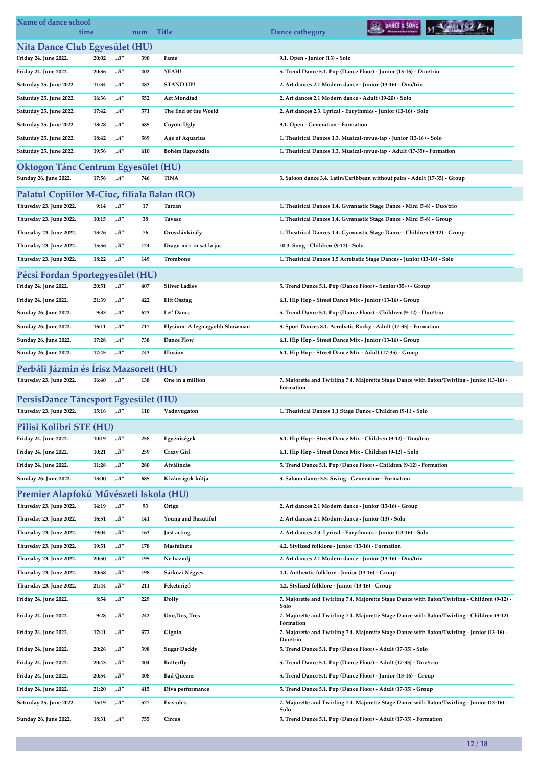| Name of dance school<br>time                              |       |                              | num | <b>Title</b>                  | DANCE & SONG<br>Dance cathegory                                                                          |
|-----------------------------------------------------------|-------|------------------------------|-----|-------------------------------|----------------------------------------------------------------------------------------------------------|
| Nita Dance Club Egyesület (HU)                            |       |                              |     |                               |                                                                                                          |
| Friday 24. June 2022.                                     | 20:02 | $n^{\prime}B^{\prime\prime}$ | 390 | Fame                          | 9.1. Open - Junior (13) - Solo                                                                           |
| Friday 24. June 2022.                                     | 20:36 | "B"                          | 402 | YEAH!                         | 5. Trend Dance 5.1. Pop (Dance Floor) - Junior (13-16) - Duo/trio                                        |
| Saturday 25. June 2022.                                   | 11:34 | A''                          | 483 | <b>STAND UP!</b>              | 2. Art dances 2.1 Modern dance - Junior (13-16) - Duo/trio                                               |
| Saturday 25. June 2022.                                   | 16:36 | $n^{A''}$                    | 552 | Azt Mondtad                   | 2. Art dances 2.1 Modern dance - Adult (19-20) - Solo                                                    |
| Saturday 25. June 2022.                                   | 17:42 | "A"                          | 571 | The End of the World          | 2. Art dances 2.3. Lyrical - Eurythmics - Junior (13-16) - Solo                                          |
| Saturday 25. June 2022.                                   | 18:28 | $n^{\prime\prime}$           | 585 | Coyote Ugly                   | 9.1. Open - Generation - Formation                                                                       |
| Saturday 25. June 2022.                                   | 18:42 | $_nA''$                      | 589 | <b>Age of Aquarius</b>        | 1. Theatrical Dances 1.3. Musical-revue-tap - Junior (13-16) - Solo                                      |
| Saturday 25. June 2022.                                   | 19:56 | $n^{A''}$                    | 610 | Bohém Rapszódia               | 1. Theatrical Dances 1.3. Musical-revue-tap - Adult (17-35) - Formation                                  |
| <b>Oktogon Tánc Centrum Egyesület (HU)</b>                |       |                              |     |                               |                                                                                                          |
| Sunday 26. June 2022.                                     | 17:56 | $n^{A''}$                    | 746 | <b>TINA</b>                   | 3. Saloon dance 3.4. Latin/Caribbean without pairs - Adult (17-35) - Group                               |
| Palatul Copiilor M-Ciuc, filiala Balan (RO)               |       |                              |     |                               |                                                                                                          |
| Thursday 23. June 2022.                                   | 9:14  | "B"                          | 17  | Tarzan                        | 1. Theatrical Dances 1.4. Gymnastic Stage Dance - Mini (5-8) - Duo/trio                                  |
| Thursday 23. June 2022.                                   | 10:15 | "B"                          | 38  | Tavasz                        | 1. Theatrical Dances 1.4. Gymnastic Stage Dance - Mini (5-8) - Group                                     |
| Thursday 23. June 2022.                                   | 13:26 | $n^{\prime}B^{\prime\prime}$ | 76  | Oroszlánkirály                | 1. Theatrical Dances 1.4. Gymnastic Stage Dance - Children (9-12) - Group                                |
| Thursday 23. June 2022.                                   | 15:56 | $n^{\prime}B^{\prime\prime}$ | 124 | Dragu mi-i in sat la joc      | 10.3. Song - Children (9-12) - Solo                                                                      |
| Thursday 23. June 2022.                                   | 18:22 | $n^{\prime}B^{\prime\prime}$ | 149 | Trombone                      | 1. Theatrical Dances 1.5 Acrobatic Stage Dances - Junior (13-16) - Solo                                  |
|                                                           |       |                              |     |                               |                                                                                                          |
| Pécsi Fordan Sportegyesület (HU)<br>Friday 24. June 2022. | 20:51 | "B"                          | 407 | <b>Silver Ladies</b>          | 5. Trend Dance 5.1. Pop (Dance Floor) - Senior (35+) - Group                                             |
| Friday 24. June 2022.                                     | 21:39 | $n^{\prime}B^{\prime\prime}$ | 422 | <b>Elit Osztag</b>            | 6.1. Hip Hop - Street Dance Mix - Junior (13-16) - Group                                                 |
| Sunday 26. June 2022.                                     | 9:33  | $n^{\prime\prime}$           | 623 | Let' Dance                    | 5. Trend Dance 5.1. Pop (Dance Floor) - Children (9-12) - Duo/trio                                       |
| Sunday 26. June 2022.                                     | 16:11 | $n^{\prime\prime}$           | 717 | Elysium- A legnagyobb Showman | 8. Sport Dances 8.1. Acrobatic Rocky - Adult (17-35) - Formation                                         |
|                                                           |       |                              |     |                               |                                                                                                          |
| Sunday 26. June 2022.                                     | 17:28 | "A"                          | 738 | Dance Flow                    | 6.1. Hip Hop - Street Dance Mix - Junior (13-16) - Group                                                 |
| Sunday 26. June 2022.                                     | 17:45 | $n^{A''}$                    | 743 | Illusion                      | 6.1. Hip Hop - Street Dance Mix - Adult (17-35) - Group                                                  |
| Perbáli Jázmin és Írisz Mazsorett (HU)                    |       |                              |     |                               |                                                                                                          |
| Thursday 23. June 2022.                                   | 16:40 | $n^{\prime}B^{\prime\prime}$ | 138 | One in a million              | 7. Majorette and Twirling 7.4. Majorette Stage Dance with Baton/Twirling - Junior (13-16) -<br>Formation |
| PersisDance Táncsport Egyesület (HU)                      |       |                              |     |                               |                                                                                                          |
| Thursday 23. June 2022.                                   | 15:16 | $n^{\prime}B^{\prime\prime}$ | 110 | Vadnyugaton                   | 1. Theatrical Dances 1.1 Stage Dance - Children (9-I.) - Solo                                            |
| Pilisi Kolibri STE (HU)                                   |       |                              |     |                               |                                                                                                          |
| Friday 24. June 2022.                                     | 10:19 | "B"                          | 258 | Egyéniségek                   | 6.1. Hip Hop - Street Dance Mix - Children (9-12) - Duo/trio                                             |
| Friday 24. June 2022.                                     | 10:21 | $n^{\prime}B^{\prime\prime}$ | 259 | Crazy Girl                    | 6.1. Hip Hop - Street Dance Mix - Children (9-12) - Solo                                                 |
| Friday 24. June 2022.                                     | 11:28 | "B"                          | 280 | Átváltozás                    | 5. Trend Dance 5.1. Pop (Dance Floor) - Children (9-12) - Formation                                      |
| Sunday 26. June 2022.                                     | 13:00 | $n^{\prime\prime}$           | 685 | Kívánságok kútja              | 3. Saloon dance 3.5. Swing - Generation - Formation                                                      |
| Premier Alapfokú Művészeti Iskola (HU)                    |       |                              |     |                               |                                                                                                          |
| Thursday 23. June 2022.                                   | 14:19 | "B"                          | 93  | Origo                         | 2. Art dances 2.1 Modern dance - Junior (13-16) - Group                                                  |
| Thursday 23. June 2022.                                   | 16:51 | $n^{\prime}B^{\prime\prime}$ | 141 | Young and Beautiful           | 2. Art dances 2.1 Modern dance - Junior (13) - Solo                                                      |
| Thursday 23. June 2022.                                   | 19:04 | "B"                          | 163 | Just acting                   | 2. Art dances 2.3. Lyrical - Eurythmics - Junior (13-16) - Solo                                          |
| Thursday 23. June 2022.                                   | 19:51 | $n^{\prime}B^{\prime\prime}$ | 178 | Másfélhete                    | 4.2. Stylized folklore - Junior (13-16) - Formation                                                      |
| Thursday 23. June 2022.                                   | 20:50 | "B"                          | 195 | Ne hazudj                     | 2. Art dances 2.1 Modern dance - Junior (13-16) - Duo/trio                                               |
| Thursday 23. June 2022.                                   | 20:58 | "B"                          | 198 | Sárközi Négyes                | 4.1. Authentic folklore - Junior (13-16) - Group                                                         |
| Thursday 23. June 2022.                                   | 21:44 | "B"                          | 211 | Feketerigó                    | 4.2. Stylized folklore - Junior (13-16) - Group                                                          |
| Friday 24. June 2022.                                     | 8:54  | "B"                          | 229 | Dolly                         | 7. Majorette and Twirling 7.4. Majorette Stage Dance with Baton/Twirling - Children (9-12) -             |
| Friday 24. June 2022.                                     | 9:28  | $n^{\prime}B^{\prime\prime}$ | 242 | Uno, Dos, Tres                | Solo<br>7. Majorette and Twirling 7.4. Majorette Stage Dance with Baton/Twirling - Children (9-12) -     |
| Friday 24. June 2022.                                     | 17:41 | "B"                          | 372 | Gigolo                        | Formation<br>7. Majorette and Twirling 7.4. Majorette Stage Dance with Baton/Twirling - Junior (13-16) - |
| Friday 24. June 2022.                                     | 20:26 | $n^{\prime}B^{\prime\prime}$ | 398 | <b>Sugar Daddy</b>            | Duo/trio<br>5. Trend Dance 5.1. Pop (Dance Floor) - Adult (17-35) - Solo                                 |
| Friday 24. June 2022.                                     | 20:43 | "B"                          | 404 | Butterfly                     | 5. Trend Dance 5.1. Pop (Dance Floor) - Adult (17-35) - Duo/trio                                         |
| Friday 24. June 2022.                                     | 20:54 | $n^{\prime}B^{\prime\prime}$ | 408 | <b>Bad Queens</b>             | 5. Trend Dance 5.1. Pop (Dance Floor) - Junior (13-16) - Group                                           |
| Friday 24. June 2022.                                     | 21:20 | $n^{\prime}B^{\prime\prime}$ | 415 | Diva performance              | 5. Trend Dance 5.1. Pop (Dance Floor) - Adult (17-35) - Group                                            |
| Saturday 25. June 2022.                                   | 15:19 | "A"                          | 527 | Ex-s-oh-s                     | 7. Majorette and Twirling 7.4. Majorette Stage Dance with Baton/Twirling - Junior (13-16)                |
| Sunday 26. June 2022.                                     | 18:31 | "A"                          | 755 | Circus                        | Solo<br>5. Trend Dance 5.1. Pop (Dance Floor) - Adult (17-35) - Formation                                |
|                                                           |       |                              |     |                               |                                                                                                          |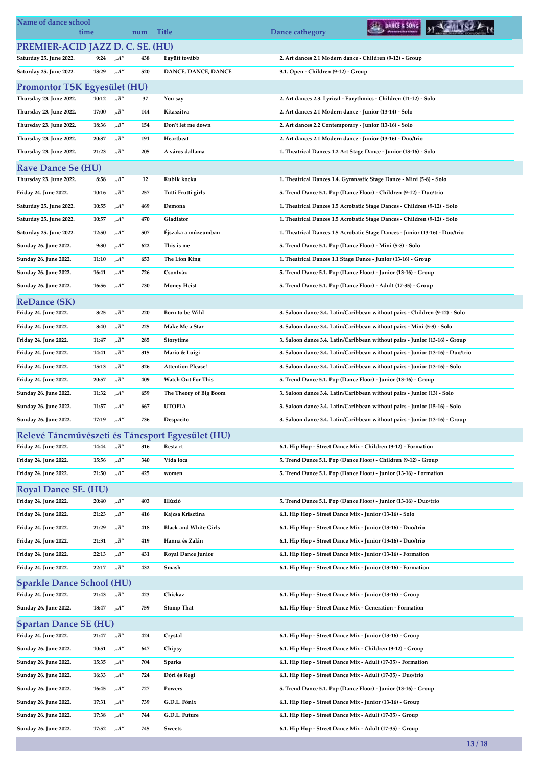| Name of dance school                                      | time  |                                   | num | <b>Title</b>                                     | DANCE & SONG<br>Dance cathegory                                                |  |
|-----------------------------------------------------------|-------|-----------------------------------|-----|--------------------------------------------------|--------------------------------------------------------------------------------|--|
| PREMIER-ACID JAZZ D. C. SE. (HU)                          |       |                                   |     |                                                  |                                                                                |  |
| Saturday 25. June 2022.                                   | 9:24  | $n^{A''}$                         | 438 | Együtt tovább                                    | 2. Art dances 2.1 Modern dance - Children (9-12) - Group                       |  |
| Saturday 25. June 2022.                                   | 13:29 | $n^{A''}$                         | 520 | DANCE, DANCE, DANCE                              | 9.1. Open - Children (9-12) - Group                                            |  |
| <b>Promontor TSK Egyesület (HU)</b>                       |       |                                   |     |                                                  |                                                                                |  |
| Thursday 23. June 2022.                                   | 10:12 | $n^{\prime}B^{\prime\prime}$      | 37  | You say                                          | 2. Art dances 2.3. Lyrical - Eurythmics - Children (11-12) - Solo              |  |
| Thursday 23. June 2022.                                   | 17:00 | $n^{\prime}B^{\prime\prime}$      | 144 | Kitaszítva                                       | 2. Art dances 2.1 Modern dance - Junior (13-14) - Solo                         |  |
| Thursday 23. June 2022.                                   | 18:36 | $_{\prime\prime}B^{\prime\prime}$ | 154 | Don't let me down                                | 2. Art dances 2.2 Contemporary - Junior (13-16) - Solo                         |  |
| Thursday 23. June 2022.                                   | 20:37 | $n^{\prime}B^{\prime\prime}$      | 191 | Heartbeat                                        | 2. Art dances 2.1 Modern dance - Junior (13-16) - Duo/trio                     |  |
| Thursday 23. June 2022.                                   | 21:23 | $n^{\prime}B^{\prime\prime}$      | 205 | A város dallama                                  | 1. Theatrical Dances 1.2 Art Stage Dance - Junior (13-16) - Solo               |  |
| <b>Rave Dance Se (HU)</b>                                 |       |                                   |     |                                                  |                                                                                |  |
| Thursday 23. June 2022.                                   | 8:58  | $n^{\prime}B^{\prime\prime}$      | 12  | Rubik kocka                                      | 1. Theatrical Dances 1.4. Gymnastic Stage Dance - Mini (5-8) - Solo            |  |
| Friday 24. June 2022.                                     | 10:16 | $n^{\prime}B^{\prime\prime}$      | 257 | Tutti Frutti girls                               | 5. Trend Dance 5.1. Pop (Dance Floor) - Children (9-12) - Duo/trio             |  |
| Saturday 25. June 2022.                                   | 10:55 | $n^{A''}$                         | 469 | Demona                                           | 1. Theatrical Dances 1.5 Acrobatic Stage Dances - Children (9-12) - Solo       |  |
| Saturday 25. June 2022.                                   | 10:57 | $n^{A''}$                         | 470 | Gladiator                                        | 1. Theatrical Dances 1.5 Acrobatic Stage Dances - Children (9-12) - Solo       |  |
| Saturday 25. June 2022.                                   | 12:50 | $_nA''$                           | 507 | Éjszaka a múzeumban                              | 1. Theatrical Dances 1.5 Acrobatic Stage Dances - Junior (13-16) - Duo/trio    |  |
| Sunday 26. June 2022.                                     | 9:30  | $_nA''$                           | 622 | This is me                                       | 5. Trend Dance 5.1. Pop (Dance Floor) - Mini (5-8) - Solo                      |  |
| Sunday 26. June 2022.                                     | 11:10 | $n^{A''}$                         | 653 | The Lion King                                    | 1. Theatrical Dances 1.1 Stage Dance - Junior (13-16) - Group                  |  |
| Sunday 26. June 2022.                                     | 16:41 | $n^{A''}$                         | 726 | Csontváz                                         | 5. Trend Dance 5.1. Pop (Dance Floor) - Junior (13-16) - Group                 |  |
| Sunday 26. June 2022.                                     | 16:56 | $n^{\prime\prime}$                | 730 | <b>Money Heist</b>                               | 5. Trend Dance 5.1. Pop (Dance Floor) - Adult (17-35) - Group                  |  |
| <b>ReDance (SK)</b>                                       |       |                                   |     |                                                  |                                                                                |  |
| Friday 24. June 2022.                                     | 8:25  | "B"                               | 220 | Born to be Wild                                  | 3. Saloon dance 3.4. Latin/Caribbean without pairs - Children (9-12) - Solo    |  |
| Friday 24. June 2022.                                     | 8:40  | $n^{\prime}B^{\prime\prime}$      | 225 | Make Me a Star                                   | 3. Saloon dance 3.4. Latin/Caribbean without pairs - Mini (5-8) - Solo         |  |
| Friday 24. June 2022.                                     | 11:47 | "B"                               | 285 | Storytime                                        | 3. Saloon dance 3.4. Latin/Caribbean without pairs - Junior (13-16) - Group    |  |
| Friday 24. June 2022.                                     | 14:41 | $n^{\prime}B^{\prime\prime}$      | 315 | Mario & Luigi                                    | 3. Saloon dance 3.4. Latin/Caribbean without pairs - Junior (13-16) - Duo/trio |  |
| Friday 24. June 2022.                                     | 15:13 | "B"                               | 326 | <b>Attention Please!</b>                         | 3. Saloon dance 3.4. Latin/Caribbean without pairs - Junior (13-16) - Solo     |  |
| Friday 24. June 2022.                                     | 20:57 | "B"                               | 409 | <b>Watch Out For This</b>                        | 5. Trend Dance 5.1. Pop (Dance Floor) - Junior (13-16) - Group                 |  |
| Sunday 26. June 2022.                                     | 11:32 | $n^{A''}$                         | 659 | The Theory of Big Boom                           | 3. Saloon dance 3.4. Latin/Caribbean without pairs - Junior (13) - Solo        |  |
| Sunday 26. June 2022.                                     | 11:57 | $n^{\prime\prime}$                | 667 | <b>UTOPIA</b>                                    | 3. Saloon dance 3.4. Latin/Caribbean without pairs - Junior (15-16) - Solo     |  |
| Sunday 26. June 2022.                                     | 17:19 | $n^{\prime}A^{\prime\prime}$      | 736 | Despacito                                        | 3. Saloon dance 3.4. Latin/Caribbean without pairs - Junior (13-16) - Group    |  |
|                                                           |       |                                   |     | Relevé Táncművészeti és Táncsport Egyesület (HU) |                                                                                |  |
| Friday 24. June 2022.                                     | 14:44 | $n^{\prime}B^{\prime\prime}$      | 316 | Resta rt                                         | 6.1. Hip Hop - Street Dance Mix - Children (9-12) - Formation                  |  |
| Friday 24. June 2022.                                     | 15:56 | "B"                               | 340 | Vida loca                                        | 5. Trend Dance 5.1. Pop (Dance Floor) - Children (9-12) - Group                |  |
| Friday 24. June 2022.                                     | 21:50 | $n^{\prime}B^{\prime\prime}$      | 425 | women                                            | 5. Trend Dance 5.1. Pop (Dance Floor) - Junior (13-16) - Formation             |  |
|                                                           |       |                                   |     |                                                  |                                                                                |  |
| <b>Royal Dance SE. (HU)</b><br>Friday 24. June 2022.      | 20:40 | $n^{\prime}B^{\prime\prime}$      | 403 | Illúzió                                          | 5. Trend Dance 5.1. Pop (Dance Floor) - Junior (13-16) - Duo/trio              |  |
| Friday 24. June 2022.                                     | 21:23 | $n^{\prime}B^{\prime\prime}$      | 416 | Kajcsa Krisztina                                 | 6.1. Hip Hop - Street Dance Mix - Junior (13-16) - Solo                        |  |
| Friday 24. June 2022.                                     | 21:29 | $n^{\prime}B^{\prime\prime}$      | 418 | <b>Black and White Girls</b>                     | 6.1. Hip Hop - Street Dance Mix - Junior (13-16) - Duo/trio                    |  |
| Friday 24. June 2022.                                     | 21:31 | "B"                               | 419 | Hanna és Zalán                                   | 6.1. Hip Hop - Street Dance Mix - Junior (13-16) - Duo/trio                    |  |
| Friday 24. June 2022.                                     | 22:13 | "B"                               | 431 | <b>Royal Dance Junior</b>                        | 6.1. Hip Hop - Street Dance Mix - Junior (13-16) - Formation                   |  |
| Friday 24. June 2022.                                     | 22:17 | $n^{\prime}B^{\prime\prime}$      | 432 | Smash                                            | 6.1. Hip Hop - Street Dance Mix - Junior (13-16) - Formation                   |  |
|                                                           |       |                                   |     |                                                  |                                                                                |  |
| <b>Sparkle Dance School (HU)</b><br>Friday 24. June 2022. | 21:43 | $n^{\prime}B^{\prime\prime}$      | 423 | Chickaz                                          | 6.1. Hip Hop - Street Dance Mix - Junior (13-16) - Group                       |  |
| Sunday 26. June 2022.                                     | 18:47 | $n^{A''}$                         | 759 | <b>Stomp That</b>                                | 6.1. Hip Hop - Street Dance Mix - Generation - Formation                       |  |
|                                                           |       |                                   |     |                                                  |                                                                                |  |
| <b>Spartan Dance SE (HU)</b><br>Friday 24. June 2022.     | 21:47 |                                   | 424 |                                                  |                                                                                |  |
| Sunday 26. June 2022.                                     | 10:51 | "B"<br>$n^{A''}$                  | 647 | Crystal<br>Chipsy                                | 6.1. Hip Hop - Street Dance Mix - Junior (13-16) - Group                       |  |
|                                                           |       | $n^{A''}$                         |     |                                                  | 6.1. Hip Hop - Street Dance Mix - Children (9-12) - Group                      |  |
| Sunday 26. June 2022.                                     | 15:35 |                                   | 704 | <b>Sparks</b>                                    | 6.1. Hip Hop - Street Dance Mix - Adult (17-35) - Formation                    |  |
| Sunday 26. June 2022.                                     | 16:33 | $n^{\prime\prime}$                | 724 | Dóri és Regi                                     | 6.1. Hip Hop - Street Dance Mix - Adult (17-35) - Duo/trio                     |  |
| Sunday 26. June 2022.                                     | 16:45 | $_nA''$                           | 727 | Powers                                           | 5. Trend Dance 5.1. Pop (Dance Floor) - Junior (13-16) - Group                 |  |
| Sunday 26. June 2022.                                     | 17:31 | $_nA^{\prime\prime}$              | 739 | G.D.L. Főnix                                     | 6.1. Hip Hop - Street Dance Mix - Junior (13-16) - Group                       |  |
| Sunday 26. June 2022.                                     | 17:38 | $n^{\prime}A^{\prime\prime}$      | 744 | G.D.L. Future                                    | 6.1. Hip Hop - Street Dance Mix - Adult (17-35) - Group                        |  |
| Sunday 26. June 2022.                                     | 17:52 | "A"                               | 745 | <b>Sweets</b>                                    | 6.1. Hip Hop - Street Dance Mix - Adult (17-35) - Group                        |  |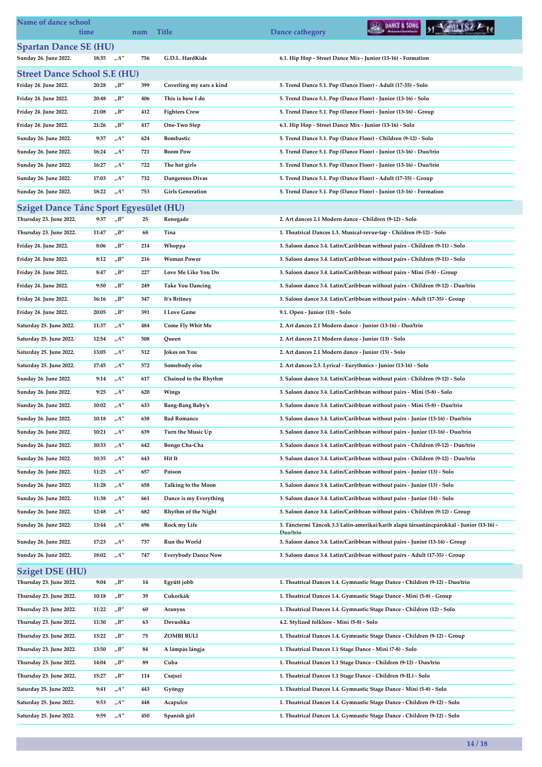| <b>Spartan Dance SE (HU)</b><br>Sunday 26. June 2022.<br>$n^{\prime}A^{\prime\prime}$<br>756<br>G.D.L. HardKids<br>6.1. Hip Hop - Street Dance Mix - Junior (13-16) - Formation<br>18:35<br><b>Street Dance School S.E (HU)</b><br>Friday 24. June 2022.<br>$n^{\prime}B^{\prime\prime}$<br>399<br>Coverling my ears a kind<br>5. Trend Dance 5.1. Pop (Dance Floor) - Adult (17-35) - Solo<br>20:28<br>Friday 24. June 2022.<br>$n^{\prime}B^{\prime\prime}$<br>This is how I do<br>5. Trend Dance 5.1. Pop (Dance Floor) - Junior (13-16) - Solo<br>20:48<br>406<br>$n^{\prime}B^{\prime\prime}$<br><b>Fighters Crew</b><br>Friday 24. June 2022.<br>21:08<br>412<br>5. Trend Dance 5.1. Pop (Dance Floor) - Junior (13-16) - Group<br>$n^{\prime}B^{\prime\prime}$<br>Friday 24. June 2022.<br>21:26<br>417<br>One-Two Step<br>6.1. Hip Hop - Street Dance Mix - Junior (13-16) - Solo<br>$n^{\prime\prime}$<br>Sunday 26. June 2022.<br>9:37<br>624<br>Bombastic<br>5. Trend Dance 5.1. Pop (Dance Floor) - Children (9-12) - Solo<br>$n^{A''}$<br><b>Boom Pow</b><br>Sunday 26. June 2022.<br>16:24<br>721<br>5. Trend Dance 5.1. Pop (Dance Floor) - Junior (13-16) - Duo/trio<br>A''<br>Sunday 26. June 2022.<br>722<br>The hot girls<br>16:27<br>5. Trend Dance 5.1. Pop (Dance Floor) - Junior (13-16) - Duo/trio<br>$n^{\prime}A^{\prime\prime}$<br>Sunday 26. June 2022.<br>17:03<br>732<br>Dangerous Divas<br>5. Trend Dance 5.1. Pop (Dance Floor) - Adult (17-35) - Group<br>Sunday 26. June 2022.<br>18:22<br>"A"<br>753<br><b>Girls Generation</b><br>5. Trend Dance 5.1. Pop (Dance Floor) - Junior (13-16) - Formation<br>Sziget Dance Tánc Sport Egyesület (HU)<br>Thursday 23. June 2022.<br>$n^{\prime}B^{\prime\prime}$<br>9:37<br>25<br>2. Art dances 2.1 Modern dance - Children (9-12) - Solo<br>Renegade<br>$n^{\prime}B^{\prime\prime}$<br>Thursday 23. June 2022.<br>11:47<br>68<br>Tina<br>1. Theatrical Dances 1.3. Musical-revue-tap - Children (9-12) - Solo<br>$n^{\prime}B^{\prime\prime}$<br>Friday 24. June 2022.<br>8:06<br>214<br>Whoppa<br>3. Saloon dance 3.4. Latin/Caribbean without pairs - Children (9-11) - Solo<br>$n^{\prime}B''$<br><b>Woman Power</b><br>Friday 24. June 2022.<br>8:12<br>216<br>3. Saloon dance 3.4. Latin/Caribbean without pairs - Children (9-11) - Solo<br>Friday 24. June 2022.<br>$n^{\prime}B^{\prime\prime}$<br>Love Me Like You Do<br>3. Saloon dance 3.4. Latin/Caribbean without pairs - Mini (5-8) - Group<br>8:47<br>227<br>Friday 24. June 2022.<br>"B"<br><b>Take You Dancing</b><br>3. Saloon dance 3.4. Latin/Caribbean without pairs - Children (9-12) - Duo/trio<br>9:50<br>249<br>$n^{\prime}B^{\prime\prime}$<br>Friday 24. June 2022.<br>16:16<br>347<br>It's Britney<br>3. Saloon dance 3.4. Latin/Caribbean without pairs - Adult (17-35) - Group<br>"B"<br>Friday 24. June 2022.<br>20:05<br>391<br>I Love Game<br>9.1. Open - Junior (13) - Solo<br>Saturday 25. June 2022.<br>$n^{A''}$<br>484<br>Come Fly Whit Me<br>2. Art dances 2.1 Modern dance - Junior (13-16) - Duo/trio<br>11:37<br>"A"<br>Saturday 25. June 2022.<br>12:54<br>508<br>Queen<br>2. Art dances 2.1 Modern dance - Junior (13) - Solo<br>$n^{\prime\prime}$<br>Jokes on You<br>Saturday 25. June 2022.<br>13:05<br>512<br>2. Art dances 2.1 Modern dance - Junior (15) - Solo<br>$n^{\prime\prime}$<br>17:45<br>572<br>Somebody else<br>Saturday 25. June 2022.<br>2. Art dances 2.3. Lyrical - Eurythmics - Junior (13-16) - Solo<br>Sunday 26. June 2022.<br>$n^{A''}$<br>Chained to the Rhythm<br>3. Saloon dance 3.4. Latin/Caribbean without pairs - Children (9-12) - Solo<br>9:14<br>617<br>$n^{A''}$<br>Sunday 26. June 2022.<br>9:25<br>620<br>Wings<br>3. Saloon dance 3.4. Latin/Caribbean without pairs - Mini (5-8) - Solo<br>$n^{\prime\prime}$<br>10:02<br><b>Bang-Bang Baby's</b><br>Sunday 26. June 2022.<br>633<br>3. Saloon dance 3.4. Latin/Caribbean without pairs - Mini (5-8) - Duo/trio<br>10:18<br>$n^{A''}$<br>638<br>3. Saloon dance 3.4. Latin/Caribbean without pairs - Junior (13-16) - Duo/trio<br>Sunday 26. June 2022.<br><b>Bad Romance</b><br>Sunday 26. June 2022.<br>10:21<br>"A"<br>Turn the Music Up<br>639<br>3. Saloon dance 3.4. Latin/Caribbean without pairs - Junior (13-16) - Duo/trio<br>$n^{\prime}A^{\prime\prime}$<br>642<br>Sunday 26. June 2022.<br>10:33<br>Bongo Cha-Cha<br>3. Saloon dance 3.4. Latin/Caribbean without pairs - Children (9-12) - Duo/trio<br>$n^{\prime\prime}$<br>643<br>Hit It<br>Sunday 26. June 2022.<br>10:35<br>3. Saloon dance 3.4. Latin/Caribbean without pairs - Children (9-12) - Duo/trio<br>$n^{\prime\prime}$<br>11:25<br>657<br>Poison<br>Sunday 26. June 2022.<br>3. Saloon dance 3.4. Latin/Caribbean without pairs - Junior (13) - Solo<br>$_nA''$<br><b>Talking to the Moon</b><br>Sunday 26. June 2022.<br>11:28<br>658<br>3. Saloon dance 3.4. Latin/Caribbean without pairs - Junior (13) - Solo<br>$n^{\prime\prime}$<br>Dance is my Everything<br>Sunday 26. June 2022.<br>11:38<br>661<br>3. Saloon dance 3.4. Latin/Caribbean without pairs - Junior (14) - Solo<br>$n^{A''}$<br>Sunday 26. June 2022.<br>682<br>Rhythm of the Night<br>12:48<br>3. Saloon dance 3.4. Latin/Caribbean without pairs - Children (9-12) - Group<br>$n^{\prime\prime}$<br>13:44<br>696<br>Rock my Life<br>3. Tánctermi Táncok 3.3 Latin-amerikai/karib alapú társastáncpárokkal - Junior (13-16) -<br>Sunday 26. June 2022.<br>Duo/trio<br>17:23<br>$n^{\prime\prime}$<br>737<br><b>Run the World</b><br>Sunday 26. June 2022.<br>3. Saloon dance 3.4. Latin/Caribbean without pairs - Junior (13-16) - Group<br>$n^{\prime\prime}$<br>Sunday 26. June 2022.<br>747<br><b>Everybody Dance Now</b><br>18:02<br>3. Saloon dance 3.4. Latin/Caribbean without pairs - Adult (17-35) - Group<br><b>Sziget DSE (HU)</b><br>$n^{\prime\prime}$<br>Thursday 23. June 2022.<br>Együtt jobb<br>1. Theatrical Dances 1.4. Gymnastic Stage Dance - Children (9-12) - Duo/trio<br>9:04<br>14<br>$n^{\prime}B^{\prime\prime}$<br>Cukorkák<br>1. Theatrical Dances 1.4. Gymnastic Stage Dance - Mini (5-8) - Group<br>Thursday 23. June 2022.<br>10:18<br>39<br>$n^{\prime}B^{\prime\prime}$<br>60<br>Thursday 23. June 2022.<br>11:22<br>Aranyos<br>1. Theatrical Dances 1.4. Gymnastic Stage Dance - Children (12) - Solo<br>$n^{\prime}B^{\prime\prime}$<br>Devushka<br>Thursday 23. June 2022.<br>11:30<br>63<br>4.2. Stylized folklore - Mini (5-8) - Solo<br>$n^{\prime}B^{\prime\prime}$<br>13:22<br>ZOMBI BULI<br>1. Theatrical Dances 1.4. Gymnastic Stage Dance - Children (9-12) - Group<br>Thursday 23. June 2022.<br>75<br>$n^{\prime}B^{\prime\prime}$<br>A lámpás lángja<br>Thursday 23. June 2022.<br>13:50<br>84<br>1. Theatrical Dances 1.1 Stage Dance - Mini (7-8) - Solo<br>$_{\prime\prime}B^{\prime\prime}$<br>Thursday 23. June 2022.<br>89<br>Cuba<br>14:04<br>1. Theatrical Dances 1.1 Stage Dance - Children (9-12) - Duo/trio<br>"B"<br>Thursday 23. June 2022.<br>114<br>Csajszi<br>15:27<br>1. Theatrical Dances 1.1 Stage Dance - Children (9-II.) - Solo<br>$n^{\prime\prime}$<br>9:41<br>443<br>Saturday 25. June 2022.<br>Gyöngy<br>1. Theatrical Dances 1.4. Gymnastic Stage Dance - Mini (5-8) - Solo<br>$n^{A''}$<br>Acapulco<br>Saturday 25. June 2022.<br>9:53<br>448<br>1. Theatrical Dances 1.4. Gymnastic Stage Dance - Children (9-12) - Solo | Name of dance school<br>time |      |                    | num | <b>Title</b> | DANCE & SONG<br>Dance cathegory                                          |  |
|------------------------------------------------------------------------------------------------------------------------------------------------------------------------------------------------------------------------------------------------------------------------------------------------------------------------------------------------------------------------------------------------------------------------------------------------------------------------------------------------------------------------------------------------------------------------------------------------------------------------------------------------------------------------------------------------------------------------------------------------------------------------------------------------------------------------------------------------------------------------------------------------------------------------------------------------------------------------------------------------------------------------------------------------------------------------------------------------------------------------------------------------------------------------------------------------------------------------------------------------------------------------------------------------------------------------------------------------------------------------------------------------------------------------------------------------------------------------------------------------------------------------------------------------------------------------------------------------------------------------------------------------------------------------------------------------------------------------------------------------------------------------------------------------------------------------------------------------------------------------------------------------------------------------------------------------------------------------------------------------------------------------------------------------------------------------------------------------------------------------------------------------------------------------------------------------------------------------------------------------------------------------------------------------------------------------------------------------------------------------------------------------------------------------------------------------------------------------------------------------------------------------------------------------------------------------------------------------------------------------------------------------------------------------------------------------------------------------------------------------------------------------------------------------------------------------------------------------------------------------------------------------------------------------------------------------------------------------------------------------------------------------------------------------------------------------------------------------------------------------------------------------------------------------------------------------------------------------------------------------------------------------------------------------------------------------------------------------------------------------------------------------------------------------------------------------------------------------------------------------------------------------------------------------------------------------------------------------------------------------------------------------------------------------------------------------------------------------------------------------------------------------------------------------------------------------------------------------------------------------------------------------------------------------------------------------------------------------------------------------------------------------------------------------------------------------------------------------------------------------------------------------------------------------------------------------------------------------------------------------------------------------------------------------------------------------------------------------------------------------------------------------------------------------------------------------------------------------------------------------------------------------------------------------------------------------------------------------------------------------------------------------------------------------------------------------------------------------------------------------------------------------------------------------------------------------------------------------------------------------------------------------------------------------------------------------------------------------------------------------------------------------------------------------------------------------------------------------------------------------------------------------------------------------------------------------------------------------------------------------------------------------------------------------------------------------------------------------------------------------------------------------------------------------------------------------------------------------------------------------------------------------------------------------------------------------------------------------------------------------------------------------------------------------------------------------------------------------------------------------------------------------------------------------------------------------------------------------------------------------------------------------------------------------------------------------------------------------------------------------------------------------------------------------------------------------------------------------------------------------------------------------------------------------------------------------------------------------------------------------------------------------------------------------------------------------------------------------------------------------------------------------------------------------------------------------------------------------------------------------------------------------------------------------------------------------------------------------------------------------------------------------------------------------------------------------------------------------------------------------------------------------------------------------------------------------------------------------------------------------------------------------------------------------------------------------------------------------------------------------------------------------------------------------------------------------------------------------------------------------------------------------------------------------------------------------------------------------------------------------------------------------------------------------------------------------------------------------------------------------------------------------------------------------------|------------------------------|------|--------------------|-----|--------------|--------------------------------------------------------------------------|--|
|                                                                                                                                                                                                                                                                                                                                                                                                                                                                                                                                                                                                                                                                                                                                                                                                                                                                                                                                                                                                                                                                                                                                                                                                                                                                                                                                                                                                                                                                                                                                                                                                                                                                                                                                                                                                                                                                                                                                                                                                                                                                                                                                                                                                                                                                                                                                                                                                                                                                                                                                                                                                                                                                                                                                                                                                                                                                                                                                                                                                                                                                                                                                                                                                                                                                                                                                                                                                                                                                                                                                                                                                                                                                                                                                                                                                                                                                                                                                                                                                                                                                                                                                                                                                                                                                                                                                                                                                                                                                                                                                                                                                                                                                                                                                                                                                                                                                                                                                                                                                                                                                                                                                                                                                                                                                                                                                                                                                                                                                                                                                                                                                                                                                                                                                                                                                                                                                                                                                                                                                                                                                                                                                                                                                                                                                                                                                                                                                                                                                                                                                                                                                                                                                                                                                                                                                                                                                                                                                                                                                                                                                                                                                                                                                                                                                                                                                                                                                                              |                              |      |                    |     |              |                                                                          |  |
|                                                                                                                                                                                                                                                                                                                                                                                                                                                                                                                                                                                                                                                                                                                                                                                                                                                                                                                                                                                                                                                                                                                                                                                                                                                                                                                                                                                                                                                                                                                                                                                                                                                                                                                                                                                                                                                                                                                                                                                                                                                                                                                                                                                                                                                                                                                                                                                                                                                                                                                                                                                                                                                                                                                                                                                                                                                                                                                                                                                                                                                                                                                                                                                                                                                                                                                                                                                                                                                                                                                                                                                                                                                                                                                                                                                                                                                                                                                                                                                                                                                                                                                                                                                                                                                                                                                                                                                                                                                                                                                                                                                                                                                                                                                                                                                                                                                                                                                                                                                                                                                                                                                                                                                                                                                                                                                                                                                                                                                                                                                                                                                                                                                                                                                                                                                                                                                                                                                                                                                                                                                                                                                                                                                                                                                                                                                                                                                                                                                                                                                                                                                                                                                                                                                                                                                                                                                                                                                                                                                                                                                                                                                                                                                                                                                                                                                                                                                                                              |                              |      |                    |     |              |                                                                          |  |
|                                                                                                                                                                                                                                                                                                                                                                                                                                                                                                                                                                                                                                                                                                                                                                                                                                                                                                                                                                                                                                                                                                                                                                                                                                                                                                                                                                                                                                                                                                                                                                                                                                                                                                                                                                                                                                                                                                                                                                                                                                                                                                                                                                                                                                                                                                                                                                                                                                                                                                                                                                                                                                                                                                                                                                                                                                                                                                                                                                                                                                                                                                                                                                                                                                                                                                                                                                                                                                                                                                                                                                                                                                                                                                                                                                                                                                                                                                                                                                                                                                                                                                                                                                                                                                                                                                                                                                                                                                                                                                                                                                                                                                                                                                                                                                                                                                                                                                                                                                                                                                                                                                                                                                                                                                                                                                                                                                                                                                                                                                                                                                                                                                                                                                                                                                                                                                                                                                                                                                                                                                                                                                                                                                                                                                                                                                                                                                                                                                                                                                                                                                                                                                                                                                                                                                                                                                                                                                                                                                                                                                                                                                                                                                                                                                                                                                                                                                                                                              |                              |      |                    |     |              |                                                                          |  |
|                                                                                                                                                                                                                                                                                                                                                                                                                                                                                                                                                                                                                                                                                                                                                                                                                                                                                                                                                                                                                                                                                                                                                                                                                                                                                                                                                                                                                                                                                                                                                                                                                                                                                                                                                                                                                                                                                                                                                                                                                                                                                                                                                                                                                                                                                                                                                                                                                                                                                                                                                                                                                                                                                                                                                                                                                                                                                                                                                                                                                                                                                                                                                                                                                                                                                                                                                                                                                                                                                                                                                                                                                                                                                                                                                                                                                                                                                                                                                                                                                                                                                                                                                                                                                                                                                                                                                                                                                                                                                                                                                                                                                                                                                                                                                                                                                                                                                                                                                                                                                                                                                                                                                                                                                                                                                                                                                                                                                                                                                                                                                                                                                                                                                                                                                                                                                                                                                                                                                                                                                                                                                                                                                                                                                                                                                                                                                                                                                                                                                                                                                                                                                                                                                                                                                                                                                                                                                                                                                                                                                                                                                                                                                                                                                                                                                                                                                                                                                              |                              |      |                    |     |              |                                                                          |  |
|                                                                                                                                                                                                                                                                                                                                                                                                                                                                                                                                                                                                                                                                                                                                                                                                                                                                                                                                                                                                                                                                                                                                                                                                                                                                                                                                                                                                                                                                                                                                                                                                                                                                                                                                                                                                                                                                                                                                                                                                                                                                                                                                                                                                                                                                                                                                                                                                                                                                                                                                                                                                                                                                                                                                                                                                                                                                                                                                                                                                                                                                                                                                                                                                                                                                                                                                                                                                                                                                                                                                                                                                                                                                                                                                                                                                                                                                                                                                                                                                                                                                                                                                                                                                                                                                                                                                                                                                                                                                                                                                                                                                                                                                                                                                                                                                                                                                                                                                                                                                                                                                                                                                                                                                                                                                                                                                                                                                                                                                                                                                                                                                                                                                                                                                                                                                                                                                                                                                                                                                                                                                                                                                                                                                                                                                                                                                                                                                                                                                                                                                                                                                                                                                                                                                                                                                                                                                                                                                                                                                                                                                                                                                                                                                                                                                                                                                                                                                                              |                              |      |                    |     |              |                                                                          |  |
|                                                                                                                                                                                                                                                                                                                                                                                                                                                                                                                                                                                                                                                                                                                                                                                                                                                                                                                                                                                                                                                                                                                                                                                                                                                                                                                                                                                                                                                                                                                                                                                                                                                                                                                                                                                                                                                                                                                                                                                                                                                                                                                                                                                                                                                                                                                                                                                                                                                                                                                                                                                                                                                                                                                                                                                                                                                                                                                                                                                                                                                                                                                                                                                                                                                                                                                                                                                                                                                                                                                                                                                                                                                                                                                                                                                                                                                                                                                                                                                                                                                                                                                                                                                                                                                                                                                                                                                                                                                                                                                                                                                                                                                                                                                                                                                                                                                                                                                                                                                                                                                                                                                                                                                                                                                                                                                                                                                                                                                                                                                                                                                                                                                                                                                                                                                                                                                                                                                                                                                                                                                                                                                                                                                                                                                                                                                                                                                                                                                                                                                                                                                                                                                                                                                                                                                                                                                                                                                                                                                                                                                                                                                                                                                                                                                                                                                                                                                                                              |                              |      |                    |     |              |                                                                          |  |
|                                                                                                                                                                                                                                                                                                                                                                                                                                                                                                                                                                                                                                                                                                                                                                                                                                                                                                                                                                                                                                                                                                                                                                                                                                                                                                                                                                                                                                                                                                                                                                                                                                                                                                                                                                                                                                                                                                                                                                                                                                                                                                                                                                                                                                                                                                                                                                                                                                                                                                                                                                                                                                                                                                                                                                                                                                                                                                                                                                                                                                                                                                                                                                                                                                                                                                                                                                                                                                                                                                                                                                                                                                                                                                                                                                                                                                                                                                                                                                                                                                                                                                                                                                                                                                                                                                                                                                                                                                                                                                                                                                                                                                                                                                                                                                                                                                                                                                                                                                                                                                                                                                                                                                                                                                                                                                                                                                                                                                                                                                                                                                                                                                                                                                                                                                                                                                                                                                                                                                                                                                                                                                                                                                                                                                                                                                                                                                                                                                                                                                                                                                                                                                                                                                                                                                                                                                                                                                                                                                                                                                                                                                                                                                                                                                                                                                                                                                                                                              |                              |      |                    |     |              |                                                                          |  |
|                                                                                                                                                                                                                                                                                                                                                                                                                                                                                                                                                                                                                                                                                                                                                                                                                                                                                                                                                                                                                                                                                                                                                                                                                                                                                                                                                                                                                                                                                                                                                                                                                                                                                                                                                                                                                                                                                                                                                                                                                                                                                                                                                                                                                                                                                                                                                                                                                                                                                                                                                                                                                                                                                                                                                                                                                                                                                                                                                                                                                                                                                                                                                                                                                                                                                                                                                                                                                                                                                                                                                                                                                                                                                                                                                                                                                                                                                                                                                                                                                                                                                                                                                                                                                                                                                                                                                                                                                                                                                                                                                                                                                                                                                                                                                                                                                                                                                                                                                                                                                                                                                                                                                                                                                                                                                                                                                                                                                                                                                                                                                                                                                                                                                                                                                                                                                                                                                                                                                                                                                                                                                                                                                                                                                                                                                                                                                                                                                                                                                                                                                                                                                                                                                                                                                                                                                                                                                                                                                                                                                                                                                                                                                                                                                                                                                                                                                                                                                              |                              |      |                    |     |              |                                                                          |  |
|                                                                                                                                                                                                                                                                                                                                                                                                                                                                                                                                                                                                                                                                                                                                                                                                                                                                                                                                                                                                                                                                                                                                                                                                                                                                                                                                                                                                                                                                                                                                                                                                                                                                                                                                                                                                                                                                                                                                                                                                                                                                                                                                                                                                                                                                                                                                                                                                                                                                                                                                                                                                                                                                                                                                                                                                                                                                                                                                                                                                                                                                                                                                                                                                                                                                                                                                                                                                                                                                                                                                                                                                                                                                                                                                                                                                                                                                                                                                                                                                                                                                                                                                                                                                                                                                                                                                                                                                                                                                                                                                                                                                                                                                                                                                                                                                                                                                                                                                                                                                                                                                                                                                                                                                                                                                                                                                                                                                                                                                                                                                                                                                                                                                                                                                                                                                                                                                                                                                                                                                                                                                                                                                                                                                                                                                                                                                                                                                                                                                                                                                                                                                                                                                                                                                                                                                                                                                                                                                                                                                                                                                                                                                                                                                                                                                                                                                                                                                                              |                              |      |                    |     |              |                                                                          |  |
|                                                                                                                                                                                                                                                                                                                                                                                                                                                                                                                                                                                                                                                                                                                                                                                                                                                                                                                                                                                                                                                                                                                                                                                                                                                                                                                                                                                                                                                                                                                                                                                                                                                                                                                                                                                                                                                                                                                                                                                                                                                                                                                                                                                                                                                                                                                                                                                                                                                                                                                                                                                                                                                                                                                                                                                                                                                                                                                                                                                                                                                                                                                                                                                                                                                                                                                                                                                                                                                                                                                                                                                                                                                                                                                                                                                                                                                                                                                                                                                                                                                                                                                                                                                                                                                                                                                                                                                                                                                                                                                                                                                                                                                                                                                                                                                                                                                                                                                                                                                                                                                                                                                                                                                                                                                                                                                                                                                                                                                                                                                                                                                                                                                                                                                                                                                                                                                                                                                                                                                                                                                                                                                                                                                                                                                                                                                                                                                                                                                                                                                                                                                                                                                                                                                                                                                                                                                                                                                                                                                                                                                                                                                                                                                                                                                                                                                                                                                                                              |                              |      |                    |     |              |                                                                          |  |
|                                                                                                                                                                                                                                                                                                                                                                                                                                                                                                                                                                                                                                                                                                                                                                                                                                                                                                                                                                                                                                                                                                                                                                                                                                                                                                                                                                                                                                                                                                                                                                                                                                                                                                                                                                                                                                                                                                                                                                                                                                                                                                                                                                                                                                                                                                                                                                                                                                                                                                                                                                                                                                                                                                                                                                                                                                                                                                                                                                                                                                                                                                                                                                                                                                                                                                                                                                                                                                                                                                                                                                                                                                                                                                                                                                                                                                                                                                                                                                                                                                                                                                                                                                                                                                                                                                                                                                                                                                                                                                                                                                                                                                                                                                                                                                                                                                                                                                                                                                                                                                                                                                                                                                                                                                                                                                                                                                                                                                                                                                                                                                                                                                                                                                                                                                                                                                                                                                                                                                                                                                                                                                                                                                                                                                                                                                                                                                                                                                                                                                                                                                                                                                                                                                                                                                                                                                                                                                                                                                                                                                                                                                                                                                                                                                                                                                                                                                                                                              |                              |      |                    |     |              |                                                                          |  |
|                                                                                                                                                                                                                                                                                                                                                                                                                                                                                                                                                                                                                                                                                                                                                                                                                                                                                                                                                                                                                                                                                                                                                                                                                                                                                                                                                                                                                                                                                                                                                                                                                                                                                                                                                                                                                                                                                                                                                                                                                                                                                                                                                                                                                                                                                                                                                                                                                                                                                                                                                                                                                                                                                                                                                                                                                                                                                                                                                                                                                                                                                                                                                                                                                                                                                                                                                                                                                                                                                                                                                                                                                                                                                                                                                                                                                                                                                                                                                                                                                                                                                                                                                                                                                                                                                                                                                                                                                                                                                                                                                                                                                                                                                                                                                                                                                                                                                                                                                                                                                                                                                                                                                                                                                                                                                                                                                                                                                                                                                                                                                                                                                                                                                                                                                                                                                                                                                                                                                                                                                                                                                                                                                                                                                                                                                                                                                                                                                                                                                                                                                                                                                                                                                                                                                                                                                                                                                                                                                                                                                                                                                                                                                                                                                                                                                                                                                                                                                              |                              |      |                    |     |              |                                                                          |  |
|                                                                                                                                                                                                                                                                                                                                                                                                                                                                                                                                                                                                                                                                                                                                                                                                                                                                                                                                                                                                                                                                                                                                                                                                                                                                                                                                                                                                                                                                                                                                                                                                                                                                                                                                                                                                                                                                                                                                                                                                                                                                                                                                                                                                                                                                                                                                                                                                                                                                                                                                                                                                                                                                                                                                                                                                                                                                                                                                                                                                                                                                                                                                                                                                                                                                                                                                                                                                                                                                                                                                                                                                                                                                                                                                                                                                                                                                                                                                                                                                                                                                                                                                                                                                                                                                                                                                                                                                                                                                                                                                                                                                                                                                                                                                                                                                                                                                                                                                                                                                                                                                                                                                                                                                                                                                                                                                                                                                                                                                                                                                                                                                                                                                                                                                                                                                                                                                                                                                                                                                                                                                                                                                                                                                                                                                                                                                                                                                                                                                                                                                                                                                                                                                                                                                                                                                                                                                                                                                                                                                                                                                                                                                                                                                                                                                                                                                                                                                                              |                              |      |                    |     |              |                                                                          |  |
|                                                                                                                                                                                                                                                                                                                                                                                                                                                                                                                                                                                                                                                                                                                                                                                                                                                                                                                                                                                                                                                                                                                                                                                                                                                                                                                                                                                                                                                                                                                                                                                                                                                                                                                                                                                                                                                                                                                                                                                                                                                                                                                                                                                                                                                                                                                                                                                                                                                                                                                                                                                                                                                                                                                                                                                                                                                                                                                                                                                                                                                                                                                                                                                                                                                                                                                                                                                                                                                                                                                                                                                                                                                                                                                                                                                                                                                                                                                                                                                                                                                                                                                                                                                                                                                                                                                                                                                                                                                                                                                                                                                                                                                                                                                                                                                                                                                                                                                                                                                                                                                                                                                                                                                                                                                                                                                                                                                                                                                                                                                                                                                                                                                                                                                                                                                                                                                                                                                                                                                                                                                                                                                                                                                                                                                                                                                                                                                                                                                                                                                                                                                                                                                                                                                                                                                                                                                                                                                                                                                                                                                                                                                                                                                                                                                                                                                                                                                                                              |                              |      |                    |     |              |                                                                          |  |
|                                                                                                                                                                                                                                                                                                                                                                                                                                                                                                                                                                                                                                                                                                                                                                                                                                                                                                                                                                                                                                                                                                                                                                                                                                                                                                                                                                                                                                                                                                                                                                                                                                                                                                                                                                                                                                                                                                                                                                                                                                                                                                                                                                                                                                                                                                                                                                                                                                                                                                                                                                                                                                                                                                                                                                                                                                                                                                                                                                                                                                                                                                                                                                                                                                                                                                                                                                                                                                                                                                                                                                                                                                                                                                                                                                                                                                                                                                                                                                                                                                                                                                                                                                                                                                                                                                                                                                                                                                                                                                                                                                                                                                                                                                                                                                                                                                                                                                                                                                                                                                                                                                                                                                                                                                                                                                                                                                                                                                                                                                                                                                                                                                                                                                                                                                                                                                                                                                                                                                                                                                                                                                                                                                                                                                                                                                                                                                                                                                                                                                                                                                                                                                                                                                                                                                                                                                                                                                                                                                                                                                                                                                                                                                                                                                                                                                                                                                                                                              |                              |      |                    |     |              |                                                                          |  |
|                                                                                                                                                                                                                                                                                                                                                                                                                                                                                                                                                                                                                                                                                                                                                                                                                                                                                                                                                                                                                                                                                                                                                                                                                                                                                                                                                                                                                                                                                                                                                                                                                                                                                                                                                                                                                                                                                                                                                                                                                                                                                                                                                                                                                                                                                                                                                                                                                                                                                                                                                                                                                                                                                                                                                                                                                                                                                                                                                                                                                                                                                                                                                                                                                                                                                                                                                                                                                                                                                                                                                                                                                                                                                                                                                                                                                                                                                                                                                                                                                                                                                                                                                                                                                                                                                                                                                                                                                                                                                                                                                                                                                                                                                                                                                                                                                                                                                                                                                                                                                                                                                                                                                                                                                                                                                                                                                                                                                                                                                                                                                                                                                                                                                                                                                                                                                                                                                                                                                                                                                                                                                                                                                                                                                                                                                                                                                                                                                                                                                                                                                                                                                                                                                                                                                                                                                                                                                                                                                                                                                                                                                                                                                                                                                                                                                                                                                                                                                              |                              |      |                    |     |              |                                                                          |  |
|                                                                                                                                                                                                                                                                                                                                                                                                                                                                                                                                                                                                                                                                                                                                                                                                                                                                                                                                                                                                                                                                                                                                                                                                                                                                                                                                                                                                                                                                                                                                                                                                                                                                                                                                                                                                                                                                                                                                                                                                                                                                                                                                                                                                                                                                                                                                                                                                                                                                                                                                                                                                                                                                                                                                                                                                                                                                                                                                                                                                                                                                                                                                                                                                                                                                                                                                                                                                                                                                                                                                                                                                                                                                                                                                                                                                                                                                                                                                                                                                                                                                                                                                                                                                                                                                                                                                                                                                                                                                                                                                                                                                                                                                                                                                                                                                                                                                                                                                                                                                                                                                                                                                                                                                                                                                                                                                                                                                                                                                                                                                                                                                                                                                                                                                                                                                                                                                                                                                                                                                                                                                                                                                                                                                                                                                                                                                                                                                                                                                                                                                                                                                                                                                                                                                                                                                                                                                                                                                                                                                                                                                                                                                                                                                                                                                                                                                                                                                                              |                              |      |                    |     |              |                                                                          |  |
|                                                                                                                                                                                                                                                                                                                                                                                                                                                                                                                                                                                                                                                                                                                                                                                                                                                                                                                                                                                                                                                                                                                                                                                                                                                                                                                                                                                                                                                                                                                                                                                                                                                                                                                                                                                                                                                                                                                                                                                                                                                                                                                                                                                                                                                                                                                                                                                                                                                                                                                                                                                                                                                                                                                                                                                                                                                                                                                                                                                                                                                                                                                                                                                                                                                                                                                                                                                                                                                                                                                                                                                                                                                                                                                                                                                                                                                                                                                                                                                                                                                                                                                                                                                                                                                                                                                                                                                                                                                                                                                                                                                                                                                                                                                                                                                                                                                                                                                                                                                                                                                                                                                                                                                                                                                                                                                                                                                                                                                                                                                                                                                                                                                                                                                                                                                                                                                                                                                                                                                                                                                                                                                                                                                                                                                                                                                                                                                                                                                                                                                                                                                                                                                                                                                                                                                                                                                                                                                                                                                                                                                                                                                                                                                                                                                                                                                                                                                                                              |                              |      |                    |     |              |                                                                          |  |
|                                                                                                                                                                                                                                                                                                                                                                                                                                                                                                                                                                                                                                                                                                                                                                                                                                                                                                                                                                                                                                                                                                                                                                                                                                                                                                                                                                                                                                                                                                                                                                                                                                                                                                                                                                                                                                                                                                                                                                                                                                                                                                                                                                                                                                                                                                                                                                                                                                                                                                                                                                                                                                                                                                                                                                                                                                                                                                                                                                                                                                                                                                                                                                                                                                                                                                                                                                                                                                                                                                                                                                                                                                                                                                                                                                                                                                                                                                                                                                                                                                                                                                                                                                                                                                                                                                                                                                                                                                                                                                                                                                                                                                                                                                                                                                                                                                                                                                                                                                                                                                                                                                                                                                                                                                                                                                                                                                                                                                                                                                                                                                                                                                                                                                                                                                                                                                                                                                                                                                                                                                                                                                                                                                                                                                                                                                                                                                                                                                                                                                                                                                                                                                                                                                                                                                                                                                                                                                                                                                                                                                                                                                                                                                                                                                                                                                                                                                                                                              |                              |      |                    |     |              |                                                                          |  |
|                                                                                                                                                                                                                                                                                                                                                                                                                                                                                                                                                                                                                                                                                                                                                                                                                                                                                                                                                                                                                                                                                                                                                                                                                                                                                                                                                                                                                                                                                                                                                                                                                                                                                                                                                                                                                                                                                                                                                                                                                                                                                                                                                                                                                                                                                                                                                                                                                                                                                                                                                                                                                                                                                                                                                                                                                                                                                                                                                                                                                                                                                                                                                                                                                                                                                                                                                                                                                                                                                                                                                                                                                                                                                                                                                                                                                                                                                                                                                                                                                                                                                                                                                                                                                                                                                                                                                                                                                                                                                                                                                                                                                                                                                                                                                                                                                                                                                                                                                                                                                                                                                                                                                                                                                                                                                                                                                                                                                                                                                                                                                                                                                                                                                                                                                                                                                                                                                                                                                                                                                                                                                                                                                                                                                                                                                                                                                                                                                                                                                                                                                                                                                                                                                                                                                                                                                                                                                                                                                                                                                                                                                                                                                                                                                                                                                                                                                                                                                              |                              |      |                    |     |              |                                                                          |  |
|                                                                                                                                                                                                                                                                                                                                                                                                                                                                                                                                                                                                                                                                                                                                                                                                                                                                                                                                                                                                                                                                                                                                                                                                                                                                                                                                                                                                                                                                                                                                                                                                                                                                                                                                                                                                                                                                                                                                                                                                                                                                                                                                                                                                                                                                                                                                                                                                                                                                                                                                                                                                                                                                                                                                                                                                                                                                                                                                                                                                                                                                                                                                                                                                                                                                                                                                                                                                                                                                                                                                                                                                                                                                                                                                                                                                                                                                                                                                                                                                                                                                                                                                                                                                                                                                                                                                                                                                                                                                                                                                                                                                                                                                                                                                                                                                                                                                                                                                                                                                                                                                                                                                                                                                                                                                                                                                                                                                                                                                                                                                                                                                                                                                                                                                                                                                                                                                                                                                                                                                                                                                                                                                                                                                                                                                                                                                                                                                                                                                                                                                                                                                                                                                                                                                                                                                                                                                                                                                                                                                                                                                                                                                                                                                                                                                                                                                                                                                                              |                              |      |                    |     |              |                                                                          |  |
|                                                                                                                                                                                                                                                                                                                                                                                                                                                                                                                                                                                                                                                                                                                                                                                                                                                                                                                                                                                                                                                                                                                                                                                                                                                                                                                                                                                                                                                                                                                                                                                                                                                                                                                                                                                                                                                                                                                                                                                                                                                                                                                                                                                                                                                                                                                                                                                                                                                                                                                                                                                                                                                                                                                                                                                                                                                                                                                                                                                                                                                                                                                                                                                                                                                                                                                                                                                                                                                                                                                                                                                                                                                                                                                                                                                                                                                                                                                                                                                                                                                                                                                                                                                                                                                                                                                                                                                                                                                                                                                                                                                                                                                                                                                                                                                                                                                                                                                                                                                                                                                                                                                                                                                                                                                                                                                                                                                                                                                                                                                                                                                                                                                                                                                                                                                                                                                                                                                                                                                                                                                                                                                                                                                                                                                                                                                                                                                                                                                                                                                                                                                                                                                                                                                                                                                                                                                                                                                                                                                                                                                                                                                                                                                                                                                                                                                                                                                                                              |                              |      |                    |     |              |                                                                          |  |
|                                                                                                                                                                                                                                                                                                                                                                                                                                                                                                                                                                                                                                                                                                                                                                                                                                                                                                                                                                                                                                                                                                                                                                                                                                                                                                                                                                                                                                                                                                                                                                                                                                                                                                                                                                                                                                                                                                                                                                                                                                                                                                                                                                                                                                                                                                                                                                                                                                                                                                                                                                                                                                                                                                                                                                                                                                                                                                                                                                                                                                                                                                                                                                                                                                                                                                                                                                                                                                                                                                                                                                                                                                                                                                                                                                                                                                                                                                                                                                                                                                                                                                                                                                                                                                                                                                                                                                                                                                                                                                                                                                                                                                                                                                                                                                                                                                                                                                                                                                                                                                                                                                                                                                                                                                                                                                                                                                                                                                                                                                                                                                                                                                                                                                                                                                                                                                                                                                                                                                                                                                                                                                                                                                                                                                                                                                                                                                                                                                                                                                                                                                                                                                                                                                                                                                                                                                                                                                                                                                                                                                                                                                                                                                                                                                                                                                                                                                                                                              |                              |      |                    |     |              |                                                                          |  |
|                                                                                                                                                                                                                                                                                                                                                                                                                                                                                                                                                                                                                                                                                                                                                                                                                                                                                                                                                                                                                                                                                                                                                                                                                                                                                                                                                                                                                                                                                                                                                                                                                                                                                                                                                                                                                                                                                                                                                                                                                                                                                                                                                                                                                                                                                                                                                                                                                                                                                                                                                                                                                                                                                                                                                                                                                                                                                                                                                                                                                                                                                                                                                                                                                                                                                                                                                                                                                                                                                                                                                                                                                                                                                                                                                                                                                                                                                                                                                                                                                                                                                                                                                                                                                                                                                                                                                                                                                                                                                                                                                                                                                                                                                                                                                                                                                                                                                                                                                                                                                                                                                                                                                                                                                                                                                                                                                                                                                                                                                                                                                                                                                                                                                                                                                                                                                                                                                                                                                                                                                                                                                                                                                                                                                                                                                                                                                                                                                                                                                                                                                                                                                                                                                                                                                                                                                                                                                                                                                                                                                                                                                                                                                                                                                                                                                                                                                                                                                              |                              |      |                    |     |              |                                                                          |  |
|                                                                                                                                                                                                                                                                                                                                                                                                                                                                                                                                                                                                                                                                                                                                                                                                                                                                                                                                                                                                                                                                                                                                                                                                                                                                                                                                                                                                                                                                                                                                                                                                                                                                                                                                                                                                                                                                                                                                                                                                                                                                                                                                                                                                                                                                                                                                                                                                                                                                                                                                                                                                                                                                                                                                                                                                                                                                                                                                                                                                                                                                                                                                                                                                                                                                                                                                                                                                                                                                                                                                                                                                                                                                                                                                                                                                                                                                                                                                                                                                                                                                                                                                                                                                                                                                                                                                                                                                                                                                                                                                                                                                                                                                                                                                                                                                                                                                                                                                                                                                                                                                                                                                                                                                                                                                                                                                                                                                                                                                                                                                                                                                                                                                                                                                                                                                                                                                                                                                                                                                                                                                                                                                                                                                                                                                                                                                                                                                                                                                                                                                                                                                                                                                                                                                                                                                                                                                                                                                                                                                                                                                                                                                                                                                                                                                                                                                                                                                                              |                              |      |                    |     |              |                                                                          |  |
|                                                                                                                                                                                                                                                                                                                                                                                                                                                                                                                                                                                                                                                                                                                                                                                                                                                                                                                                                                                                                                                                                                                                                                                                                                                                                                                                                                                                                                                                                                                                                                                                                                                                                                                                                                                                                                                                                                                                                                                                                                                                                                                                                                                                                                                                                                                                                                                                                                                                                                                                                                                                                                                                                                                                                                                                                                                                                                                                                                                                                                                                                                                                                                                                                                                                                                                                                                                                                                                                                                                                                                                                                                                                                                                                                                                                                                                                                                                                                                                                                                                                                                                                                                                                                                                                                                                                                                                                                                                                                                                                                                                                                                                                                                                                                                                                                                                                                                                                                                                                                                                                                                                                                                                                                                                                                                                                                                                                                                                                                                                                                                                                                                                                                                                                                                                                                                                                                                                                                                                                                                                                                                                                                                                                                                                                                                                                                                                                                                                                                                                                                                                                                                                                                                                                                                                                                                                                                                                                                                                                                                                                                                                                                                                                                                                                                                                                                                                                                              |                              |      |                    |     |              |                                                                          |  |
|                                                                                                                                                                                                                                                                                                                                                                                                                                                                                                                                                                                                                                                                                                                                                                                                                                                                                                                                                                                                                                                                                                                                                                                                                                                                                                                                                                                                                                                                                                                                                                                                                                                                                                                                                                                                                                                                                                                                                                                                                                                                                                                                                                                                                                                                                                                                                                                                                                                                                                                                                                                                                                                                                                                                                                                                                                                                                                                                                                                                                                                                                                                                                                                                                                                                                                                                                                                                                                                                                                                                                                                                                                                                                                                                                                                                                                                                                                                                                                                                                                                                                                                                                                                                                                                                                                                                                                                                                                                                                                                                                                                                                                                                                                                                                                                                                                                                                                                                                                                                                                                                                                                                                                                                                                                                                                                                                                                                                                                                                                                                                                                                                                                                                                                                                                                                                                                                                                                                                                                                                                                                                                                                                                                                                                                                                                                                                                                                                                                                                                                                                                                                                                                                                                                                                                                                                                                                                                                                                                                                                                                                                                                                                                                                                                                                                                                                                                                                                              |                              |      |                    |     |              |                                                                          |  |
|                                                                                                                                                                                                                                                                                                                                                                                                                                                                                                                                                                                                                                                                                                                                                                                                                                                                                                                                                                                                                                                                                                                                                                                                                                                                                                                                                                                                                                                                                                                                                                                                                                                                                                                                                                                                                                                                                                                                                                                                                                                                                                                                                                                                                                                                                                                                                                                                                                                                                                                                                                                                                                                                                                                                                                                                                                                                                                                                                                                                                                                                                                                                                                                                                                                                                                                                                                                                                                                                                                                                                                                                                                                                                                                                                                                                                                                                                                                                                                                                                                                                                                                                                                                                                                                                                                                                                                                                                                                                                                                                                                                                                                                                                                                                                                                                                                                                                                                                                                                                                                                                                                                                                                                                                                                                                                                                                                                                                                                                                                                                                                                                                                                                                                                                                                                                                                                                                                                                                                                                                                                                                                                                                                                                                                                                                                                                                                                                                                                                                                                                                                                                                                                                                                                                                                                                                                                                                                                                                                                                                                                                                                                                                                                                                                                                                                                                                                                                                              |                              |      |                    |     |              |                                                                          |  |
|                                                                                                                                                                                                                                                                                                                                                                                                                                                                                                                                                                                                                                                                                                                                                                                                                                                                                                                                                                                                                                                                                                                                                                                                                                                                                                                                                                                                                                                                                                                                                                                                                                                                                                                                                                                                                                                                                                                                                                                                                                                                                                                                                                                                                                                                                                                                                                                                                                                                                                                                                                                                                                                                                                                                                                                                                                                                                                                                                                                                                                                                                                                                                                                                                                                                                                                                                                                                                                                                                                                                                                                                                                                                                                                                                                                                                                                                                                                                                                                                                                                                                                                                                                                                                                                                                                                                                                                                                                                                                                                                                                                                                                                                                                                                                                                                                                                                                                                                                                                                                                                                                                                                                                                                                                                                                                                                                                                                                                                                                                                                                                                                                                                                                                                                                                                                                                                                                                                                                                                                                                                                                                                                                                                                                                                                                                                                                                                                                                                                                                                                                                                                                                                                                                                                                                                                                                                                                                                                                                                                                                                                                                                                                                                                                                                                                                                                                                                                                              |                              |      |                    |     |              |                                                                          |  |
|                                                                                                                                                                                                                                                                                                                                                                                                                                                                                                                                                                                                                                                                                                                                                                                                                                                                                                                                                                                                                                                                                                                                                                                                                                                                                                                                                                                                                                                                                                                                                                                                                                                                                                                                                                                                                                                                                                                                                                                                                                                                                                                                                                                                                                                                                                                                                                                                                                                                                                                                                                                                                                                                                                                                                                                                                                                                                                                                                                                                                                                                                                                                                                                                                                                                                                                                                                                                                                                                                                                                                                                                                                                                                                                                                                                                                                                                                                                                                                                                                                                                                                                                                                                                                                                                                                                                                                                                                                                                                                                                                                                                                                                                                                                                                                                                                                                                                                                                                                                                                                                                                                                                                                                                                                                                                                                                                                                                                                                                                                                                                                                                                                                                                                                                                                                                                                                                                                                                                                                                                                                                                                                                                                                                                                                                                                                                                                                                                                                                                                                                                                                                                                                                                                                                                                                                                                                                                                                                                                                                                                                                                                                                                                                                                                                                                                                                                                                                                              |                              |      |                    |     |              |                                                                          |  |
|                                                                                                                                                                                                                                                                                                                                                                                                                                                                                                                                                                                                                                                                                                                                                                                                                                                                                                                                                                                                                                                                                                                                                                                                                                                                                                                                                                                                                                                                                                                                                                                                                                                                                                                                                                                                                                                                                                                                                                                                                                                                                                                                                                                                                                                                                                                                                                                                                                                                                                                                                                                                                                                                                                                                                                                                                                                                                                                                                                                                                                                                                                                                                                                                                                                                                                                                                                                                                                                                                                                                                                                                                                                                                                                                                                                                                                                                                                                                                                                                                                                                                                                                                                                                                                                                                                                                                                                                                                                                                                                                                                                                                                                                                                                                                                                                                                                                                                                                                                                                                                                                                                                                                                                                                                                                                                                                                                                                                                                                                                                                                                                                                                                                                                                                                                                                                                                                                                                                                                                                                                                                                                                                                                                                                                                                                                                                                                                                                                                                                                                                                                                                                                                                                                                                                                                                                                                                                                                                                                                                                                                                                                                                                                                                                                                                                                                                                                                                                              |                              |      |                    |     |              |                                                                          |  |
|                                                                                                                                                                                                                                                                                                                                                                                                                                                                                                                                                                                                                                                                                                                                                                                                                                                                                                                                                                                                                                                                                                                                                                                                                                                                                                                                                                                                                                                                                                                                                                                                                                                                                                                                                                                                                                                                                                                                                                                                                                                                                                                                                                                                                                                                                                                                                                                                                                                                                                                                                                                                                                                                                                                                                                                                                                                                                                                                                                                                                                                                                                                                                                                                                                                                                                                                                                                                                                                                                                                                                                                                                                                                                                                                                                                                                                                                                                                                                                                                                                                                                                                                                                                                                                                                                                                                                                                                                                                                                                                                                                                                                                                                                                                                                                                                                                                                                                                                                                                                                                                                                                                                                                                                                                                                                                                                                                                                                                                                                                                                                                                                                                                                                                                                                                                                                                                                                                                                                                                                                                                                                                                                                                                                                                                                                                                                                                                                                                                                                                                                                                                                                                                                                                                                                                                                                                                                                                                                                                                                                                                                                                                                                                                                                                                                                                                                                                                                                              |                              |      |                    |     |              |                                                                          |  |
|                                                                                                                                                                                                                                                                                                                                                                                                                                                                                                                                                                                                                                                                                                                                                                                                                                                                                                                                                                                                                                                                                                                                                                                                                                                                                                                                                                                                                                                                                                                                                                                                                                                                                                                                                                                                                                                                                                                                                                                                                                                                                                                                                                                                                                                                                                                                                                                                                                                                                                                                                                                                                                                                                                                                                                                                                                                                                                                                                                                                                                                                                                                                                                                                                                                                                                                                                                                                                                                                                                                                                                                                                                                                                                                                                                                                                                                                                                                                                                                                                                                                                                                                                                                                                                                                                                                                                                                                                                                                                                                                                                                                                                                                                                                                                                                                                                                                                                                                                                                                                                                                                                                                                                                                                                                                                                                                                                                                                                                                                                                                                                                                                                                                                                                                                                                                                                                                                                                                                                                                                                                                                                                                                                                                                                                                                                                                                                                                                                                                                                                                                                                                                                                                                                                                                                                                                                                                                                                                                                                                                                                                                                                                                                                                                                                                                                                                                                                                                              |                              |      |                    |     |              |                                                                          |  |
|                                                                                                                                                                                                                                                                                                                                                                                                                                                                                                                                                                                                                                                                                                                                                                                                                                                                                                                                                                                                                                                                                                                                                                                                                                                                                                                                                                                                                                                                                                                                                                                                                                                                                                                                                                                                                                                                                                                                                                                                                                                                                                                                                                                                                                                                                                                                                                                                                                                                                                                                                                                                                                                                                                                                                                                                                                                                                                                                                                                                                                                                                                                                                                                                                                                                                                                                                                                                                                                                                                                                                                                                                                                                                                                                                                                                                                                                                                                                                                                                                                                                                                                                                                                                                                                                                                                                                                                                                                                                                                                                                                                                                                                                                                                                                                                                                                                                                                                                                                                                                                                                                                                                                                                                                                                                                                                                                                                                                                                                                                                                                                                                                                                                                                                                                                                                                                                                                                                                                                                                                                                                                                                                                                                                                                                                                                                                                                                                                                                                                                                                                                                                                                                                                                                                                                                                                                                                                                                                                                                                                                                                                                                                                                                                                                                                                                                                                                                                                              |                              |      |                    |     |              |                                                                          |  |
|                                                                                                                                                                                                                                                                                                                                                                                                                                                                                                                                                                                                                                                                                                                                                                                                                                                                                                                                                                                                                                                                                                                                                                                                                                                                                                                                                                                                                                                                                                                                                                                                                                                                                                                                                                                                                                                                                                                                                                                                                                                                                                                                                                                                                                                                                                                                                                                                                                                                                                                                                                                                                                                                                                                                                                                                                                                                                                                                                                                                                                                                                                                                                                                                                                                                                                                                                                                                                                                                                                                                                                                                                                                                                                                                                                                                                                                                                                                                                                                                                                                                                                                                                                                                                                                                                                                                                                                                                                                                                                                                                                                                                                                                                                                                                                                                                                                                                                                                                                                                                                                                                                                                                                                                                                                                                                                                                                                                                                                                                                                                                                                                                                                                                                                                                                                                                                                                                                                                                                                                                                                                                                                                                                                                                                                                                                                                                                                                                                                                                                                                                                                                                                                                                                                                                                                                                                                                                                                                                                                                                                                                                                                                                                                                                                                                                                                                                                                                                              |                              |      |                    |     |              |                                                                          |  |
|                                                                                                                                                                                                                                                                                                                                                                                                                                                                                                                                                                                                                                                                                                                                                                                                                                                                                                                                                                                                                                                                                                                                                                                                                                                                                                                                                                                                                                                                                                                                                                                                                                                                                                                                                                                                                                                                                                                                                                                                                                                                                                                                                                                                                                                                                                                                                                                                                                                                                                                                                                                                                                                                                                                                                                                                                                                                                                                                                                                                                                                                                                                                                                                                                                                                                                                                                                                                                                                                                                                                                                                                                                                                                                                                                                                                                                                                                                                                                                                                                                                                                                                                                                                                                                                                                                                                                                                                                                                                                                                                                                                                                                                                                                                                                                                                                                                                                                                                                                                                                                                                                                                                                                                                                                                                                                                                                                                                                                                                                                                                                                                                                                                                                                                                                                                                                                                                                                                                                                                                                                                                                                                                                                                                                                                                                                                                                                                                                                                                                                                                                                                                                                                                                                                                                                                                                                                                                                                                                                                                                                                                                                                                                                                                                                                                                                                                                                                                                              |                              |      |                    |     |              |                                                                          |  |
|                                                                                                                                                                                                                                                                                                                                                                                                                                                                                                                                                                                                                                                                                                                                                                                                                                                                                                                                                                                                                                                                                                                                                                                                                                                                                                                                                                                                                                                                                                                                                                                                                                                                                                                                                                                                                                                                                                                                                                                                                                                                                                                                                                                                                                                                                                                                                                                                                                                                                                                                                                                                                                                                                                                                                                                                                                                                                                                                                                                                                                                                                                                                                                                                                                                                                                                                                                                                                                                                                                                                                                                                                                                                                                                                                                                                                                                                                                                                                                                                                                                                                                                                                                                                                                                                                                                                                                                                                                                                                                                                                                                                                                                                                                                                                                                                                                                                                                                                                                                                                                                                                                                                                                                                                                                                                                                                                                                                                                                                                                                                                                                                                                                                                                                                                                                                                                                                                                                                                                                                                                                                                                                                                                                                                                                                                                                                                                                                                                                                                                                                                                                                                                                                                                                                                                                                                                                                                                                                                                                                                                                                                                                                                                                                                                                                                                                                                                                                                              |                              |      |                    |     |              |                                                                          |  |
|                                                                                                                                                                                                                                                                                                                                                                                                                                                                                                                                                                                                                                                                                                                                                                                                                                                                                                                                                                                                                                                                                                                                                                                                                                                                                                                                                                                                                                                                                                                                                                                                                                                                                                                                                                                                                                                                                                                                                                                                                                                                                                                                                                                                                                                                                                                                                                                                                                                                                                                                                                                                                                                                                                                                                                                                                                                                                                                                                                                                                                                                                                                                                                                                                                                                                                                                                                                                                                                                                                                                                                                                                                                                                                                                                                                                                                                                                                                                                                                                                                                                                                                                                                                                                                                                                                                                                                                                                                                                                                                                                                                                                                                                                                                                                                                                                                                                                                                                                                                                                                                                                                                                                                                                                                                                                                                                                                                                                                                                                                                                                                                                                                                                                                                                                                                                                                                                                                                                                                                                                                                                                                                                                                                                                                                                                                                                                                                                                                                                                                                                                                                                                                                                                                                                                                                                                                                                                                                                                                                                                                                                                                                                                                                                                                                                                                                                                                                                                              |                              |      |                    |     |              |                                                                          |  |
|                                                                                                                                                                                                                                                                                                                                                                                                                                                                                                                                                                                                                                                                                                                                                                                                                                                                                                                                                                                                                                                                                                                                                                                                                                                                                                                                                                                                                                                                                                                                                                                                                                                                                                                                                                                                                                                                                                                                                                                                                                                                                                                                                                                                                                                                                                                                                                                                                                                                                                                                                                                                                                                                                                                                                                                                                                                                                                                                                                                                                                                                                                                                                                                                                                                                                                                                                                                                                                                                                                                                                                                                                                                                                                                                                                                                                                                                                                                                                                                                                                                                                                                                                                                                                                                                                                                                                                                                                                                                                                                                                                                                                                                                                                                                                                                                                                                                                                                                                                                                                                                                                                                                                                                                                                                                                                                                                                                                                                                                                                                                                                                                                                                                                                                                                                                                                                                                                                                                                                                                                                                                                                                                                                                                                                                                                                                                                                                                                                                                                                                                                                                                                                                                                                                                                                                                                                                                                                                                                                                                                                                                                                                                                                                                                                                                                                                                                                                                                              |                              |      |                    |     |              |                                                                          |  |
|                                                                                                                                                                                                                                                                                                                                                                                                                                                                                                                                                                                                                                                                                                                                                                                                                                                                                                                                                                                                                                                                                                                                                                                                                                                                                                                                                                                                                                                                                                                                                                                                                                                                                                                                                                                                                                                                                                                                                                                                                                                                                                                                                                                                                                                                                                                                                                                                                                                                                                                                                                                                                                                                                                                                                                                                                                                                                                                                                                                                                                                                                                                                                                                                                                                                                                                                                                                                                                                                                                                                                                                                                                                                                                                                                                                                                                                                                                                                                                                                                                                                                                                                                                                                                                                                                                                                                                                                                                                                                                                                                                                                                                                                                                                                                                                                                                                                                                                                                                                                                                                                                                                                                                                                                                                                                                                                                                                                                                                                                                                                                                                                                                                                                                                                                                                                                                                                                                                                                                                                                                                                                                                                                                                                                                                                                                                                                                                                                                                                                                                                                                                                                                                                                                                                                                                                                                                                                                                                                                                                                                                                                                                                                                                                                                                                                                                                                                                                                              |                              |      |                    |     |              |                                                                          |  |
|                                                                                                                                                                                                                                                                                                                                                                                                                                                                                                                                                                                                                                                                                                                                                                                                                                                                                                                                                                                                                                                                                                                                                                                                                                                                                                                                                                                                                                                                                                                                                                                                                                                                                                                                                                                                                                                                                                                                                                                                                                                                                                                                                                                                                                                                                                                                                                                                                                                                                                                                                                                                                                                                                                                                                                                                                                                                                                                                                                                                                                                                                                                                                                                                                                                                                                                                                                                                                                                                                                                                                                                                                                                                                                                                                                                                                                                                                                                                                                                                                                                                                                                                                                                                                                                                                                                                                                                                                                                                                                                                                                                                                                                                                                                                                                                                                                                                                                                                                                                                                                                                                                                                                                                                                                                                                                                                                                                                                                                                                                                                                                                                                                                                                                                                                                                                                                                                                                                                                                                                                                                                                                                                                                                                                                                                                                                                                                                                                                                                                                                                                                                                                                                                                                                                                                                                                                                                                                                                                                                                                                                                                                                                                                                                                                                                                                                                                                                                                              |                              |      |                    |     |              |                                                                          |  |
|                                                                                                                                                                                                                                                                                                                                                                                                                                                                                                                                                                                                                                                                                                                                                                                                                                                                                                                                                                                                                                                                                                                                                                                                                                                                                                                                                                                                                                                                                                                                                                                                                                                                                                                                                                                                                                                                                                                                                                                                                                                                                                                                                                                                                                                                                                                                                                                                                                                                                                                                                                                                                                                                                                                                                                                                                                                                                                                                                                                                                                                                                                                                                                                                                                                                                                                                                                                                                                                                                                                                                                                                                                                                                                                                                                                                                                                                                                                                                                                                                                                                                                                                                                                                                                                                                                                                                                                                                                                                                                                                                                                                                                                                                                                                                                                                                                                                                                                                                                                                                                                                                                                                                                                                                                                                                                                                                                                                                                                                                                                                                                                                                                                                                                                                                                                                                                                                                                                                                                                                                                                                                                                                                                                                                                                                                                                                                                                                                                                                                                                                                                                                                                                                                                                                                                                                                                                                                                                                                                                                                                                                                                                                                                                                                                                                                                                                                                                                                              |                              |      |                    |     |              |                                                                          |  |
|                                                                                                                                                                                                                                                                                                                                                                                                                                                                                                                                                                                                                                                                                                                                                                                                                                                                                                                                                                                                                                                                                                                                                                                                                                                                                                                                                                                                                                                                                                                                                                                                                                                                                                                                                                                                                                                                                                                                                                                                                                                                                                                                                                                                                                                                                                                                                                                                                                                                                                                                                                                                                                                                                                                                                                                                                                                                                                                                                                                                                                                                                                                                                                                                                                                                                                                                                                                                                                                                                                                                                                                                                                                                                                                                                                                                                                                                                                                                                                                                                                                                                                                                                                                                                                                                                                                                                                                                                                                                                                                                                                                                                                                                                                                                                                                                                                                                                                                                                                                                                                                                                                                                                                                                                                                                                                                                                                                                                                                                                                                                                                                                                                                                                                                                                                                                                                                                                                                                                                                                                                                                                                                                                                                                                                                                                                                                                                                                                                                                                                                                                                                                                                                                                                                                                                                                                                                                                                                                                                                                                                                                                                                                                                                                                                                                                                                                                                                                                              |                              |      |                    |     |              |                                                                          |  |
|                                                                                                                                                                                                                                                                                                                                                                                                                                                                                                                                                                                                                                                                                                                                                                                                                                                                                                                                                                                                                                                                                                                                                                                                                                                                                                                                                                                                                                                                                                                                                                                                                                                                                                                                                                                                                                                                                                                                                                                                                                                                                                                                                                                                                                                                                                                                                                                                                                                                                                                                                                                                                                                                                                                                                                                                                                                                                                                                                                                                                                                                                                                                                                                                                                                                                                                                                                                                                                                                                                                                                                                                                                                                                                                                                                                                                                                                                                                                                                                                                                                                                                                                                                                                                                                                                                                                                                                                                                                                                                                                                                                                                                                                                                                                                                                                                                                                                                                                                                                                                                                                                                                                                                                                                                                                                                                                                                                                                                                                                                                                                                                                                                                                                                                                                                                                                                                                                                                                                                                                                                                                                                                                                                                                                                                                                                                                                                                                                                                                                                                                                                                                                                                                                                                                                                                                                                                                                                                                                                                                                                                                                                                                                                                                                                                                                                                                                                                                                              |                              |      |                    |     |              |                                                                          |  |
|                                                                                                                                                                                                                                                                                                                                                                                                                                                                                                                                                                                                                                                                                                                                                                                                                                                                                                                                                                                                                                                                                                                                                                                                                                                                                                                                                                                                                                                                                                                                                                                                                                                                                                                                                                                                                                                                                                                                                                                                                                                                                                                                                                                                                                                                                                                                                                                                                                                                                                                                                                                                                                                                                                                                                                                                                                                                                                                                                                                                                                                                                                                                                                                                                                                                                                                                                                                                                                                                                                                                                                                                                                                                                                                                                                                                                                                                                                                                                                                                                                                                                                                                                                                                                                                                                                                                                                                                                                                                                                                                                                                                                                                                                                                                                                                                                                                                                                                                                                                                                                                                                                                                                                                                                                                                                                                                                                                                                                                                                                                                                                                                                                                                                                                                                                                                                                                                                                                                                                                                                                                                                                                                                                                                                                                                                                                                                                                                                                                                                                                                                                                                                                                                                                                                                                                                                                                                                                                                                                                                                                                                                                                                                                                                                                                                                                                                                                                                                              |                              |      |                    |     |              |                                                                          |  |
|                                                                                                                                                                                                                                                                                                                                                                                                                                                                                                                                                                                                                                                                                                                                                                                                                                                                                                                                                                                                                                                                                                                                                                                                                                                                                                                                                                                                                                                                                                                                                                                                                                                                                                                                                                                                                                                                                                                                                                                                                                                                                                                                                                                                                                                                                                                                                                                                                                                                                                                                                                                                                                                                                                                                                                                                                                                                                                                                                                                                                                                                                                                                                                                                                                                                                                                                                                                                                                                                                                                                                                                                                                                                                                                                                                                                                                                                                                                                                                                                                                                                                                                                                                                                                                                                                                                                                                                                                                                                                                                                                                                                                                                                                                                                                                                                                                                                                                                                                                                                                                                                                                                                                                                                                                                                                                                                                                                                                                                                                                                                                                                                                                                                                                                                                                                                                                                                                                                                                                                                                                                                                                                                                                                                                                                                                                                                                                                                                                                                                                                                                                                                                                                                                                                                                                                                                                                                                                                                                                                                                                                                                                                                                                                                                                                                                                                                                                                                                              |                              |      |                    |     |              |                                                                          |  |
|                                                                                                                                                                                                                                                                                                                                                                                                                                                                                                                                                                                                                                                                                                                                                                                                                                                                                                                                                                                                                                                                                                                                                                                                                                                                                                                                                                                                                                                                                                                                                                                                                                                                                                                                                                                                                                                                                                                                                                                                                                                                                                                                                                                                                                                                                                                                                                                                                                                                                                                                                                                                                                                                                                                                                                                                                                                                                                                                                                                                                                                                                                                                                                                                                                                                                                                                                                                                                                                                                                                                                                                                                                                                                                                                                                                                                                                                                                                                                                                                                                                                                                                                                                                                                                                                                                                                                                                                                                                                                                                                                                                                                                                                                                                                                                                                                                                                                                                                                                                                                                                                                                                                                                                                                                                                                                                                                                                                                                                                                                                                                                                                                                                                                                                                                                                                                                                                                                                                                                                                                                                                                                                                                                                                                                                                                                                                                                                                                                                                                                                                                                                                                                                                                                                                                                                                                                                                                                                                                                                                                                                                                                                                                                                                                                                                                                                                                                                                                              |                              |      |                    |     |              |                                                                          |  |
|                                                                                                                                                                                                                                                                                                                                                                                                                                                                                                                                                                                                                                                                                                                                                                                                                                                                                                                                                                                                                                                                                                                                                                                                                                                                                                                                                                                                                                                                                                                                                                                                                                                                                                                                                                                                                                                                                                                                                                                                                                                                                                                                                                                                                                                                                                                                                                                                                                                                                                                                                                                                                                                                                                                                                                                                                                                                                                                                                                                                                                                                                                                                                                                                                                                                                                                                                                                                                                                                                                                                                                                                                                                                                                                                                                                                                                                                                                                                                                                                                                                                                                                                                                                                                                                                                                                                                                                                                                                                                                                                                                                                                                                                                                                                                                                                                                                                                                                                                                                                                                                                                                                                                                                                                                                                                                                                                                                                                                                                                                                                                                                                                                                                                                                                                                                                                                                                                                                                                                                                                                                                                                                                                                                                                                                                                                                                                                                                                                                                                                                                                                                                                                                                                                                                                                                                                                                                                                                                                                                                                                                                                                                                                                                                                                                                                                                                                                                                                              |                              |      |                    |     |              |                                                                          |  |
|                                                                                                                                                                                                                                                                                                                                                                                                                                                                                                                                                                                                                                                                                                                                                                                                                                                                                                                                                                                                                                                                                                                                                                                                                                                                                                                                                                                                                                                                                                                                                                                                                                                                                                                                                                                                                                                                                                                                                                                                                                                                                                                                                                                                                                                                                                                                                                                                                                                                                                                                                                                                                                                                                                                                                                                                                                                                                                                                                                                                                                                                                                                                                                                                                                                                                                                                                                                                                                                                                                                                                                                                                                                                                                                                                                                                                                                                                                                                                                                                                                                                                                                                                                                                                                                                                                                                                                                                                                                                                                                                                                                                                                                                                                                                                                                                                                                                                                                                                                                                                                                                                                                                                                                                                                                                                                                                                                                                                                                                                                                                                                                                                                                                                                                                                                                                                                                                                                                                                                                                                                                                                                                                                                                                                                                                                                                                                                                                                                                                                                                                                                                                                                                                                                                                                                                                                                                                                                                                                                                                                                                                                                                                                                                                                                                                                                                                                                                                                              |                              |      |                    |     |              |                                                                          |  |
|                                                                                                                                                                                                                                                                                                                                                                                                                                                                                                                                                                                                                                                                                                                                                                                                                                                                                                                                                                                                                                                                                                                                                                                                                                                                                                                                                                                                                                                                                                                                                                                                                                                                                                                                                                                                                                                                                                                                                                                                                                                                                                                                                                                                                                                                                                                                                                                                                                                                                                                                                                                                                                                                                                                                                                                                                                                                                                                                                                                                                                                                                                                                                                                                                                                                                                                                                                                                                                                                                                                                                                                                                                                                                                                                                                                                                                                                                                                                                                                                                                                                                                                                                                                                                                                                                                                                                                                                                                                                                                                                                                                                                                                                                                                                                                                                                                                                                                                                                                                                                                                                                                                                                                                                                                                                                                                                                                                                                                                                                                                                                                                                                                                                                                                                                                                                                                                                                                                                                                                                                                                                                                                                                                                                                                                                                                                                                                                                                                                                                                                                                                                                                                                                                                                                                                                                                                                                                                                                                                                                                                                                                                                                                                                                                                                                                                                                                                                                                              |                              |      |                    |     |              |                                                                          |  |
|                                                                                                                                                                                                                                                                                                                                                                                                                                                                                                                                                                                                                                                                                                                                                                                                                                                                                                                                                                                                                                                                                                                                                                                                                                                                                                                                                                                                                                                                                                                                                                                                                                                                                                                                                                                                                                                                                                                                                                                                                                                                                                                                                                                                                                                                                                                                                                                                                                                                                                                                                                                                                                                                                                                                                                                                                                                                                                                                                                                                                                                                                                                                                                                                                                                                                                                                                                                                                                                                                                                                                                                                                                                                                                                                                                                                                                                                                                                                                                                                                                                                                                                                                                                                                                                                                                                                                                                                                                                                                                                                                                                                                                                                                                                                                                                                                                                                                                                                                                                                                                                                                                                                                                                                                                                                                                                                                                                                                                                                                                                                                                                                                                                                                                                                                                                                                                                                                                                                                                                                                                                                                                                                                                                                                                                                                                                                                                                                                                                                                                                                                                                                                                                                                                                                                                                                                                                                                                                                                                                                                                                                                                                                                                                                                                                                                                                                                                                                                              | Saturday 25. June 2022.      | 9:59 | $n^{\prime\prime}$ | 450 | Spanish girl | 1. Theatrical Dances 1.4. Gymnastic Stage Dance - Children (9-12) - Solo |  |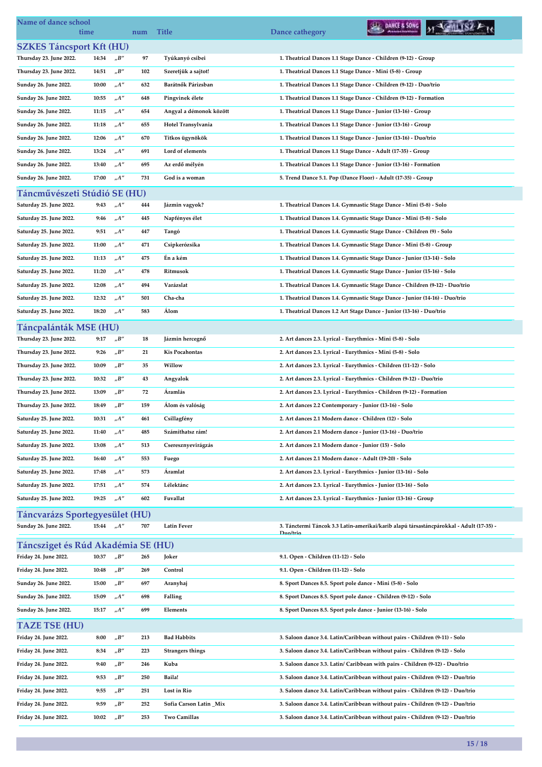| Name of dance school<br>time          |       |                              | num | <b>Title</b>            | DANCE & SONG<br>Dance cathegory                                                                     |  |
|---------------------------------------|-------|------------------------------|-----|-------------------------|-----------------------------------------------------------------------------------------------------|--|
| <b>SZKES Táncsport Kft (HU)</b>       |       |                              |     |                         |                                                                                                     |  |
| Thursday 23. June 2022.               | 14:34 | $n^{\prime}B^{\prime\prime}$ | 97  | Tyúkanyó csibei         | 1. Theatrical Dances 1.1 Stage Dance - Children (9-12) - Group                                      |  |
| Thursday 23. June 2022.               | 14:51 | $n^{\prime}B^{\prime\prime}$ | 102 | Szeretjük a sajtot!     | 1. Theatrical Dances 1.1 Stage Dance - Mini (5-8) - Group                                           |  |
| Sunday 26. June 2022.                 | 10:00 | $n^{A''}$                    | 632 | Barátnők Párizsban      | 1. Theatrical Dances 1.1 Stage Dance - Children (9-12) - Duo/trio                                   |  |
| Sunday 26. June 2022.                 | 10:55 | $n^{A''}$                    | 648 | Pingvinek élete         | 1. Theatrical Dances 1.1 Stage Dance - Children (9-12) - Formation                                  |  |
| Sunday 26. June 2022.                 | 11:15 | $n^{\prime\prime}$           | 654 | Angyal a démonok között | 1. Theatrical Dances 1.1 Stage Dance - Junior (13-16) - Group                                       |  |
| Sunday 26. June 2022.                 | 11:18 | $n^{A''}$                    | 655 | Hotel Transylvania      | 1. Theatrical Dances 1.1 Stage Dance - Junior (13-16) - Group                                       |  |
| Sunday 26. June 2022.                 | 12:06 | $n^{\prime\prime}$           | 670 | Titkos ügynökök         | 1. Theatrical Dances 1.1 Stage Dance - Junior (13-16) - Duo/trio                                    |  |
| Sunday 26. June 2022.                 | 13:24 | $n^{A''}$                    | 691 | Lord of elements        | 1. Theatrical Dances 1.1 Stage Dance - Adult (17-35) - Group                                        |  |
| Sunday 26. June 2022.                 | 13:40 | $_nA''$                      | 695 | Az erdő mélyén          | 1. Theatrical Dances 1.1 Stage Dance - Junior (13-16) - Formation                                   |  |
| Sunday 26. June 2022.                 | 17:00 | $n^{A''}$                    | 731 | God is a woman          | 5. Trend Dance 5.1. Pop (Dance Floor) - Adult (17-35) - Group                                       |  |
| Táncművészeti Stúdió SE (HU)          |       |                              |     |                         |                                                                                                     |  |
| Saturday 25. June 2022.               | 9:43  | $n^{A''}$                    | 444 | Jázmin vagyok?          | 1. Theatrical Dances 1.4. Gymnastic Stage Dance - Mini (5-8) - Solo                                 |  |
| Saturday 25. June 2022.               | 9:46  | $n^{A''}$                    | 445 | Napfényes élet          | 1. Theatrical Dances 1.4. Gymnastic Stage Dance - Mini (5-8) - Solo                                 |  |
| Saturday 25. June 2022.               | 9:51  | $n^{A''}$                    | 447 | Tangó                   | 1. Theatrical Dances 1.4. Gymnastic Stage Dance - Children (9) - Solo                               |  |
| Saturday 25. June 2022.               | 11:00 | $n^{\prime\prime}$           | 471 | Csipkerózsika           | 1. Theatrical Dances 1.4. Gymnastic Stage Dance - Mini (5-8) - Group                                |  |
| Saturday 25. June 2022.               | 11:13 | $n^{A''}$                    | 475 | Én a kém                | 1. Theatrical Dances 1.4. Gymnastic Stage Dance - Junior (13-14) - Solo                             |  |
| Saturday 25. June 2022.               | 11:20 | $n^{A''}$                    | 478 | Ritmusok                | 1. Theatrical Dances 1.4. Gymnastic Stage Dance - Junior (15-16) - Solo                             |  |
| Saturday 25. June 2022.               | 12:08 | $n^{A''}$                    | 494 | Varázslat               | 1. Theatrical Dances 1.4. Gymnastic Stage Dance - Children (9-12) - Duo/trio                        |  |
| Saturday 25. June 2022.               | 12:32 | A''                          | 501 | Cha-cha                 | 1. Theatrical Dances 1.4. Gymnastic Stage Dance - Junior (14-16) - Duo/trio                         |  |
| Saturday 25. June 2022.               | 18:20 | $n^{\prime}$                 | 583 | Álom                    | 1. Theatrical Dances 1.2 Art Stage Dance - Junior (13-16) - Duo/trio                                |  |
|                                       |       |                              |     |                         |                                                                                                     |  |
| Táncpalánták MSE (HU)                 |       |                              |     |                         |                                                                                                     |  |
| Thursday 23. June 2022.               | 9:17  | $n^{\prime}B^{\prime\prime}$ | 18  | Jázmin hercegnő         | 2. Art dances 2.3. Lyrical - Eurythmics - Mini (5-8) - Solo                                         |  |
| Thursday 23. June 2022.               | 9:26  | $n^{\prime}B^{\prime\prime}$ | 21  | <b>Kis Pocahontas</b>   | 2. Art dances 2.3. Lyrical - Eurythmics - Mini (5-8) - Solo                                         |  |
| Thursday 23. June 2022.               | 10:09 | $n^{\prime}B^{\prime\prime}$ | 35  | Willow                  | 2. Art dances 2.3. Lyrical - Eurythmics - Children (11-12) - Solo                                   |  |
| Thursday 23. June 2022.               | 10:32 | "B"                          | 43  | Angyalok                | 2. Art dances 2.3. Lyrical - Eurythmics - Children (9-12) - Duo/trio                                |  |
| Thursday 23. June 2022.               | 13:09 | $n^{\prime}B^{\prime\prime}$ | 72  | Áramlás                 | 2. Art dances 2.3. Lyrical - Eurythmics - Children (9-12) - Formation                               |  |
| Thursday 23. June 2022.               | 18:49 | "B"                          | 159 | Álom és valóság         | 2. Art dances 2.2 Contemporary - Junior (13-16) - Solo                                              |  |
| Saturday 25. June 2022.               | 10:31 | $n^{A''}$                    | 461 | Csillagfény             | 2. Art dances 2.1 Modern dance - Children (12) - Solo                                               |  |
| Saturday 25. June 2022.               | 11:40 | $n^{\prime}A^{\prime\prime}$ | 485 | Számíthatsz rám!        | 2. Art dances 2.1 Modern dance - Junior (13-16) - Duo/trio                                          |  |
| Saturday 25. June 2022.               | 13:08 | $n^{A''}$                    | 513 | Cseresznyevirágzás      | 2. Art dances 2.1 Modern dance - Junior (15) - Solo                                                 |  |
| Saturday 25. June 2022.               | 16:40 | ${}_nA^{\prime\prime}$       | 553 | Fuego                   | 2. Art dances 2.1 Modern dance - Adult (19-20) - Solo                                               |  |
| Saturday 25. June 2022.               | 17:48 | $_nA''$                      | 573 | Áramlat                 | 2. Art dances 2.3. Lyrical - Eurythmics - Junior (13-16) - Solo                                     |  |
| Saturday 25. June 2022.               | 17:51 | $n^{\prime}A^{\prime\prime}$ | 574 | Lélektánc               | 2. Art dances 2.3. Lyrical - Eurythmics - Junior (13-16) - Solo                                     |  |
| Saturday 25. June 2022.               | 19:25 | $n^{A''}$                    | 602 | Fuvallat                | 2. Art dances 2.3. Lyrical - Eurythmics - Junior (13-16) - Group                                    |  |
| <b>Táncvarázs Sportegyesület (HU)</b> |       |                              |     |                         |                                                                                                     |  |
| Sunday 26. June 2022.                 | 15:44 | $n^{A''}$                    | 707 | <b>Latin Fever</b>      | 3. Tánctermi Táncok 3.3 Latin-amerikai/karib alapú társastáncpárokkal - Adult (17-35) -<br>Duo/trio |  |
| Táncsziget és Rúd Akadémia SE (HU)    |       |                              |     |                         |                                                                                                     |  |
| Friday 24. June 2022.                 | 10:37 | "B"                          | 265 | Joker                   | 9.1. Open - Children (11-12) - Solo                                                                 |  |
| Friday 24. June 2022.                 | 10:48 | $n^{\prime}B^{\prime\prime}$ | 269 | Control                 | 9.1. Open - Children (11-12) - Solo                                                                 |  |
| Sunday 26. June 2022.                 | 15:00 | $n^{\prime}B^{\prime\prime}$ | 697 | Aranyhaj                | 8. Sport Dances 8.5. Sport pole dance - Mini (5-8) - Solo                                           |  |
| Sunday 26. June 2022.                 | 15:09 | $n^{\prime}A^{\prime\prime}$ | 698 | Falling                 | 8. Sport Dances 8.5. Sport pole dance - Children (9-12) - Solo                                      |  |
| Sunday 26. June 2022.                 | 15:17 | $n^{A''}$                    | 699 | Elements                | 8. Sport Dances 8.5. Sport pole dance - Junior (13-16) - Solo                                       |  |
| <b>TAZE TSE (HU)</b>                  |       |                              |     |                         |                                                                                                     |  |
| Friday 24. June 2022.                 | 8:00  | "B"                          | 213 | <b>Bad Habbits</b>      | 3. Saloon dance 3.4. Latin/Caribbean without pairs - Children (9-11) - Solo                         |  |
| Friday 24. June 2022.                 | 8:34  | $n^{\prime}B^{\prime\prime}$ | 223 | <b>Strangers things</b> | 3. Saloon dance 3.4. Latin/Caribbean without pairs - Children (9-12) - Solo                         |  |
| Friday 24. June 2022.                 | 9:40  | $n^{\prime}B^{\prime\prime}$ | 246 | Kuba                    | 3. Saloon dance 3.3. Latin/ Caribbean with pairs - Children (9-12) - Duo/trio                       |  |
| Friday 24. June 2022.                 | 9:53  | $n^{\prime}B^{\prime\prime}$ | 250 | Baila!                  | 3. Saloon dance 3.4. Latin/Caribbean without pairs - Children (9-12) - Duo/trio                     |  |
| Friday 24. June 2022.                 | 9:55  | "B"                          | 251 | Lost in Rio             | 3. Saloon dance 3.4. Latin/Caribbean without pairs - Children (9-12) - Duo/trio                     |  |
| Friday 24. June 2022.                 | 9:59  | $n^{\prime}B^{\prime\prime}$ | 252 | Sofia Carson Latin _Mix | 3. Saloon dance 3.4. Latin/Caribbean without pairs - Children (9-12) - Duo/trio                     |  |
| Friday 24. June 2022.                 | 10:02 | $n^{\prime}B^{\prime\prime}$ | 253 | Two Camillas            | 3. Saloon dance 3.4. Latin/Caribbean without pairs - Children (9-12) - Duo/trio                     |  |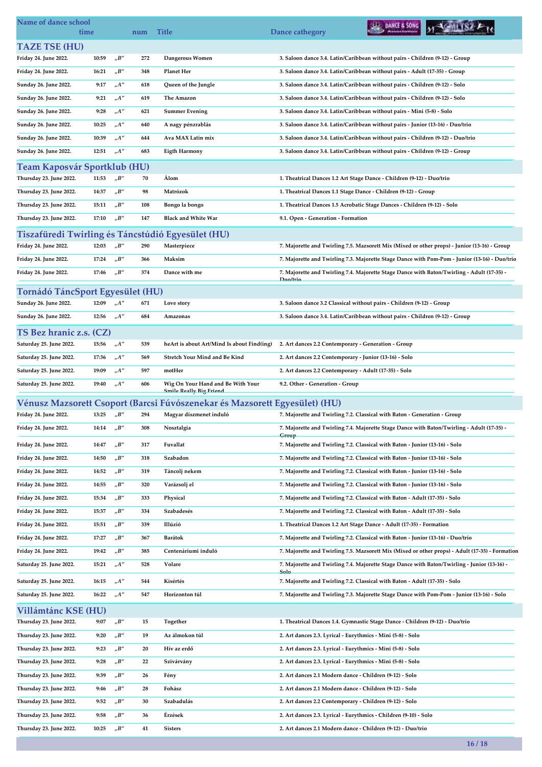| Name of dance school<br>time                            |       |                                   | num        | <b>Title</b>                                                               | DANCE & SONG<br>Dance cathegory                                                                        |
|---------------------------------------------------------|-------|-----------------------------------|------------|----------------------------------------------------------------------------|--------------------------------------------------------------------------------------------------------|
| <b>TAZE TSE (HU)</b>                                    |       |                                   |            |                                                                            |                                                                                                        |
| Friday 24. June 2022.                                   | 10:59 | $n^{\prime}B^{\prime\prime}$      | 272        | Dangerous Women                                                            | 3. Saloon dance 3.4. Latin/Caribbean without pairs - Children (9-12) - Group                           |
| Friday 24. June 2022.                                   | 16:21 | "B"                               | 348        | <b>Planet Her</b>                                                          | 3. Saloon dance 3.4. Latin/Caribbean without pairs - Adult (17-35) - Group                             |
| Sunday 26. June 2022.                                   | 9:17  | $n^{A''}$                         | 618        | Queen of the Jungle                                                        | 3. Saloon dance 3.4. Latin/Caribbean without pairs - Children (9-12) - Solo                            |
| Sunday 26. June 2022.                                   | 9:21  | "A"                               | 619        | The Amazon                                                                 | 3. Saloon dance 3.4. Latin/Caribbean without pairs - Children (9-12) - Solo                            |
| Sunday 26. June 2022.                                   | 9:28  | A''                               | 621        | <b>Summer Evening</b>                                                      | 3. Saloon dance 3.4. Latin/Caribbean without pairs - Mini (5-8) - Solo                                 |
| Sunday 26. June 2022.                                   | 10:25 | A''                               | 640        | A nagy pénzrablás                                                          | 3. Saloon dance 3.4. Latin/Caribbean without pairs - Junior (13-16) - Duo/trio                         |
| Sunday 26. June 2022.                                   | 10:39 | $n^{A''}$                         | 644        | Ava MAX Latin mix                                                          | 3. Saloon dance 3.4. Latin/Caribbean without pairs - Children (9-12) - Duo/trio                        |
| Sunday 26. June 2022.                                   | 12:51 | "A"                               | 683        | <b>Eigth Harmony</b>                                                       | 3. Saloon dance 3.4. Latin/Caribbean without pairs - Children (9-12) - Group                           |
|                                                         |       |                                   |            |                                                                            |                                                                                                        |
| Team Kaposvár Sportklub (HU)<br>Thursday 23. June 2022. | 11:53 | "B"                               | 70         | Álom                                                                       | 1. Theatrical Dances 1.2 Art Stage Dance - Children (9-12) - Duo/trio                                  |
| Thursday 23. June 2022.                                 | 14:37 | "B"                               | 98         | Matrózok                                                                   |                                                                                                        |
|                                                         |       |                                   |            |                                                                            | 1. Theatrical Dances 1.1 Stage Dance - Children (9-12) - Group                                         |
| Thursday 23. June 2022.                                 | 15:11 | $n^{\prime}B^{\prime\prime}$      | 108        | Bongo la bongo                                                             | 1. Theatrical Dances 1.5 Acrobatic Stage Dances - Children (9-12) - Solo                               |
| Thursday 23. June 2022.                                 | 17:10 | $n^{\prime}B^{\prime\prime}$      | 147        | <b>Black and White War</b>                                                 | 9.1. Open - Generation - Formation                                                                     |
| Tiszafüredi Twirling és Táncstúdió Egyesület (HU)       |       |                                   |            |                                                                            |                                                                                                        |
| Friday 24. June 2022.                                   | 12:03 | "B"                               | 290        | Masterpiece                                                                | 7. Majorette and Twirling 7.5. Mazsorett Mix (Mixed or other props) - Junior (13-16) - Group           |
| Friday 24. June 2022.                                   | 17:24 | "B"                               | 366        | Maksim                                                                     | 7. Majorette and Twirling 7.3. Majorette Stage Dance with Pom-Pom - Junior (13-16) - Duo/trio          |
| Friday 24. June 2022.                                   | 17:46 | $n^{\prime}B^{\prime\prime}$      | 374        | Dance with me                                                              | 7. Majorette and Twirling 7.4. Majorette Stage Dance with Baton/Twirling - Adult (17-35) -<br>Duo/trio |
| Tornádó TáncSport Egyesület (HU)                        |       |                                   |            |                                                                            |                                                                                                        |
| Sunday 26. June 2022.                                   | 12:09 | "A"                               | 671        | Love story                                                                 | 3. Saloon dance 3.2 Classical without pairs - Children (9-12) - Group                                  |
| Sunday 26. June 2022.                                   | 12:56 | $nA''$                            | 684        | Amazonas                                                                   | 3. Saloon dance 3.4. Latin/Caribbean without pairs - Children (9-12) - Group                           |
|                                                         |       |                                   |            |                                                                            |                                                                                                        |
| TS Bez hranic z.s. (CZ)<br>Saturday 25. June 2022.      | 15:56 | $n^{\prime\prime}$                | 539        | heArt is about Art/Mind Is about Find(ing)                                 | 2. Art dances 2.2 Contemporary - Generation - Group                                                    |
| Saturday 25. June 2022.                                 | 17:36 | $n^{A''}$                         | 569        | Stretch Your Mind and Be Kind                                              |                                                                                                        |
|                                                         |       | A''                               |            | motHer                                                                     | 2. Art dances 2.2 Contemporary - Junior (13-16) - Solo                                                 |
| Saturday 25. June 2022.                                 | 19:09 |                                   | 597<br>606 | Wig On Your Hand and Be With Your                                          | 2. Art dances 2.2 Contemporary - Adult (17-35) - Solo                                                  |
| Saturday 25. June 2022.                                 | 19:40 | $n^{A''}$                         |            | <b>Smile Really Big Friend</b>                                             | 9.2. Other - Generation - Group                                                                        |
|                                                         |       |                                   |            | Vénusz Mazsorett Csoport (Barcsi Fúvószenekar és Mazsorett Egyesület) (HU) |                                                                                                        |
| Friday 24. June 2022.                                   | 13:25 | $n^{\prime}B^{\prime\prime}$      | 294        | Magyar díszmenet induló                                                    | 7. Majorette and Twirling 7.2. Classical with Baton - Generation - Group                               |
| Friday 24. June 2022.                                   | 14:14 | $_{\prime\prime}B^{\prime\prime}$ | 308        | Nosztalgia                                                                 | 7. Majorette and Twirling 7.4. Majorette Stage Dance with Baton/Twirling - Adult (17-35) -             |
| Friday 24. June 2022.                                   | 14:47 | "B"                               | 317        | Fuvallat                                                                   | Group<br>7. Majorette and Twirling 7.2. Classical with Baton - Junior (13-16) - Solo                   |
| Friday 24. June 2022.                                   | 14:50 | "B"                               | 318        | Szabadon                                                                   | 7. Majorette and Twirling 7.2. Classical with Baton - Junior (13-16) - Solo                            |
| Friday 24. June 2022.                                   | 14:52 | $n^{\prime}B^{\prime\prime}$      | 319        | Táncolj nekem                                                              | 7. Majorette and Twirling 7.2. Classical with Baton - Junior (13-16) - Solo                            |
| Friday 24. June 2022.                                   | 14:55 | $n^{\prime}B^{\prime\prime}$      | 320        | Varázsolj el                                                               | 7. Majorette and Twirling 7.2. Classical with Baton - Junior (13-16) - Solo                            |
| Friday 24. June 2022.                                   | 15:34 | $n^{\prime}B^{\prime\prime}$      | 333        | Physical                                                                   | 7. Majorette and Twirling 7.2. Classical with Baton - Adult (17-35) - Solo                             |
| Friday 24. June 2022.                                   | 15:37 | "B"                               | 334        | Szabadesés                                                                 | 7. Majorette and Twirling 7.2. Classical with Baton - Adult (17-35) - Solo                             |
| Friday 24. June 2022.                                   | 15:51 | $n^{\prime}B^{\prime\prime}$      | 339        | Illúzió                                                                    | 1. Theatrical Dances 1.2 Art Stage Dance - Adult (17-35) - Formation                                   |
| Friday 24. June 2022.                                   | 17:27 | "B"                               | 367        | Barátok                                                                    | 7. Majorette and Twirling 7.2. Classical with Baton - Junior (13-16) - Duo/trio                        |
| Friday 24. June 2022.                                   | 19:42 | "B"                               | 385        | Centenáriumi induló                                                        | 7. Majorette and Twirling 7.5. Mazsorett Mix (Mixed or other props) - Adult (17-35) - Formation        |
| Saturday 25. June 2022.                                 | 15:21 | $_nA''$                           | 528        | Volare                                                                     | 7. Majorette and Twirling 7.4. Majorette Stage Dance with Baton/Twirling - Junior (13-16) -            |
|                                                         |       |                                   |            |                                                                            | Solo                                                                                                   |
| Saturday 25. June 2022.                                 | 16:15 | $_nA''$                           | 544        | Kísértés                                                                   | 7. Majorette and Twirling 7.2. Classical with Baton - Adult (17-35) - Solo                             |
| Saturday 25. June 2022.                                 | 16:22 | $n^{\prime\prime}$                | 547        | Horizonton túl                                                             | 7. Majorette and Twirling 7.3. Majorette Stage Dance with Pom-Pom - Junior (13-16) - Solo              |
| Villámtánc KSE (HU)                                     |       |                                   |            |                                                                            |                                                                                                        |
| Thursday 23. June 2022.                                 | 9:07  | "B"                               | 15         | Together                                                                   | 1. Theatrical Dances 1.4. Gymnastic Stage Dance - Children (9-12) - Duo/trio                           |
| Thursday 23. June 2022.                                 | 9:20  | $n^{\prime}B^{\prime\prime}$      | 19         | Az álmokon túl                                                             | 2. Art dances 2.3. Lyrical - Eurythmics - Mini (5-8) - Solo                                            |
| Thursday 23. June 2022.                                 | 9:23  | $n^{\prime}B^{\prime\prime}$      | 20         | Hív az erdő                                                                | 2. Art dances 2.3. Lyrical - Eurythmics - Mini (5-8) - Solo                                            |
| Thursday 23. June 2022.                                 | 9:28  | $n^{\prime}B^{\prime\prime}$      | 22         | Szivárvány                                                                 | 2. Art dances 2.3. Lyrical - Eurythmics - Mini (5-8) - Solo                                            |
| Thursday 23. June 2022.                                 | 9:39  | $_{\prime\prime}B^{\prime\prime}$ | 26         | Fény                                                                       | 2. Art dances 2.1 Modern dance - Children (9-12) - Solo                                                |
| Thursday 23. June 2022.                                 | 9:46  | $n^{\prime}B^{\prime\prime}$      | 28         | Fohász                                                                     | 2. Art dances 2.1 Modern dance - Children (9-12) - Solo                                                |
| Thursday 23. June 2022.                                 | 9:52  | $_{\prime\prime}B^{\prime\prime}$ | 30         | Szabadulás                                                                 | 2. Art dances 2.2 Contemporary - Children (9-12) - Solo                                                |
| Thursday 23. June 2022.                                 | 9:58  | "B"                               | 36         | Érzések                                                                    | 2. Art dances 2.3. Lyrical - Eurythmics - Children (9-10) - Solo                                       |
| Thursday 23. June 2022.                                 | 10:25 | $n^{\prime}B^{\prime\prime}$      | 41         | <b>Sisters</b>                                                             | 2. Art dances 2.1 Modern dance - Children (9-12) - Duo/trio                                            |

16 / 18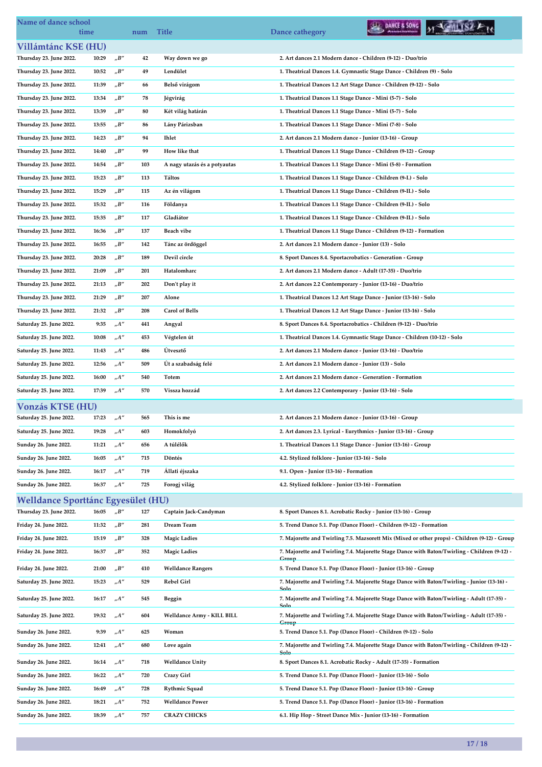| Name of dance school               | time  |                              | num | <b>Title</b>                 | DANCE & SONG<br>Dance cathegory                                                                    |  |
|------------------------------------|-------|------------------------------|-----|------------------------------|----------------------------------------------------------------------------------------------------|--|
| Villámtánc KSE (HU)                |       |                              |     |                              |                                                                                                    |  |
| Thursday 23. June 2022.            | 10:29 | "B"                          | 42  | Way down we go               | 2. Art dances 2.1 Modern dance - Children (9-12) - Duo/trio                                        |  |
| Thursday 23. June 2022.            | 10:52 | "B"                          | 49  | Lendület                     | 1. Theatrical Dances 1.4. Gymnastic Stage Dance - Children (9) - Solo                              |  |
| Thursday 23. June 2022.            | 11:39 | "B"                          | 66  | Belső virágom                | 1. Theatrical Dances 1.2 Art Stage Dance - Children (9-12) - Solo                                  |  |
| Thursday 23. June 2022.            | 13:34 | $n^{\prime}B^{\prime\prime}$ | 78  | Jégvirág                     | 1. Theatrical Dances 1.1 Stage Dance - Mini (5-7) - Solo                                           |  |
| Thursday 23. June 2022.            | 13:39 | $nB''$                       | 80  | Két világ határán            | 1. Theatrical Dances 1.1 Stage Dance - Mini (5-7) - Solo                                           |  |
| Thursday 23. June 2022.            | 13:55 | "B"                          | 86  | Lány Párizsban               | 1. Theatrical Dances 1.1 Stage Dance - Mini (7-8) - Solo                                           |  |
| Thursday 23. June 2022.            | 14:23 | "B"                          | 94  | <b>Ihlet</b>                 | 2. Art dances 2.1 Modern dance - Junior (13-16) - Group                                            |  |
| Thursday 23. June 2022.            | 14:40 | $nB''$                       | 99  | How like that                | 1. Theatrical Dances 1.1 Stage Dance - Children (9-12) - Group                                     |  |
| Thursday 23. June 2022.            | 14:54 | $n^{\prime}B^{\prime\prime}$ | 103 | A nagy utazás és a potyautas | 1. Theatrical Dances 1.1 Stage Dance - Mini (5-8) - Formation                                      |  |
| Thursday 23. June 2022.            | 15:23 | "B"                          | 113 | Táltos                       | 1. Theatrical Dances 1.1 Stage Dance - Children (9-I.) - Solo                                      |  |
| Thursday 23. June 2022.            | 15:29 | "B"                          | 115 | Az én világom                | 1. Theatrical Dances 1.1 Stage Dance - Children (9-II.) - Solo                                     |  |
| Thursday 23. June 2022.            | 15:32 | $nB''$                       | 116 | Földanya                     | 1. Theatrical Dances 1.1 Stage Dance - Children (9-II.) - Solo                                     |  |
| Thursday 23. June 2022.            | 15:35 | $n^{\prime}B^{\prime\prime}$ | 117 | Gladiátor                    | 1. Theatrical Dances 1.1 Stage Dance - Children (9-II.) - Solo                                     |  |
| Thursday 23. June 2022.            | 16:36 | "B"                          | 137 | Beach vibe                   | 1. Theatrical Dances 1.1 Stage Dance - Children (9-12) - Formation                                 |  |
| Thursday 23. June 2022.            | 16:55 | "B"                          | 142 | Tánc az ördöggel             | 2. Art dances 2.1 Modern dance - Junior (13) - Solo                                                |  |
| Thursday 23. June 2022.            | 20:28 | $nB''$                       | 189 | Devil circle                 | 8. Sport Dances 8.4. Sportacrobatics - Generation - Group                                          |  |
| Thursday 23. June 2022.            | 21:09 | $nB''$                       | 201 | Hatalomharc                  | 2. Art dances 2.1 Modern dance - Adult (17-35) - Duo/trio                                          |  |
| Thursday 23. June 2022.            | 21:13 | "B"                          | 202 | Don't play it                | 2. Art dances 2.2 Contemporary - Junior (13-16) - Duo/trio                                         |  |
| Thursday 23. June 2022.            | 21:29 | "B"                          | 207 | Alone                        | 1. Theatrical Dances 1.2 Art Stage Dance - Junior (13-16) - Solo                                   |  |
| Thursday 23. June 2022.            | 21:32 | "B"                          | 208 | <b>Carol of Bells</b>        | 1. Theatrical Dances 1.2 Art Stage Dance - Junior (13-16) - Solo                                   |  |
| Saturday 25. June 2022.            | 9:35  | A''                          | 441 | Angyal                       | 8. Sport Dances 8.4. Sportacrobatics - Children (9-12) - Duo/trio                                  |  |
| Saturday 25. June 2022.            | 10:08 | $n^{\prime\prime}$           | 453 | Végtelen út                  | 1. Theatrical Dances 1.4. Gymnastic Stage Dance - Children (10-12) - Solo                          |  |
|                                    |       | $n^{\prime\prime}$           |     | Útvesztő                     |                                                                                                    |  |
| Saturday 25. June 2022.            | 11:43 |                              | 486 |                              | 2. Art dances 2.1 Modern dance - Junior (13-16) - Duo/trio                                         |  |
| Saturday 25. June 2022.            | 12:56 | A''                          | 509 | Út a szabadság felé          | 2. Art dances 2.1 Modern dance - Junior (13) - Solo                                                |  |
| Saturday 25. June 2022.            | 16:00 | "A"                          | 540 | Totem                        | 2. Art dances 2.1 Modern dance - Generation - Formation                                            |  |
| Saturday 25. June 2022.            | 17:39 | A''                          | 570 | Vissza hozzád                | 2. Art dances 2.2 Contemporary - Junior (13-16) - Solo                                             |  |
| <b>Vonzás KTSE (HU)</b>            |       |                              |     |                              |                                                                                                    |  |
| Saturday 25. June 2022.            | 17:23 | "A"                          | 565 | This is me                   | 2. Art dances 2.1 Modern dance - Junior (13-16) - Group                                            |  |
| Saturday 25. June 2022.            | 19:28 | A''                          | 603 | Homokfolyó                   | 2. Art dances 2.3. Lyrical - Eurythmics - Junior (13-16) - Group                                   |  |
| Sunday 26. June 2022.              | 11:21 | "A"                          | 656 | A túlélők                    | 1. Theatrical Dances 1.1 Stage Dance - Junior (13-16) - Group                                      |  |
| Sunday 26. June 2022.              | 16:05 | $n^{\prime\prime}$           | 715 | Döntés                       | 4.2. Stylized folklore - Junior (13-16) - Solo                                                     |  |
| Sunday 26. June 2022.              | 16:17 | "A"                          | 719 | Allati éjszaka               | 9.1. Open - Junior (13-16) - Formation                                                             |  |
| Sunday 26. June 2022.              | 16:37 | A''                          | 725 | Forogj világ                 | 4.2. Stylized folklore - Junior (13-16) - Formation                                                |  |
| Welldance Sporttánc Egyesület (HU) |       |                              |     |                              |                                                                                                    |  |
| Thursday 23. June 2022.            | 16:05 | $n^{\prime}B^{\prime\prime}$ | 127 | Captain Jack-Candyman        | 8. Sport Dances 8.1. Acrobatic Rocky - Junior (13-16) - Group                                      |  |
| Friday 24. June 2022.              | 11:32 | "B"                          | 281 | Dream Team                   | 5. Trend Dance 5.1. Pop (Dance Floor) - Children (9-12) - Formation                                |  |
| Friday 24. June 2022.              | 15:19 | "B"                          | 328 | <b>Magic Ladies</b>          | 7. Majorette and Twirling 7.5. Mazsorett Mix (Mixed or other props) - Children (9-12) - Group      |  |
| Friday 24. June 2022.              | 16:37 | "B"                          | 352 | <b>Magic Ladies</b>          | 7. Majorette and Twirling 7.4. Majorette Stage Dance with Baton/Twirling - Children (9-12) -       |  |
| Friday 24. June 2022.              | 21:00 | "B"                          | 410 | <b>Welldance Rangers</b>     | Group<br>5. Trend Dance 5.1. Pop (Dance Floor) - Junior (13-16) - Group                            |  |
| Saturday 25. June 2022.            | 15:23 | "A"                          | 529 | Rebel Girl                   | 7. Majorette and Twirling 7.4. Majorette Stage Dance with Baton/Twirling - Junior (13-16) -        |  |
| Saturday 25. June 2022.            | 16:17 | "A"                          | 545 | Beggin                       | Sele<br>7. Majorette and Twirling 7.4. Majorette Stage Dance with Baton/Twirling - Adult (17-35) - |  |
| Saturday 25. June 2022.            | 19:32 | "A"                          | 604 | Welldance Army - KILL BILL   | Solo<br>7. Majorette and Twirling 7.4. Majorette Stage Dance with Baton/Twirling - Adult (17-35) - |  |
| Sunday 26. June 2022.              | 9:39  | $n^{\prime\prime}$           | 625 | Woman                        | Group<br>5. Trend Dance 5.1. Pop (Dance Floor) - Children (9-12) - Solo                            |  |
| Sunday 26. June 2022.              | 12:41 | $n^{\prime\prime}$           | 680 | Love again                   | 7. Majorette and Twirling 7.4. Majorette Stage Dance with Baton/Twirling - Children (9-12) -       |  |
| Sunday 26. June 2022.              | 16:14 | $n^{\prime\prime}$           | 718 | <b>Welldance Unity</b>       | Solo<br>8. Sport Dances 8.1. Acrobatic Rocky - Adult (17-35) - Formation                           |  |
|                                    |       |                              |     |                              |                                                                                                    |  |
| Sunday 26. June 2022.              | 16:22 | $n^{\prime\prime}$           | 720 | Crazy Girl                   | 5. Trend Dance 5.1. Pop (Dance Floor) - Junior (13-16) - Solo                                      |  |
| Sunday 26. June 2022.              | 16:49 | "A"                          | 728 | <b>Rythmic Squad</b>         | 5. Trend Dance 5.1. Pop (Dance Floor) - Junior (13-16) - Group                                     |  |
| Sunday 26. June 2022.              | 18:21 | "A"                          | 752 | <b>Welldance Power</b>       | 5. Trend Dance 5.1. Pop (Dance Floor) - Junior (13-16) - Formation                                 |  |
| Sunday 26. June 2022.              | 18:39 | $_nA''$                      | 757 | <b>CRAZY CHICKS</b>          | 6.1. Hip Hop - Street Dance Mix - Junior (13-16) - Formation                                       |  |